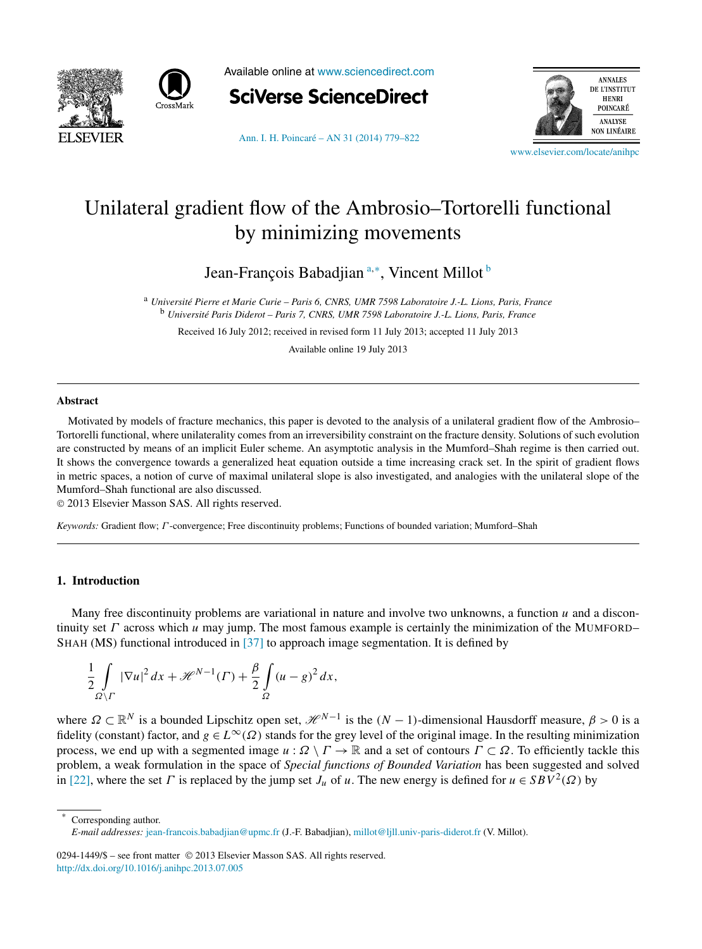



Available online at [www.sciencedirect.com](http://www.sciencedirect.com)



[Ann. I. H. Poincaré – AN 31 \(2014\) 779–822](http://dx.doi.org/10.1016/j.anihpc.2013.07.005)



[www.elsevier.com/locate/anihpc](http://www.elsevier.com/locate/anihpc)

# Unilateral gradient flow of the Ambrosio–Tortorelli functional by minimizing movements

Jean-François Babadjian <sup>a,∗</sup>, Vincent Millot <sup>b</sup>

<sup>a</sup> *Université Pierre et Marie Curie – Paris 6, CNRS, UMR 7598 Laboratoire J.-L. Lions, Paris, France* <sup>b</sup> *Université Paris Diderot – Paris 7, CNRS, UMR 7598 Laboratoire J.-L. Lions, Paris, France*

Received 16 July 2012; received in revised form 11 July 2013; accepted 11 July 2013

Available online 19 July 2013

## **Abstract**

Motivated by models of fracture mechanics, this paper is devoted to the analysis of a unilateral gradient flow of the Ambrosio– Tortorelli functional, where unilaterality comes from an irreversibility constraint on the fracture density. Solutions of such evolution are constructed by means of an implicit Euler scheme. An asymptotic analysis in the Mumford–Shah regime is then carried out. It shows the convergence towards a generalized heat equation outside a time increasing crack set. In the spirit of gradient flows in metric spaces, a notion of curve of maximal unilateral slope is also investigated, and analogies with the unilateral slope of the Mumford–Shah functional are also discussed.

© 2013 Elsevier Masson SAS. All rights reserved.

*Keywords:* Gradient flow; *Γ* -convergence; Free discontinuity problems; Functions of bounded variation; Mumford–Shah

# **1. Introduction**

Many free discontinuity problems are variational in nature and involve two unknowns, a function *u* and a discontinuity set *Γ* across which *u* may jump. The most famous example is certainly the minimization of the MUMFORD– SHAH (MS) functional introduced in [\[37\]](#page-43-0) to approach image segmentation. It is defined by

$$
\frac{1}{2} \int\limits_{\Omega \setminus \Gamma} |\nabla u|^2 \, dx + \mathcal{H}^{N-1}(\Gamma) + \frac{\beta}{2} \int\limits_{\Omega} (u - g)^2 \, dx,
$$

where  $\Omega \subset \mathbb{R}^N$  is a bounded Lipschitz open set,  $\mathcal{H}^{N-1}$  is the  $(N-1)$ -dimensional Hausdorff measure,  $\beta > 0$  is a fidelity (constant) factor, and  $g \in L^{\infty}(\Omega)$  stands for the grey level of the original image. In the resulting minimization process, we end up with a segmented image  $u : \Omega \setminus \Gamma \to \mathbb{R}$  and a set of contours  $\Gamma \subset \Omega$ . To efficiently tackle this problem, a weak formulation in the space of *Special functions of Bounded Variation* has been suggested and solved in [\[22\],](#page-43-0) where the set *Γ* is replaced by the jump set  $J_u$  of *u*. The new energy is defined for  $u \in SBV^2(\Omega)$  by

Corresponding author. *E-mail addresses:* [jean-francois.babadjian@upmc.fr](mailto:jean-francois.babadjian@upmc.fr) (J.-F. Babadjian), [millot@ljll.univ-paris-diderot.fr](mailto:millot@ljll.univ-paris-diderot.fr) (V. Millot).

0294-1449/\$ – see front matter © 2013 Elsevier Masson SAS. All rights reserved. <http://dx.doi.org/10.1016/j.anihpc.2013.07.005>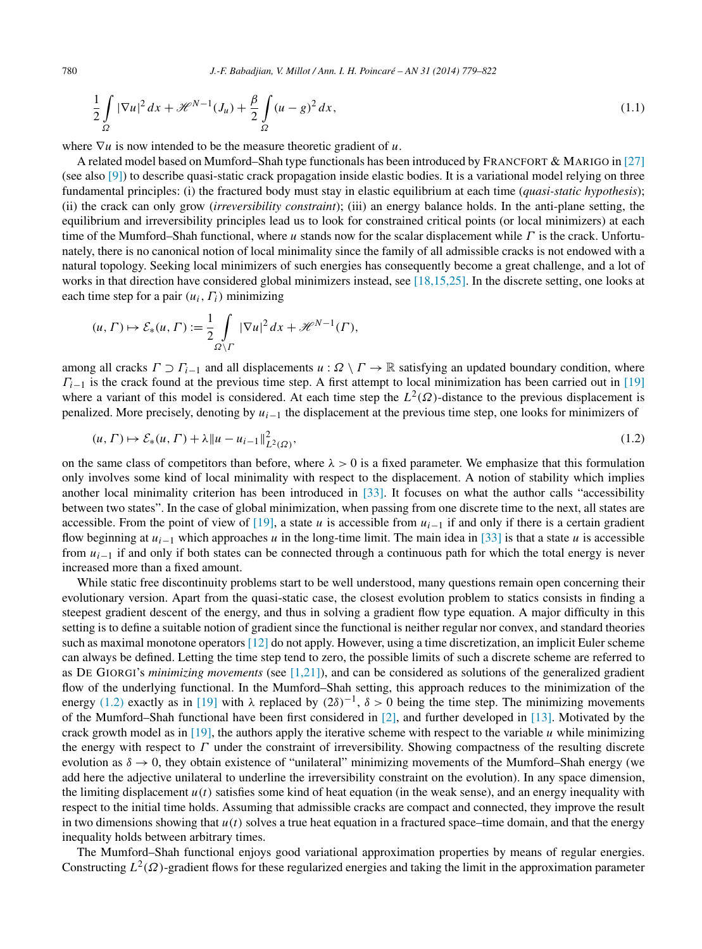$$
\frac{1}{2}\int_{\Omega}|\nabla u|^2\,dx+\mathcal{H}^{N-1}(J_u)+\frac{\beta}{2}\int_{\Omega}(u-g)^2\,dx,\tag{1.1}
$$

where ∇*u* is now intended to be the measure theoretic gradient of *u*.

A related model based on Mumford–Shah type functionals has been introduced by FRANCFORT & MARIGO in [\[27\]](#page-43-0) (see also [\[9\]\)](#page-42-0) to describe quasi-static crack propagation inside elastic bodies. It is a variational model relying on three fundamental principles: (i) the fractured body must stay in elastic equilibrium at each time (*quasi-static hypothesis*); (ii) the crack can only grow (*irreversibility constraint*); (iii) an energy balance holds. In the anti-plane setting, the equilibrium and irreversibility principles lead us to look for constrained critical points (or local minimizers) at each time of the Mumford–Shah functional, where *u* stands now for the scalar displacement while *Γ* is the crack. Unfortunately, there is no canonical notion of local minimality since the family of all admissible cracks is not endowed with a natural topology. Seeking local minimizers of such energies has consequently become a great challenge, and a lot of works in that direction have considered global minimizers instead, see [\[18,15,25\].](#page-43-0) In the discrete setting, one looks at each time step for a pair  $(u_i, \Gamma_i)$  minimizing

$$
(u, \Gamma) \mapsto \mathcal{E}_*(u, \Gamma) := \frac{1}{2} \int_{\Omega \setminus \Gamma} |\nabla u|^2 dx + \mathcal{H}^{N-1}(\Gamma),
$$

among all cracks  $\Gamma \supset \Gamma_{i-1}$  and all displacements  $u : \Omega \setminus \Gamma \to \mathbb{R}$  satisfying an updated boundary condition, where  $\Gamma_{i-1}$  is the crack found at the previous time step. A first attempt to local minimization has been carried out in [\[19\]](#page-43-0) where a variant of this model is considered. At each time step the  $L^2(\Omega)$ -distance to the previous displacement is penalized. More precisely, denoting by *ui*<sup>−</sup><sup>1</sup> the displacement at the previous time step, one looks for minimizers of

$$
(u, \Gamma) \mapsto \mathcal{E}_*(u, \Gamma) + \lambda \|u - u_{i-1}\|_{L^2(\Omega)}^2,\tag{1.2}
$$

on the same class of competitors than before, where *λ >* 0 is a fixed parameter. We emphasize that this formulation only involves some kind of local minimality with respect to the displacement. A notion of stability which implies another local minimality criterion has been introduced in [\[33\].](#page-43-0) It focuses on what the author calls "accessibility between two states". In the case of global minimization, when passing from one discrete time to the next, all states are accessible. From the point of view of [\[19\],](#page-43-0) a state *u* is accessible from  $u_{i-1}$  if and only if there is a certain gradient flow beginning at  $u_{i-1}$  which approaches *u* in the long-time limit. The main idea in [\[33\]](#page-43-0) is that a state *u* is accessible from  $u_{i-1}$  if and only if both states can be connected through a continuous path for which the total energy is never increased more than a fixed amount.

While static free discontinuity problems start to be well understood, many questions remain open concerning their evolutionary version. Apart from the quasi-static case, the closest evolution problem to statics consists in finding a steepest gradient descent of the energy, and thus in solving a gradient flow type equation. A major difficulty in this setting is to define a suitable notion of gradient since the functional is neither regular nor convex, and standard theories such as maximal monotone operators [\[12\]](#page-43-0) do not apply. However, using a time discretization, an implicit Euler scheme can always be defined. Letting the time step tend to zero, the possible limits of such a discrete scheme are referred to as DE GIORGI's *minimizing movements* (see [\[1,21\]\)](#page-42-0), and can be considered as solutions of the generalized gradient flow of the underlying functional. In the Mumford–Shah setting, this approach reduces to the minimization of the energy (1.2) exactly as in [\[19\]](#page-43-0) with  $\lambda$  replaced by  $(2\delta)^{-1}$ ,  $\delta > 0$  being the time step. The minimizing movements of the Mumford–Shah functional have been first considered in  $[2]$ , and further developed in  $[13]$ . Motivated by the crack growth model as in  $[19]$ , the authors apply the iterative scheme with respect to the variable  $u$  while minimizing the energy with respect to *Γ* under the constraint of irreversibility. Showing compactness of the resulting discrete evolution as  $\delta \to 0$ , they obtain existence of "unilateral" minimizing movements of the Mumford–Shah energy (we add here the adjective unilateral to underline the irreversibility constraint on the evolution). In any space dimension, the limiting displacement  $u(t)$  satisfies some kind of heat equation (in the weak sense), and an energy inequality with respect to the initial time holds. Assuming that admissible cracks are compact and connected, they improve the result in two dimensions showing that  $u(t)$  solves a true heat equation in a fractured space–time domain, and that the energy inequality holds between arbitrary times.

The Mumford–Shah functional enjoys good variational approximation properties by means of regular energies. Constructing  $L^2(\Omega)$ -gradient flows for these regularized energies and taking the limit in the approximation parameter

<span id="page-1-0"></span>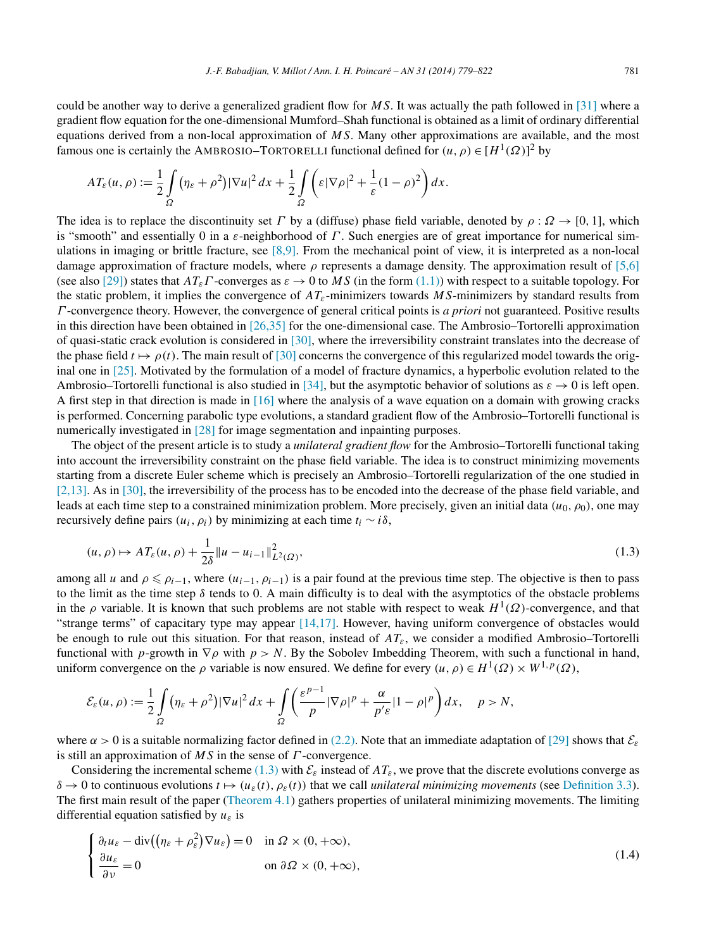<span id="page-2-0"></span>could be another way to derive a generalized gradient flow for *MS*. It was actually the path followed in [\[31\]](#page-43-0) where a gradient flow equation for the one-dimensional Mumford–Shah functional is obtained as a limit of ordinary differential equations derived from a non-local approximation of *MS*. Many other approximations are available, and the most famous one is certainly the AMBROSIO–TORTORELLI functional defined for  $(u, \rho) \in [H^1(\Omega)]^2$  by

$$
AT_{\varepsilon}(u,\rho) := \frac{1}{2}\int\limits_{\Omega} (\eta_{\varepsilon}+\rho^2)|\nabla u|^2\,dx + \frac{1}{2}\int\limits_{\Omega} \left(\varepsilon|\nabla \rho|^2 + \frac{1}{\varepsilon}(1-\rho)^2\right)dx.
$$

The idea is to replace the discontinuity set *Γ* by a (diffuse) phase field variable, denoted by  $\rho$ :  $\Omega \to [0, 1]$ , which is "smooth" and essentially 0 in a *ε*-neighborhood of *Γ* . Such energies are of great importance for numerical simulations in imaging or brittle fracture, see [\[8,9\].](#page-42-0) From the mechanical point of view, it is interpreted as a non-local damage approximation of fracture models, where *ρ* represents a damage density. The approximation result of [\[5,6\]](#page-42-0) (see also [\[29\]\)](#page-43-0) states that  $AT_{\epsilon}\Gamma$ -converges as  $\epsilon \to 0$  to MS (in the form [\(1.1\)\)](#page-1-0) with respect to a suitable topology. For the static problem, it implies the convergence of *ATε*-minimizers towards *MS*-minimizers by standard results from *Γ* -convergence theory. However, the convergence of general critical points is *a priori* not guaranteed. Positive results in this direction have been obtained in  $[26,35]$  for the one-dimensional case. The Ambrosio–Tortorelli approximation of quasi-static crack evolution is considered in [\[30\],](#page-43-0) where the irreversibility constraint translates into the decrease of the phase field  $t \mapsto \rho(t)$ . The main result of [\[30\]](#page-43-0) concerns the convergence of this regularized model towards the original one in [\[25\].](#page-43-0) Motivated by the formulation of a model of fracture dynamics, a hyperbolic evolution related to the Ambrosio–Tortorelli functional is also studied in [\[34\],](#page-43-0) but the asymptotic behavior of solutions as  $\varepsilon \to 0$  is left open. A first step in that direction is made in [\[16\]](#page-43-0) where the analysis of a wave equation on a domain with growing cracks is performed. Concerning parabolic type evolutions, a standard gradient flow of the Ambrosio–Tortorelli functional is numerically investigated in [\[28\]](#page-43-0) for image segmentation and inpainting purposes.

The object of the present article is to study a *unilateral gradient flow* for the Ambrosio–Tortorelli functional taking into account the irreversibility constraint on the phase field variable. The idea is to construct minimizing movements starting from a discrete Euler scheme which is precisely an Ambrosio–Tortorelli regularization of the one studied in [\[2,13\].](#page-42-0) As in [\[30\],](#page-43-0) the irreversibility of the process has to be encoded into the decrease of the phase field variable, and leads at each time step to a constrained minimization problem. More precisely, given an initial data  $(u_0, \rho_0)$ , one may recursively define pairs  $(u_i, \rho_i)$  by minimizing at each time  $t_i \sim i\delta$ ,

$$
(u,\rho) \mapsto AT_{\varepsilon}(u,\rho) + \frac{1}{2\delta} \|u - u_{i-1}\|_{L^2(\Omega)}^2,
$$
\n(1.3)

among all *u* and  $\rho \le \rho_{i-1}$ , where  $(u_{i-1}, \rho_{i-1})$  is a pair found at the previous time step. The objective is then to pass to the limit as the time step  $\delta$  tends to 0. A main difficulty is to deal with the asymptotics of the obstacle problems in the  $\rho$  variable. It is known that such problems are not stable with respect to weak  $H^1(\Omega)$ -convergence, and that "strange terms" of capacitary type may appear [\[14,17\].](#page-43-0) However, having uniform convergence of obstacles would be enough to rule out this situation. For that reason, instead of *ATε*, we consider a modified Ambrosio–Tortorelli functional with *p*-growth in  $\nabla \rho$  with  $p > N$ . By the Sobolev Imbedding Theorem, with such a functional in hand, uniform convergence on the  $\rho$  variable is now ensured. We define for every  $(u, \rho) \in H^1(\Omega) \times W^{1,p}(\Omega)$ ,

$$
\mathcal{E}_{\varepsilon}(u,\rho) := \frac{1}{2} \int\limits_{\Omega} \left( \eta_{\varepsilon} + \rho^2 \right) |\nabla u|^2 \, dx + \int\limits_{\Omega} \left( \frac{\varepsilon^{p-1}}{p} |\nabla \rho|^p + \frac{\alpha}{p' \varepsilon} |1 - \rho|^p \right) dx, \quad p > N,
$$

where  $\alpha > 0$  is a suitable normalizing factor defined in [\(2.2\).](#page-6-0) Note that an immediate adaptation of [\[29\]](#page-43-0) shows that  $\mathcal{E}_{\varepsilon}$ is still an approximation of *MS* in the sense of *Γ* -convergence.

Considering the incremental scheme (1.3) with  $\mathcal{E}_{\varepsilon}$  instead of  $AT_{\varepsilon}$ , we prove that the discrete evolutions converge as  $\delta \to 0$  to continuous evolutions  $t \mapsto (u_{\varepsilon}(t), \rho_{\varepsilon}(t))$  that we call *unilateral minimizing movements* (see [Definition 3.3\)](#page-9-0). The first main result of the paper [\(Theorem 4.1\)](#page-9-0) gathers properties of unilateral minimizing movements. The limiting differential equation satisfied by *uε* is

$$
\begin{cases} \frac{\partial_t u_{\varepsilon} - \text{div}\left((\eta_{\varepsilon} + \rho_{\varepsilon}^2) \nabla u_{\varepsilon}\right) = 0 & \text{in } \Omega \times (0, +\infty), \\ \frac{\partial u_{\varepsilon}}{\partial \nu} = 0 & \text{on } \partial \Omega \times (0, +\infty), \end{cases}
$$
(1.4)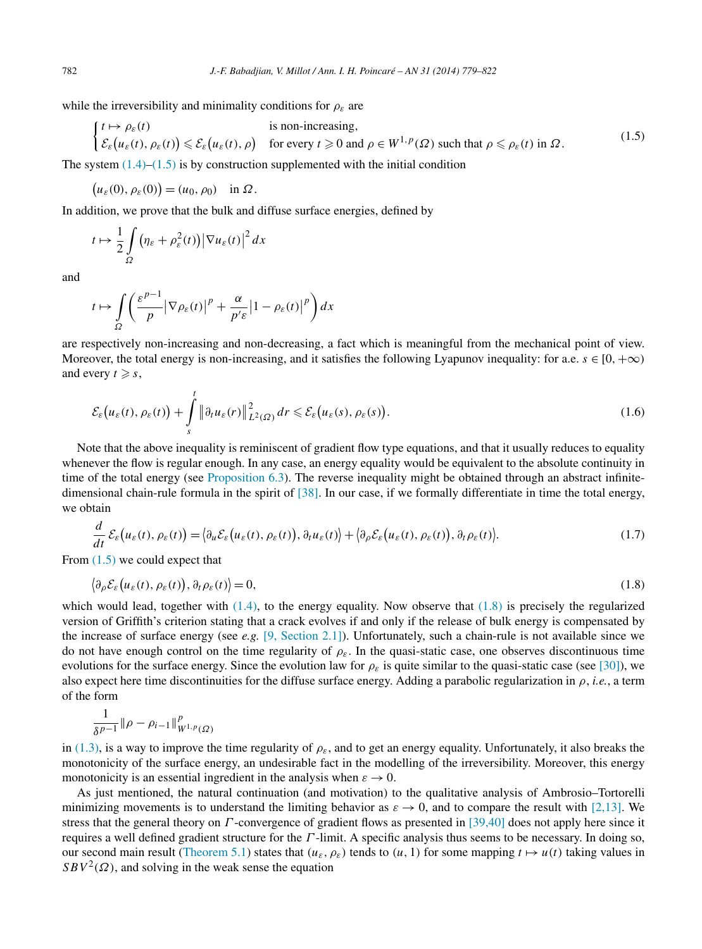<span id="page-3-0"></span>while the irreversibility and minimality conditions for  $\rho_{\varepsilon}$  are

$$
\begin{cases}\nt \mapsto \rho_{\varepsilon}(t) & \text{is non-increasing,} \\
\mathcal{E}_{\varepsilon}(u_{\varepsilon}(t), \rho_{\varepsilon}(t)) \leq \mathcal{E}_{\varepsilon}(u_{\varepsilon}(t), \rho) & \text{for every } t \geq 0 \text{ and } \rho \in W^{1, p}(\Omega) \text{ such that } \rho \leq \rho_{\varepsilon}(t) \text{ in } \Omega.\n\end{cases}
$$
\n(1.5)

The system  $(1.4)$ – $(1.5)$  is by construction supplemented with the initial condition

 $(u_{\varepsilon}(0), \rho_{\varepsilon}(0)) = (u_0, \rho_0)$  in  $\Omega$ .

In addition, we prove that the bulk and diffuse surface energies, defined by

$$
t \mapsto \frac{1}{2} \int\limits_{\Omega} \left( \eta_{\varepsilon} + \rho_{\varepsilon}^2(t) \right) \left| \nabla u_{\varepsilon}(t) \right|^2 dx
$$

and

$$
t \mapsto \int\limits_{\Omega} \left( \frac{\varepsilon^{p-1}}{p} \left| \nabla \rho_{\varepsilon}(t) \right|^{p} + \frac{\alpha}{p' \varepsilon} \left| 1 - \rho_{\varepsilon}(t) \right|^{p} \right) dx
$$

are respectively non-increasing and non-decreasing, a fact which is meaningful from the mechanical point of view. Moreover, the total energy is non-increasing, and it satisfies the following Lyapunov inequality: for a.e.  $s \in [0, +\infty)$ and every  $t \geqslant s$ ,

$$
\mathcal{E}_{\varepsilon}\big(u_{\varepsilon}(t),\rho_{\varepsilon}(t)\big)+\int\limits_{s}^{t}\big\|\partial_{t}u_{\varepsilon}(r)\big\|_{L^{2}(\Omega)}^{2}dr\leqslant \mathcal{E}_{\varepsilon}\big(u_{\varepsilon}(s),\rho_{\varepsilon}(s)\big).
$$
\n(1.6)

Note that the above inequality is reminiscent of gradient flow type equations, and that it usually reduces to equality whenever the flow is regular enough. In any case, an energy equality would be equivalent to the absolute continuity in time of the total energy (see [Proposition 6.3\)](#page-33-0). The reverse inequality might be obtained through an abstract infinitedimensional chain-rule formula in the spirit of [\[38\].](#page-43-0) In our case, if we formally differentiate in time the total energy, we obtain

$$
\frac{d}{dt}\mathcal{E}_{\varepsilon}(u_{\varepsilon}(t),\rho_{\varepsilon}(t)) = \big\langle \partial_{u}\mathcal{E}_{\varepsilon}(u_{\varepsilon}(t),\rho_{\varepsilon}(t)), \partial_{t}u_{\varepsilon}(t) \big\rangle + \big\langle \partial_{\rho}\mathcal{E}_{\varepsilon}(u_{\varepsilon}(t),\rho_{\varepsilon}(t)), \partial_{t}\rho_{\varepsilon}(t) \big\rangle. \tag{1.7}
$$

From (1.5) we could expect that

$$
\left\langle \partial_{\rho} \mathcal{E}_{\varepsilon} \left( u_{\varepsilon}(t), \rho_{\varepsilon}(t) \right), \partial_{t} \rho_{\varepsilon}(t) \right\rangle = 0, \tag{1.8}
$$

which would lead, together with  $(1.4)$ , to the energy equality. Now observe that  $(1.8)$  is precisely the regularized version of Griffith's criterion stating that a crack evolves if and only if the release of bulk energy is compensated by the increase of surface energy (see *e.g.* [\[9, Section 2.1\]\)](#page-42-0). Unfortunately, such a chain-rule is not available since we do not have enough control on the time regularity of  $\rho_{\varepsilon}$ . In the quasi-static case, one observes discontinuous time evolutions for the surface energy. Since the evolution law for  $\rho_{\varepsilon}$  is quite similar to the quasi-static case (see [\[30\]\)](#page-43-0), we also expect here time discontinuities for the diffuse surface energy. Adding a parabolic regularization in *ρ*, *i.e.*, a term of the form

$$
\frac{1}{\delta^{p-1}} \| \rho - \rho_{i-1} \|_{W^{1,p}(\Omega)}^p
$$

in [\(1.3\),](#page-2-0) is a way to improve the time regularity of  $\rho_{\varepsilon}$ , and to get an energy equality. Unfortunately, it also breaks the monotonicity of the surface energy, an undesirable fact in the modelling of the irreversibility. Moreover, this energy monotonicity is an essential ingredient in the analysis when  $\varepsilon \to 0$ .

As just mentioned, the natural continuation (and motivation) to the qualitative analysis of Ambrosio–Tortorelli minimizing movements is to understand the limiting behavior as  $\varepsilon \to 0$ , and to compare the result with [\[2,13\].](#page-42-0) We stress that the general theory on *Γ* -convergence of gradient flows as presented in [\[39,40\]](#page-43-0) does not apply here since it requires a well defined gradient structure for the *Γ* -limit. A specific analysis thus seems to be necessary. In doing so, our second main result [\(Theorem 5.1\)](#page-23-0) states that  $(u_{\varepsilon}, \rho_{\varepsilon})$  tends to  $(u, 1)$  for some mapping  $t \mapsto u(t)$  taking values in  $SBV<sup>2</sup>(\Omega)$ , and solving in the weak sense the equation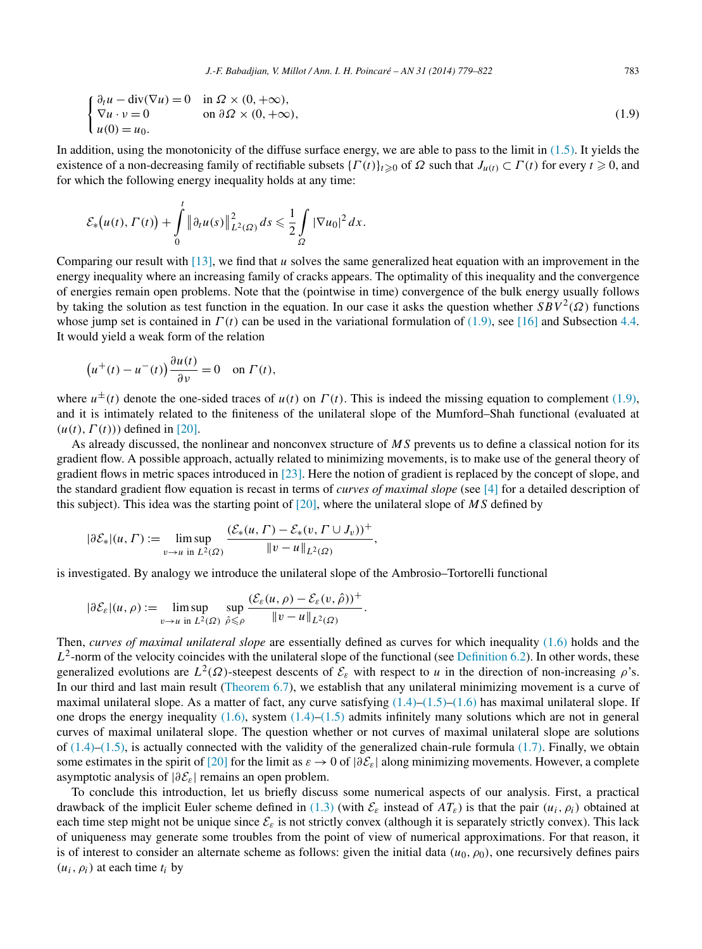$$
\begin{cases} \partial_t u - \text{div}(\nabla u) = 0 & \text{in } \Omega \times (0, +\infty), \\ \nabla u \cdot v = 0 & \text{on } \partial \Omega \times (0, +\infty), \\ u(0) = u_0. \end{cases}
$$
 (1.9)

In addition, using the monotonicity of the diffuse surface energy, we are able to pass to the limit in  $(1.5)$ . It yields the existence of a non-decreasing family of rectifiable subsets  $\{\Gamma(t)\}_{t\geqslant0}$  of  $\Omega$  such that  $J_{u(t)} \subset \Gamma(t)$  for every  $t \geqslant 0$ , and for which the following energy inequality holds at any time:

$$
\mathcal{E}_{*}(u(t),\Gamma(t)) + \int\limits_{0}^{t} \left\|\partial_t u(s)\right\|_{L^2(\Omega)}^2 ds \leq \frac{1}{2} \int\limits_{\Omega} |\nabla u_0|^2 dx.
$$

Comparing our result with [\[13\],](#page-43-0) we find that *u* solves the same generalized heat equation with an improvement in the energy inequality where an increasing family of cracks appears. The optimality of this inequality and the convergence of energies remain open problems. Note that the (pointwise in time) convergence of the bulk energy usually follows by taking the solution as test function in the equation. In our case it asks the question whether  $SBV^2(\Omega)$  functions whose jump set is contained in *Γ (t)* can be used in the variational formulation of (1.9), see [\[16\]](#page-43-0) and Subsection [4.4.](#page-19-0) It would yield a weak form of the relation

$$
(u^+(t) - u^-(t))\frac{\partial u(t)}{\partial v} = 0 \quad \text{on } \Gamma(t),
$$

where  $u^{\pm}(t)$  denote the one-sided traces of  $u(t)$  on  $\Gamma(t)$ . This is indeed the missing equation to complement (1.9), and it is intimately related to the finiteness of the unilateral slope of the Mumford–Shah functional (evaluated at  $(u(t), \Gamma(t))$  defined in [\[20\].](#page-43-0)

As already discussed, the nonlinear and nonconvex structure of *MS* prevents us to define a classical notion for its gradient flow. A possible approach, actually related to minimizing movements, is to make use of the general theory of gradient flows in metric spaces introduced in [\[23\].](#page-43-0) Here the notion of gradient is replaced by the concept of slope, and the standard gradient flow equation is recast in terms of *curves of maximal slope* (see [\[4\]](#page-42-0) for a detailed description of this subject). This idea was the starting point of [\[20\],](#page-43-0) where the unilateral slope of *MS* defined by

$$
|\partial \mathcal{E}_*|(u,\Gamma) := \limsup_{v \to u \text{ in } L^2(\Omega)} \frac{(\mathcal{E}_*(u,\Gamma) - \mathcal{E}_*(v,\Gamma \cup J_v))^+}{\|v - u\|_{L^2(\Omega)}},
$$

is investigated. By analogy we introduce the unilateral slope of the Ambrosio–Tortorelli functional

$$
|\partial \mathcal{E}_{\varepsilon}|(u,\rho) := \limsup_{v \to u \text{ in } L^2(\Omega)} \sup_{\hat{\rho} \leq \rho} \frac{(\mathcal{E}_{\varepsilon}(u,\rho) - \mathcal{E}_{\varepsilon}(v,\hat{\rho}))^+}{\|v - u\|_{L^2(\Omega)}}
$$

Then, *curves of maximal unilateral slope* are essentially defined as curves for which inequality [\(1.6\)](#page-3-0) holds and the  $L^2$ -norm of the velocity coincides with the unilateral slope of the functional (see [Definition 6.2\)](#page-33-0). In other words, these generalized evolutions are  $L^2(\Omega)$ -steepest descents of  $\mathcal{E}_{\varepsilon}$  with respect to *u* in the direction of non-increasing  $\rho$ 's. In our third and last main result [\(Theorem 6.7\)](#page-38-0), we establish that any unilateral minimizing movement is a curve of maximal unilateral slope. As a matter of fact, any curve satisfying  $(1.4)$ – $(1.5)$ – $(1.6)$  has maximal unilateral slope. If one drops the energy inequality  $(1.6)$ , system  $(1.4)$ – $(1.5)$  admits infinitely many solutions which are not in general curves of maximal unilateral slope. The question whether or not curves of maximal unilateral slope are solutions of  $(1.4)$ – $(1.5)$ , is actually connected with the validity of the generalized chain-rule formula  $(1.7)$ . Finally, we obtain some estimates in the spirit of [\[20\]](#page-43-0) for the limit as  $\varepsilon \to 0$  of  $|\partial \mathcal{E}_{\varepsilon}|$  along minimizing movements. However, a complete asymptotic analysis of |*∂*E*ε*| remains an open problem.

*.*

To conclude this introduction, let us briefly discuss some numerical aspects of our analysis. First, a practical drawback of the implicit Euler scheme defined in  $(1.3)$  (with  $\mathcal{E}_{\varepsilon}$  instead of  $AT_{\varepsilon}$ ) is that the pair  $(u_i, \rho_i)$  obtained at each time step might not be unique since  $\mathcal{E}_{\varepsilon}$  is not strictly convex (although it is separately strictly convex). This lack of uniqueness may generate some troubles from the point of view of numerical approximations. For that reason, it is of interest to consider an alternate scheme as follows: given the initial data  $(u_0, \rho_0)$ , one recursively defines pairs  $(u_i, \rho_i)$  at each time  $t_i$  by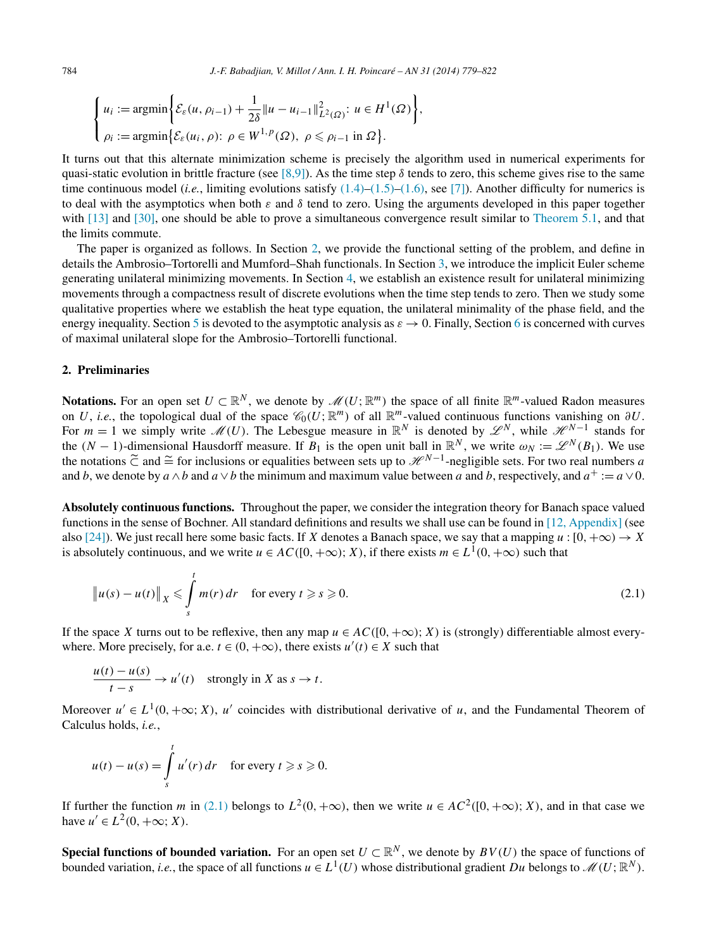$$
\begin{cases} u_i := \operatorname{argmin} \bigg\{ \mathcal{E}_{\varepsilon}(u, \rho_{i-1}) + \frac{1}{2\delta} ||u - u_{i-1}||_{L^2(\Omega)}^2 : u \in H^1(\Omega) \bigg\}, \\ \rho_i := \operatorname{argmin} \{ \mathcal{E}_{\varepsilon}(u_i, \rho) : \rho \in W^{1, p}(\Omega), \ \rho \le \rho_{i-1} \text{ in } \Omega \} . \end{cases}
$$

It turns out that this alternate minimization scheme is precisely the algorithm used in numerical experiments for quasi-static evolution in brittle fracture (see [\[8,9\]\)](#page-42-0). As the time step  $\delta$  tends to zero, this scheme gives rise to the same time continuous model (*i.e.*, limiting evolutions satisfy [\(1.4\)–](#page-2-0)[\(1.5\)–\(1.6\),](#page-3-0) see [\[7\]\)](#page-42-0). Another difficulty for numerics is to deal with the asymptotics when both *ε* and *δ* tend to zero. Using the arguments developed in this paper together with [\[13\]](#page-43-0) and [\[30\],](#page-43-0) one should be able to prove a simultaneous convergence result similar to [Theorem 5.1,](#page-23-0) and that the limits commute.

The paper is organized as follows. In Section 2, we provide the functional setting of the problem, and define in details the Ambrosio–Tortorelli and Mumford–Shah functionals. In Section [3,](#page-7-0) we introduce the implicit Euler scheme generating unilateral minimizing movements. In Section [4,](#page-9-0) we establish an existence result for unilateral minimizing movements through a compactness result of discrete evolutions when the time step tends to zero. Then we study some qualitative properties where we establish the heat type equation, the unilateral minimality of the phase field, and the energy inequality. Section [5](#page-23-0) is devoted to the asymptotic analysis as  $\varepsilon \to 0$ . Finally, Section [6](#page-32-0) is concerned with curves of maximal unilateral slope for the Ambrosio–Tortorelli functional.

# **2. Preliminaries**

**Notations.** For an open set  $U \subset \mathbb{R}^N$ , we denote by  $\mathcal{M}(U;\mathbb{R}^m)$  the space of all finite  $\mathbb{R}^m$ -valued Radon measures on *U*, *i.e.*, the topological dual of the space  $\mathcal{C}_0(U;\mathbb{R}^m)$  of all  $\mathbb{R}^m$ -valued continuous functions vanishing on  $\partial U$ . For  $m = 1$  we simply write  $\mathcal{M}(U)$ . The Lebesgue measure in  $\mathbb{R}^N$  is denoted by  $\mathcal{L}^N$ , while  $\mathcal{H}^{N-1}$  stands for the  $(N-1)$ -dimensional Hausdorff measure. If  $B_1$  is the open unit ball in  $\mathbb{R}^N$ , we write  $\omega_N := \mathscr{L}^N(B_1)$ . We use the notations  $\tilde{C}$  and  $\cong$  for inclusions or equalities between sets up to  $\mathcal{H}^{N-1}$ -negligible sets. For two real numbers *a* and *b*, we denote by  $a \wedge b$  and  $a \vee b$  the minimum and maximum value between *a* and *b*, respectively, and  $a^+ := a \vee 0$ .

**Absolutely continuous functions.** Throughout the paper, we consider the integration theory for Banach space valued functions in the sense of Bochner. All standard definitions and results we shall use can be found in [\[12, Appendix\]](#page-43-0) (see also [\[24\]\)](#page-43-0). We just recall here some basic facts. If *X* denotes a Banach space, we say that a mapping  $u : [0, +\infty) \to X$ is absolutely continuous, and we write  $u \in AC([0, +\infty); X)$ , if there exists  $m \in L^1(0, +\infty)$  such that

$$
\|u(s) - u(t)\|_X \leq \int_s^t m(r) dr \quad \text{for every } t \geq s \geq 0.
$$
 (2.1)

If the space *X* turns out to be reflexive, then any map  $u \in AC([0, +\infty); X)$  is (strongly) differentiable almost everywhere. More precisely, for a.e.  $t \in (0, +\infty)$ , there exists  $u'(t) \in X$  such that

$$
\frac{u(t) - u(s)}{t - s} \to u'(t) \quad \text{strongly in } X \text{ as } s \to t.
$$

Moreover  $u' \in L^1(0, +\infty; X)$ , *u'* coincides with distributional derivative of *u*, and the Fundamental Theorem of Calculus holds, *i.e.*,

$$
u(t) - u(s) = \int_{s}^{t} u'(r) dr \quad \text{for every } t \ge s \ge 0.
$$

If further the function *m* in (2.1) belongs to  $L^2(0, +\infty)$ , then we write  $u \in AC^2([0, +\infty); X)$ , and in that case we have  $u' \in L^2(0, +\infty; X)$ .

**Special functions of bounded variation.** For an open set  $U \subset \mathbb{R}^N$ , we denote by  $BV(U)$  the space of functions of bounded variation, *i.e.*, the space of all functions  $u \in L^1(U)$  whose distributional gradient *Du* belongs to  $\mathcal{M}(U;\mathbb{R}^N)$ .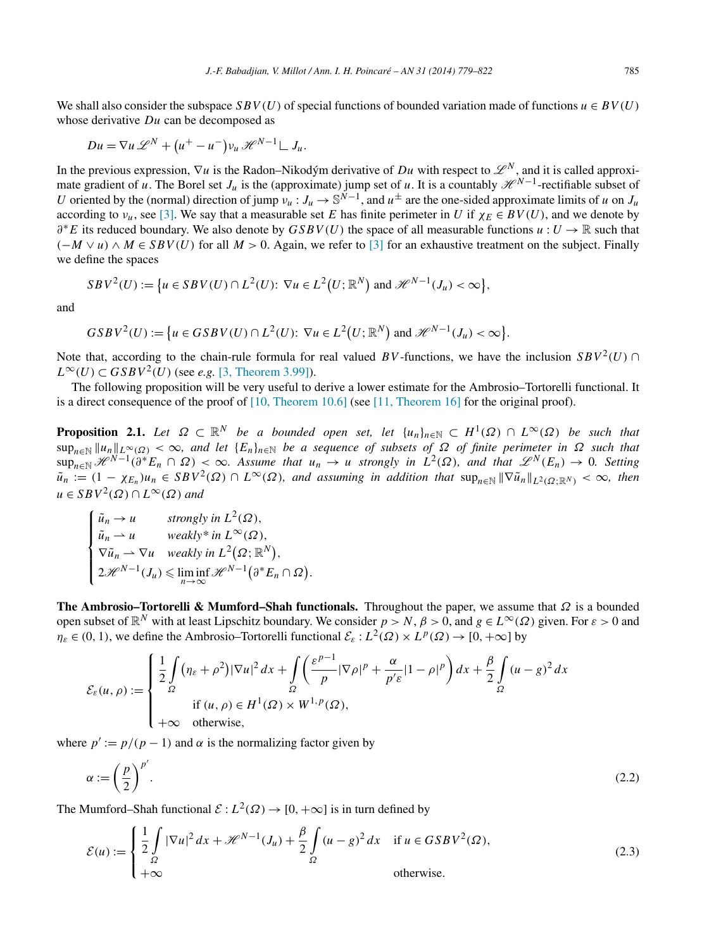<span id="page-6-0"></span>We shall also consider the subspace *SBV(U)* of special functions of bounded variation made of functions  $u \in BV(U)$ whose derivative *Du* can be decomposed as

$$
Du = \nabla u \mathcal{L}^N + (u^+ - u^-)v_u \mathcal{H}^{N-1} \mathcal{L} J_u.
$$

In the previous expression,  $\nabla u$  is the Radon–Nikodým derivative of *Du* with respect to  $\mathscr{L}^N$ , and it is called approximate gradient of *u*. The Borel set  $J_u$  is the (approximate) jump set of *u*. It is a countably  $\mathcal{H}^{N-1}$ -rectifiable subset of *U* oriented by the (normal) direction of jump  $v_u : J_u \to \mathbb{S}^{\tilde{N}-1}$ , and  $u^{\pm}$  are the one-sided approximate limits of *u* on  $J_u$ according to  $v_u$ , see [\[3\].](#page-42-0) We say that a measurable set *E* has finite perimeter in *U* if  $\chi_F \in BV(U)$ , and we denote by *∂*∗*E* its reduced boundary. We also denote by *GSBV (U)* the space of all measurable functions *u* : *U* → R such that  $(-M \vee u) \wedge M$  ∈ *SBV(U)* for all  $M > 0$ . Again, we refer to [\[3\]](#page-42-0) for an exhaustive treatment on the subject. Finally we define the spaces

$$
SBV^2(U) := \left\{ u \in SBV(U) \cap L^2(U) \colon \nabla u \in L^2(U; \mathbb{R}^N) \text{ and } \mathcal{H}^{N-1}(J_u) < \infty \right\},\
$$

and

$$
GSBV^2(U) := \left\{ u \in GSBV(U) \cap L^2(U): \nabla u \in L^2(U; \mathbb{R}^N) \text{ and } \mathcal{H}^{N-1}(J_u) < \infty \right\}.
$$

Note that, according to the chain-rule formula for real valued *BV*-functions, we have the inclusion  $SBV^2(U)$  ∩  $L^{\infty}(U) \subset GSBV^2(U)$  (see *e.g.* [\[3, Theorem 3.99\]\)](#page-42-0).

The following proposition will be very useful to derive a lower estimate for the Ambrosio–Tortorelli functional. It is a direct consequence of the proof of [\[10, Theorem 10.6\]](#page-42-0) (see [\[11, Theorem 16\]](#page-43-0) for the original proof).

**Proposition 2.1.** *Let*  $\Omega \subset \mathbb{R}^N$  *be a bounded open set, let*  $\{u_n\}_{n\in\mathbb{N}} \subset H^1(\Omega) \cap L^\infty(\Omega)$  *be such that*  $\sup_{n\in\mathbb{N}} ||u_n||_{L^{\infty}(\Omega)} < \infty$ , and let  $\{E_n\}_{n\in\mathbb{N}}$  be a sequence of subsets of  $\Omega$  of finite perimeter in  $\Omega$  such that  $\sup_{n\in\mathbb{N}} \mathcal{H}^{N-1}(\partial^* E_n \cap \Omega) < \infty$ . Assume that  $u_n \to u$  strongly in  $L^2(\Omega)$ , and that  $\mathcal{L}^N(E_n) \to 0$ . Setting  $\tilde{u}_n := (1 - \chi_{E_n})u_n \in SBV^2(\Omega) \cap L^{\infty}(\Omega)$ , and assuming in addition that  $\sup_{n \in \mathbb{N}} ||\nabla \tilde{u}_n||_{L^2(\Omega;\mathbb{R}^N)} < \infty$ , then  $u ∈ SBV<sup>2</sup>(Ω) ∩ L<sup>∞</sup>(Ω)$  *and* 

$$
\begin{cases} \tilde{u}_n \to u & \text{strongly in } L^2(\Omega), \\ \tilde{u}_n \to u & \text{weakly* in } L^{\infty}(\Omega), \\ \nabla \tilde{u}_n \to \nabla u & \text{weakly in } L^2(\Omega; \mathbb{R}^N), \\ 2\mathcal{H}^{N-1}(J_u) \leq \liminf_{n \to \infty} \mathcal{H}^{N-1}(\partial^* E_n \cap \Omega). \end{cases}
$$

**The Ambrosio–Tortorelli & Mumford–Shah functionals.** Throughout the paper, we assume that *Ω* is a bounded open subset of  $\mathbb{R}^N$  with at least Lipschitz boundary. We consider  $p > N$ ,  $\beta > 0$ , and  $g \in L^\infty(\Omega)$  given. For  $\varepsilon > 0$  and  $\eta_{\varepsilon} \in (0, 1)$ , we define the Ambrosio–Tortorelli functional  $\mathcal{E}_{\varepsilon}: L^2(\Omega) \times L^p(\Omega) \to [0, +\infty]$  by

$$
\mathcal{E}_{\varepsilon}(u,\rho) := \begin{cases} \frac{1}{2} \int_{\Omega} (\eta_{\varepsilon} + \rho^2) |\nabla u|^2 dx + \int_{\Omega} \left( \frac{\varepsilon^{p-1}}{p} |\nabla \rho|^p + \frac{\alpha}{p' \varepsilon} |1 - \rho|^p \right) dx + \frac{\beta}{2} \int_{\Omega} (u - g)^2 dx \\ \text{if } (u,\rho) \in H^1(\Omega) \times W^{1,p}(\Omega), \\ +\infty \quad \text{otherwise}, \end{cases}
$$

where  $p' := p/(p-1)$  and  $\alpha$  is the normalizing factor given by

$$
\alpha := \left(\frac{p}{2}\right)^{p'}.\tag{2.2}
$$

The Mumford–Shah functional  $\mathcal{E}: L^2(\Omega) \to [0, +\infty]$  is in turn defined by

$$
\mathcal{E}(u) := \begin{cases} \frac{1}{2} \int_{\Omega} |\nabla u|^2 dx + \mathcal{H}^{N-1}(J_u) + \frac{\beta}{2} \int_{\Omega} (u - g)^2 dx & \text{if } u \in GSBV^2(\Omega), \\ +\infty & \text{otherwise.} \end{cases}
$$
(2.3)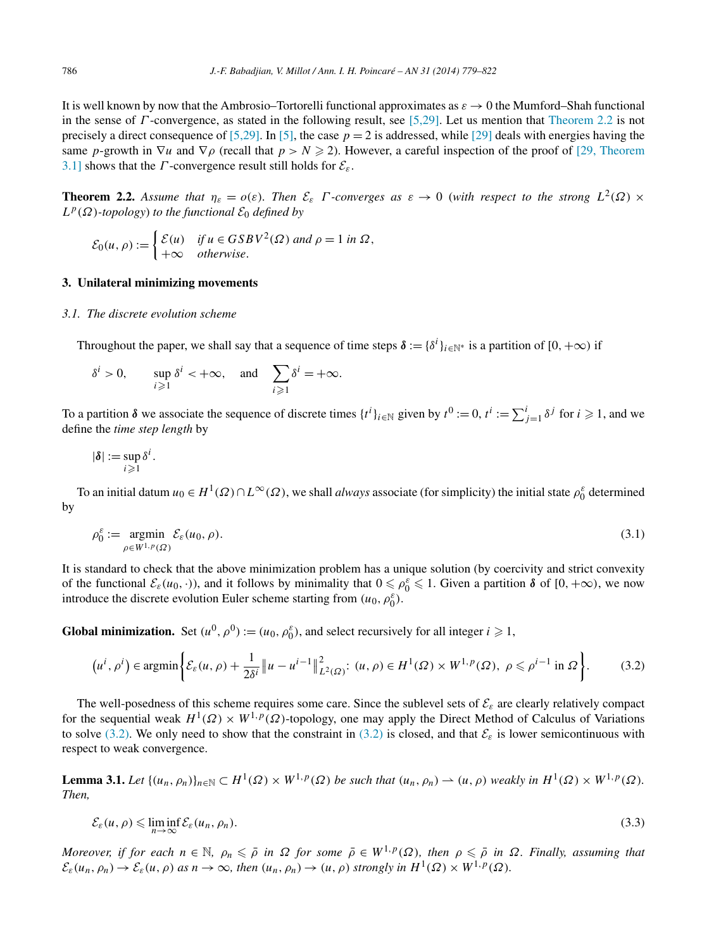<span id="page-7-0"></span>It is well known by now that the Ambrosio–Tortorelli functional approximates as  $\varepsilon \to 0$  the Mumford–Shah functional in the sense of *Γ* -convergence, as stated in the following result, see [\[5,29\].](#page-42-0) Let us mention that Theorem 2.2 is not precisely a direct consequence of  $[5,29]$ . In  $[5]$ , the case  $p = 2$  is addressed, while  $[29]$  deals with energies having the same *p*-growth in  $\nabla u$  and  $\nabla \rho$  (recall that  $p > N \ge 2$ ). However, a careful inspection of the proof of [\[29, Theorem](#page-43-0) [3.1\]](#page-43-0) shows that the *Γ*-convergence result still holds for  $\mathcal{E}_{\varepsilon}$ .

**Theorem 2.2.** Assume that  $\eta_{\varepsilon} = o(\varepsilon)$ . Then  $\mathcal{E}_{\varepsilon}$  *Γ -converges as*  $\varepsilon \to 0$  (*with respect to the strong*  $L^2(\Omega) \times$  $L^p(\Omega)$ *-topology*) *to the functional*  $\mathcal{E}_0$  *defined by* 

$$
\mathcal{E}_0(u,\rho) := \begin{cases} \mathcal{E}(u) & \text{if } u \in GSBV^2(\Omega) \text{ and } \rho = 1 \text{ in } \Omega, \\ +\infty & \text{otherwise.} \end{cases}
$$

## **3. Unilateral minimizing movements**

## *3.1. The discrete evolution scheme*

Throughout the paper, we shall say that a sequence of time steps  $\delta := \{\delta^i\}_{i\in\mathbb{N}^*}$  is a partition of  $[0, +\infty)$  if

$$
\delta^i > 0, \quad \sup_{i \geq 1} \delta^i < +\infty, \quad \text{and} \quad \sum_{i \geq 1} \delta^i = +\infty.
$$

To a partition  $\delta$  we associate the sequence of discrete times  $\{t^i\}_{i\in\mathbb{N}}$  given by  $t^0 := 0$ ,  $t^i := \sum_{j=1}^i \delta^j$  for  $i \ge 1$ , and we define the *time step length* by

$$
|\boldsymbol{\delta}| := \sup_{i \geqslant 1} \delta^i.
$$

To an initial datum  $u_0 \in H^1(\Omega) \cap L^\infty(\Omega)$ , we shall *always* associate (for simplicity) the initial state  $\rho_0^{\varepsilon}$  determined by

$$
\rho_0^{\varepsilon} := \underset{\rho \in W^{1,p}(\Omega)}{\operatorname{argmin}} \mathcal{E}_{\varepsilon}(u_0, \rho). \tag{3.1}
$$

It is standard to check that the above minimization problem has a unique solution (by coercivity and strict convexity of the functional  $\mathcal{E}_{\varepsilon}(u_0, \cdot)$ , and it follows by minimality that  $0 \le \rho_0^{\varepsilon} \le 1$ . Given a partition  $\delta$  of  $[0, +\infty)$ , we now introduce the discrete evolution Euler scheme starting from  $(u_0, \rho_0^{\varepsilon})$ .

**Global minimization.** Set  $(u^0, \rho^0) := (u_0, \rho_0^{\varepsilon})$ , and select recursively for all integer  $i \ge 1$ ,

$$
\left(u^{i},\rho^{i}\right)\in\operatorname{argmin}\left\{\mathcal{E}_{\varepsilon}(u,\rho)+\frac{1}{2\delta^{i}}\left\|u-u^{i-1}\right\|_{L^{2}(\Omega)}^{2}\colon\left(u,\rho\right)\in H^{1}(\Omega)\times W^{1,p}(\Omega),\ \rho\leqslant\rho^{i-1}\text{ in }\Omega\right\}.\tag{3.2}
$$

The well-posedness of this scheme requires some care. Since the sublevel sets of  $\mathcal{E}_{\varepsilon}$  are clearly relatively compact for the sequential weak  $H^1(\Omega) \times W^{1,p}(\Omega)$ -topology, one may apply the Direct Method of Calculus of Variations to solve (3.2). We only need to show that the constraint in (3.2) is closed, and that  $\mathcal{E}_{\varepsilon}$  is lower semicontinuous with respect to weak convergence.

**Lemma 3.1.** *Let*  $\{(u_n, \rho_n)\}_{n \in \mathbb{N}} \subset H^1(\Omega) \times W^{1,p}(\Omega)$  *be such that*  $(u_n, \rho_n) \to (u, \rho)$  *weakly in*  $H^1(\Omega) \times W^{1,p}(\Omega)$ *. Then,*

$$
\mathcal{E}_{\varepsilon}(u,\rho) \leqslant \liminf_{n \to \infty} \mathcal{E}_{\varepsilon}(u_n,\rho_n). \tag{3.3}
$$

Moreover, if for each  $n \in \mathbb{N}$ ,  $\rho_n \leqslant \bar{\rho}$  in  $\Omega$  for some  $\bar{\rho} \in W^{1,p}(\Omega)$ , then  $\rho \leqslant \bar{\rho}$  in  $\Omega$ . Finally, assuming that  $\mathcal{E}_{\varepsilon}(u_n, \rho_n) \to \mathcal{E}_{\varepsilon}(u, \rho)$  *as*  $n \to \infty$ *, then*  $(u_n, \rho_n) \to (u, \rho)$  *strongly in*  $H^1(\Omega) \times W^{1, p}(\Omega)$ *.*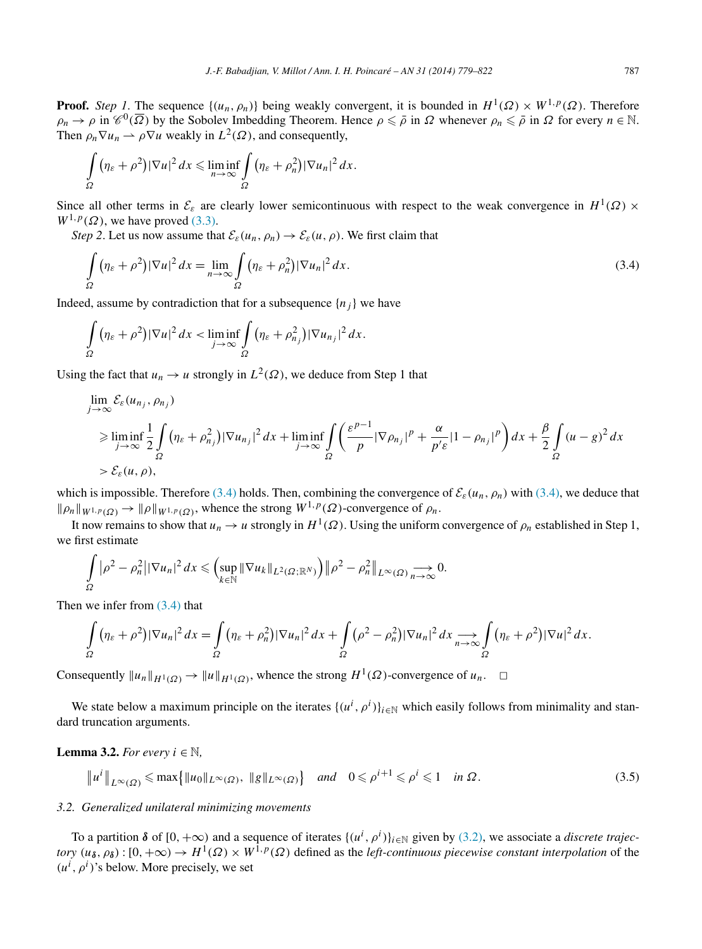<span id="page-8-0"></span>**Proof.** *Step 1*. The sequence  $\{(u_n, \rho_n)\}$  being weakly convergent, it is bounded in  $H^1(\Omega) \times W^{1,p}(\Omega)$ . Therefore  $\rho_n \to \rho$  in  $\mathscr{C}^0(\overline{\Omega})$  by the Sobolev Imbedding Theorem. Hence  $\rho \leq \overline{\rho}$  in  $\Omega$  whenever  $\rho_n \leq \overline{\rho}$  in  $\Omega$  for every  $n \in \mathbb{N}$ . Then  $\rho_n \nabla u_n \rightharpoonup \rho \nabla u$  weakly in  $L^2(\Omega)$ , and consequently,

$$
\int_{\Omega} (\eta_{\varepsilon} + \rho^2) |\nabla u|^2 dx \leq \liminf_{n \to \infty} \int_{\Omega} (\eta_{\varepsilon} + \rho_n^2) |\nabla u_n|^2 dx.
$$

Since all other terms in  $\mathcal{E}_{\varepsilon}$  are clearly lower semicontinuous with respect to the weak convergence in  $H^1(\Omega) \times$  $W^{1,p}(\Omega)$ , we have proved [\(3.3\).](#page-7-0)

*Step 2*. Let us now assume that  $\mathcal{E}_{\varepsilon}(u_n, \rho_n) \to \mathcal{E}_{\varepsilon}(u, \rho)$ . We first claim that

$$
\int_{\Omega} (\eta_{\varepsilon} + \rho^2) |\nabla u|^2 dx = \lim_{n \to \infty} \int_{\Omega} (\eta_{\varepsilon} + \rho_n^2) |\nabla u_n|^2 dx.
$$
\n(3.4)

Indeed, assume by contradiction that for a subsequence  ${n_i}$  we have

$$
\int_{\Omega} (\eta_{\varepsilon} + \rho^2) |\nabla u|^2 dx < \liminf_{j \to \infty} \int_{\Omega} (\eta_{\varepsilon} + \rho_{n_j}^2) |\nabla u_{n_j}|^2 dx.
$$

Using the fact that  $u_n \to u$  strongly in  $L^2(\Omega)$ , we deduce from Step 1 that

$$
\lim_{j \to \infty} \mathcal{E}_{\varepsilon}(u_{n_j}, \rho_{n_j})
$$
\n
$$
\geq \liminf_{j \to \infty} \frac{1}{2} \int_{\Omega} (\eta_{\varepsilon} + \rho_{n_j}^2) |\nabla u_{n_j}|^2 dx + \liminf_{j \to \infty} \int_{\Omega} \left( \frac{\varepsilon^{p-1}}{p} |\nabla \rho_{n_j}|^p + \frac{\alpha}{p' \varepsilon} |1 - \rho_{n_j}|^p \right) dx + \frac{\beta}{2} \int_{\Omega} (u - g)^2 dx
$$
\n
$$
> \mathcal{E}_{\varepsilon}(u, \rho),
$$

which is impossible. Therefore (3.4) holds. Then, combining the convergence of  $\mathcal{E}_{\varepsilon}(u_n, \rho_n)$  with (3.4), we deduce that  $\|\rho_n\|_{W^{1,p}(\Omega)} \to \|\rho\|_{W^{1,p}(\Omega)}$ , whence the strong  $W^{1,p}(\Omega)$ -convergence of  $\rho_n$ .

It now remains to show that  $u_n \to u$  strongly in  $H^1(\Omega)$ . Using the uniform convergence of  $\rho_n$  established in Step 1, we first estimate

$$
\int_{\Omega} |\rho^2 - \rho_n^2| |\nabla u_n|^2 dx \leqslant \Bigl( \sup_{k \in \mathbb{N}} ||\nabla u_k||_{L^2(\Omega; \mathbb{R}^N)} \Bigr) \bigl\| \rho^2 - \rho_n^2 \bigr\|_{L^\infty(\Omega)} \underset{n \to \infty}{\longrightarrow} 0.
$$

Then we infer from (3.4) that

$$
\int_{\Omega} (\eta_{\varepsilon} + \rho^2) |\nabla u_n|^2 dx = \int_{\Omega} (\eta_{\varepsilon} + \rho_n^2) |\nabla u_n|^2 dx + \int_{\Omega} (\rho^2 - \rho_n^2) |\nabla u_n|^2 dx \longrightarrow_{n \to \infty} \int_{\Omega} (\eta_{\varepsilon} + \rho^2) |\nabla u|^2 dx.
$$

Consequently  $||u_n||_{H^1(\Omega)} \to ||u||_{H^1(\Omega)}$ , whence the strong  $H^1(\Omega)$ -convergence of  $u_n$ .  $\Box$ 

We state below a maximum principle on the iterates  $\{(u^i, \rho^i)\}_{i\in\mathbb{N}}$  which easily follows from minimality and standard truncation arguments.

**Lemma 3.2.** *For every*  $i \in \mathbb{N}$ ,

$$
\|u^i\|_{L^{\infty}(\Omega)} \le \max\{\|u_0\|_{L^{\infty}(\Omega)}, \ \|g\|_{L^{\infty}(\Omega)}\} \quad \text{and} \quad 0 \le \rho^{i+1} \le \rho^i \le 1 \quad \text{in } \Omega. \tag{3.5}
$$

#### *3.2. Generalized unilateral minimizing movements*

To a partition  $\delta$  of  $[0, +\infty)$  and a sequence of iterates  $\{(u^i, \rho^i)\}_{i\in\mathbb{N}}$  given by [\(3.2\),](#page-7-0) we associate a *discrete trajectory*  $(u_{\delta}, \rho_{\delta})$ :  $[0, +\infty) \to H^1(\Omega) \times W^{1,p}(\Omega)$  defined as the *left-continuous piecewise constant interpolation* of the  $(u^i, \rho^i)$ 's below. More precisely, we set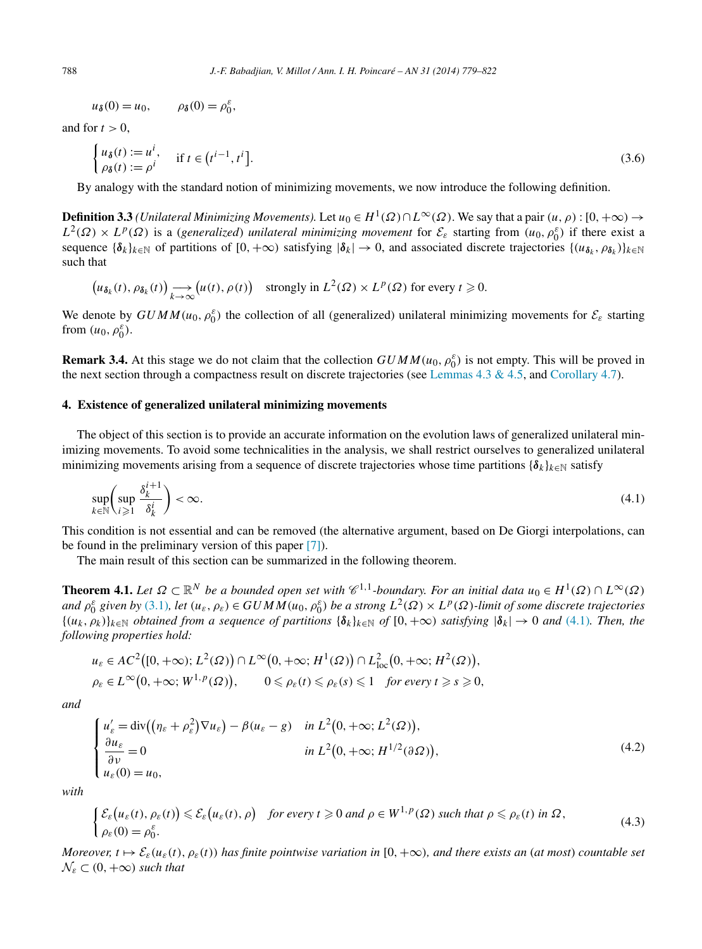<span id="page-9-0"></span>
$$
u_{\delta}(0) = u_0, \qquad \rho_{\delta}(0) = \rho_0^{\varepsilon},
$$

and for  $t > 0$ .

$$
\begin{cases} u_{\delta}(t) := u^{i}, & \text{if } t \in (t^{i-1}, t^{i}].\\ \rho_{\delta}(t) := \rho^{i} \end{cases}
$$
 (3.6)

By analogy with the standard notion of minimizing movements, we now introduce the following definition.

**Definition 3.3** *(Unilateral Minimizing Movements).* Let  $u_0 \in H^1(\Omega) \cap L^\infty(\Omega)$ . We say that a pair  $(u, \rho) : [0, +\infty) \to$  $L^2(\Omega) \times L^p(\Omega)$  is a (*generalized*) *unilateral minimizing movement* for  $\mathcal{E}_{\varepsilon}$  starting from  $(u_0, \rho_0^{\varepsilon})$  if there exist a sequence  ${\delta_k}_{k \in \mathbb{N}}$  of partitions of  $[0, +\infty)$  satisfying  $|\delta_k| \to 0$ , and associated discrete trajectories  $\{(u_{\delta_k}, \rho_{\delta_k})\}_{k \in \mathbb{N}}$ such that

$$
\left(u_{\delta_k}(t), \rho_{\delta_k}(t)\right) \longrightarrow_{k \to \infty} \left(u(t), \rho(t)\right) \quad \text{strongly in } L^2(\Omega) \times L^p(\Omega) \text{ for every } t \geq 0.
$$

We denote by  $GUMM(u_0, \rho_0^{\varepsilon})$  the collection of all (generalized) unilateral minimizing movements for  $\mathcal{E}_{\varepsilon}$  starting from  $(u_0, \rho_0^{\varepsilon})$ .

**Remark 3.4.** At this stage we do not claim that the collection  $GUMM(u_0, \rho_0^{\varepsilon})$  is not empty. This will be proved in the next section through a compactness result on discrete trajectories (see [Lemmas 4.3 & 4.5,](#page-11-0) and [Corollary 4.7\)](#page-14-0).

## **4. Existence of generalized unilateral minimizing movements**

The object of this section is to provide an accurate information on the evolution laws of generalized unilateral minimizing movements. To avoid some technicalities in the analysis, we shall restrict ourselves to generalized unilateral minimizing movements arising from a sequence of discrete trajectories whose time partitions  ${\{\delta_k\}}_{k\in\mathbb{N}}$  satisfy

$$
\sup_{k \in \mathbb{N}} \left( \sup_{i \geq 1} \frac{\delta_k^{i+1}}{\delta_k^i} \right) < \infty. \tag{4.1}
$$

This condition is not essential and can be removed (the alternative argument, based on De Giorgi interpolations, can be found in the preliminary version of this paper [\[7\]\)](#page-42-0).

The main result of this section can be summarized in the following theorem.

**Theorem 4.1.** Let  $\Omega \subset \mathbb{R}^N$  be a bounded open set with  $\mathscr{C}^{1,1}$ -boundary. For an initial data  $u_0 \in H^1(\Omega) \cap L^\infty(\Omega)$ and  $\rho_0^{\varepsilon}$  given by [\(3.1\)](#page-7-0), let  $(u_{\varepsilon}, \rho_{\varepsilon}) \in GUMM(u_0, \rho_0^{\varepsilon})$  be a strong  $L^2(\Omega) \times L^p(\Omega)$ -limit of some discrete trajectories  ${(u_k, \rho_k)}_{k \in \mathbb{N}}$  *obtained from a sequence of partitions*  ${\delta_k}_{k \in \mathbb{N}}$  *of*  $[0, +\infty)$  *satisfying*  $|{\delta_k}| \to 0$  *and* (4.1)*. Then, the following properties hold:*

$$
u_{\varepsilon} \in AC^2([0, +\infty); L^2(\Omega)) \cap L^{\infty}(0, +\infty; H^1(\Omega)) \cap L^2_{loc}(0, +\infty; H^2(\Omega)),
$$
  
\n
$$
\rho_{\varepsilon} \in L^{\infty}(0, +\infty; W^{1, p}(\Omega)), \qquad 0 \leq \rho_{\varepsilon}(t) \leq \rho_{\varepsilon}(s) \leq 1 \quad \text{for every } t \geq s \geq 0,
$$

*and*

$$
\begin{cases}\n u'_{\varepsilon} = \text{div}\left((\eta_{\varepsilon} + \rho_{\varepsilon}^{2})\nabla u_{\varepsilon}\right) - \beta(u_{\varepsilon} - g) & \text{in } L^{2}(0, +\infty; L^{2}(\Omega)), \\
 \frac{\partial u_{\varepsilon}}{\partial v} = 0 & \text{in } L^{2}(0, +\infty; H^{1/2}(\partial \Omega)), \\
 u_{\varepsilon}(0) = u_{0},\n\end{cases}
$$
\n(4.2)

*with*

$$
\begin{cases} \mathcal{E}_{\varepsilon}(u_{\varepsilon}(t), \rho_{\varepsilon}(t)) \leq \mathcal{E}_{\varepsilon}(u_{\varepsilon}(t), \rho) & \text{for every } t \geq 0 \text{ and } \rho \in W^{1, p}(\Omega) \text{ such that } \rho \leq \rho_{\varepsilon}(t) \text{ in } \Omega, \\ \rho_{\varepsilon}(0) = \rho_{0}^{\varepsilon}. \end{cases}
$$
(4.3)

*Moreover,*  $t \mapsto \mathcal{E}_{\varepsilon}(u_{\varepsilon}(t), \rho_{\varepsilon}(t))$  has finite pointwise variation in [0, + $\infty$ )*, and there exists an* (*at most*) *countable set*  $\mathcal{N}_{\varepsilon} \subset (0, +\infty)$  *such that*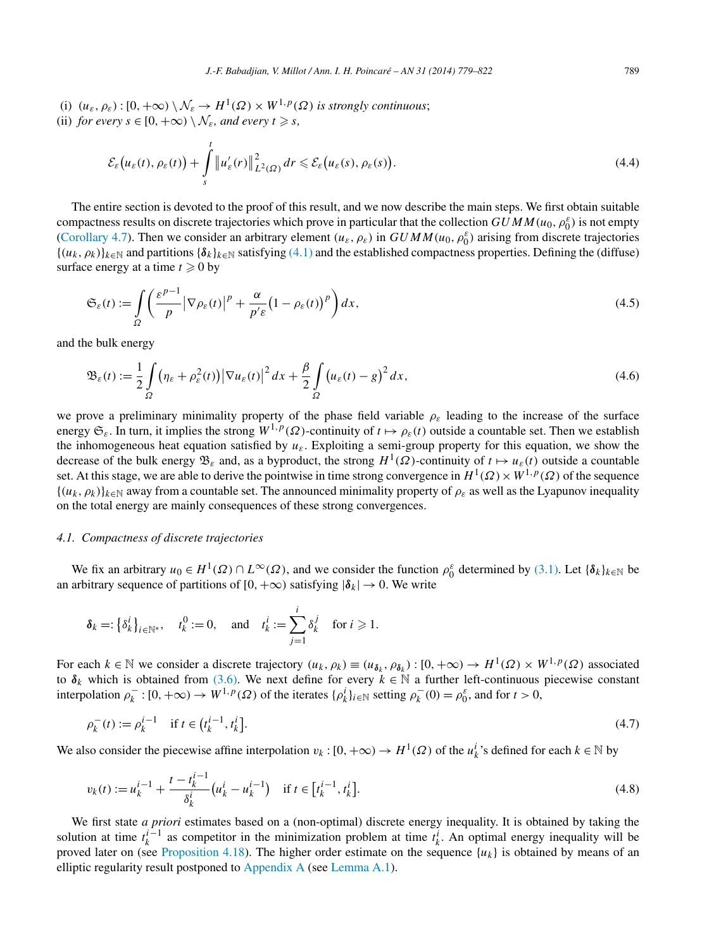<span id="page-10-0"></span>(i)  $(u_{\varepsilon}, \rho_{\varepsilon}) : [0, +\infty) \setminus \mathcal{N}_{\varepsilon} \to H^1(\Omega) \times W^{1,p}(\Omega)$  *is strongly continuous*; (ii) *for every*  $s \in [0, +\infty) \setminus \mathcal{N}_{\varepsilon}$ *, and every*  $t \geq s$ *,* 

$$
\mathcal{E}_{\varepsilon}\big(u_{\varepsilon}(t), \rho_{\varepsilon}(t)\big) + \int\limits_{s}^{t} \left\|u_{\varepsilon}'(r)\right\|_{L^{2}(\Omega)}^{2} dr \leqslant \mathcal{E}_{\varepsilon}\big(u_{\varepsilon}(s), \rho_{\varepsilon}(s)\big).
$$
\n(4.4)

The entire section is devoted to the proof of this result, and we now describe the main steps. We first obtain suitable compactness results on discrete trajectories which prove in particular that the collection  $GUMM(u_0, \rho_0^{\varepsilon})$  is not empty [\(Corollary 4.7\)](#page-14-0). Then we consider an arbitrary element  $(u_{\varepsilon}, \rho_{\varepsilon})$  in  $GUMM(u_0, \rho_0^{\varepsilon})$  arising from discrete trajectories  ${(u_k, \rho_k)}_{k \in \mathbb{N}}$  and partitions  ${\delta_k}_{k \in \mathbb{N}}$  satisfying [\(4.1\)](#page-9-0) and the established compactness properties. Defining the (diffuse) surface energy at a time  $t \ge 0$  by

$$
\mathfrak{S}_{\varepsilon}(t) := \int_{\Omega} \left( \frac{\varepsilon^{p-1}}{p} \left| \nabla \rho_{\varepsilon}(t) \right|^{p} + \frac{\alpha}{p^{\prime} \varepsilon} \left( 1 - \rho_{\varepsilon}(t) \right)^{p} \right) dx, \tag{4.5}
$$

and the bulk energy

$$
\mathfrak{B}_{\varepsilon}(t) := \frac{1}{2} \int_{\Omega} \left( \eta_{\varepsilon} + \rho_{\varepsilon}^{2}(t) \right) \left| \nabla u_{\varepsilon}(t) \right|^{2} dx + \frac{\beta}{2} \int_{\Omega} \left( u_{\varepsilon}(t) - g \right)^{2} dx, \tag{4.6}
$$

we prove a preliminary minimality property of the phase field variable *ρε* leading to the increase of the surface energy  $\mathfrak{S}_{\varepsilon}$ . In turn, it implies the strong  $W^{1,p}(\Omega)$ -continuity of  $t \mapsto \rho_{\varepsilon}(t)$  outside a countable set. Then we establish the inhomogeneous heat equation satisfied by  $u_{\varepsilon}$ . Exploiting a semi-group property for this equation, we show the decrease of the bulk energy  $\mathfrak{B}_{\varepsilon}$  and, as a byproduct, the strong  $H^1(\Omega)$ -continuity of  $t \mapsto u_{\varepsilon}(t)$  outside a countable set. At this stage, we are able to derive the pointwise in time strong convergence in  $H^1(\Omega) \times W^{1,p}(\Omega)$  of the sequence  ${(u_k, \rho_k)}_{k \in \mathbb{N}}$  away from a countable set. The announced minimality property of  $\rho_{\varepsilon}$  as well as the Lyapunov inequality on the total energy are mainly consequences of these strong convergences.

#### *4.1. Compactness of discrete trajectories*

We fix an arbitrary  $u_0 \in H^1(\Omega) \cap L^\infty(\Omega)$ , and we consider the function  $\rho_0^{\varepsilon}$  determined by [\(3.1\).](#page-7-0) Let  $\{\delta_k\}_{k \in \mathbb{N}}$  be an arbitrary sequence of partitions of  $[0, +\infty)$  satisfying  $|\delta_k| \to 0$ . We write

$$
\delta_k =: \left\{ \delta_k^i \right\}_{i \in \mathbb{N}^*}, \quad t_k^0 := 0, \quad \text{and} \quad t_k^i := \sum_{j=1}^i \delta_k^j \quad \text{for } i \geq 1.
$$

For each  $k \in \mathbb{N}$  we consider a discrete trajectory  $(u_k, \rho_k) \equiv (u_{\delta_k}, \rho_{\delta_k}) : [0, +\infty) \to H^1(\Omega) \times W^{1,p}(\Omega)$  associated to  $\delta_k$  which is obtained from [\(3.6\).](#page-9-0) We next define for every  $k \in \mathbb{N}$  a further left-continuous piecewise constant interpolation  $\rho_k^-$ :  $[0, +\infty) \to W^{1,p}(\Omega)$  of the iterates  $\{\rho_k^i\}_{i\in\mathbb{N}}$  setting  $\rho_k^-(0) = \rho_0^{\varepsilon}$ , and for  $t > 0$ ,

$$
\rho_k^-(t) := \rho_k^{i-1} \quad \text{if } t \in (t_k^{i-1}, t_k^i].
$$
\n(4.7)

We also consider the piecewise affine interpolation  $v_k : [0, +\infty) \to H^1(\Omega)$  of the  $u_k^i$ 's defined for each  $k \in \mathbb{N}$  by

$$
v_k(t) := u_k^{i-1} + \frac{t - t_k^{i-1}}{\delta_k^i} \left( u_k^i - u_k^{i-1} \right) \quad \text{if } t \in \left[ t_k^{i-1}, t_k^i \right]. \tag{4.8}
$$

We first state *a priori* estimates based on a (non-optimal) discrete energy inequality. It is obtained by taking the solution at time  $t_k^{i-1}$  as competitor in the minimization problem at time  $t_k^i$ . An optimal energy inequality will be proved later on (see [Proposition 4.18\)](#page-22-0). The higher order estimate on the sequence  $\{u_k\}$  is obtained by means of an elliptic regularity result postponed to [Appendix A](#page-40-0) (see [Lemma A.1\)](#page-40-0).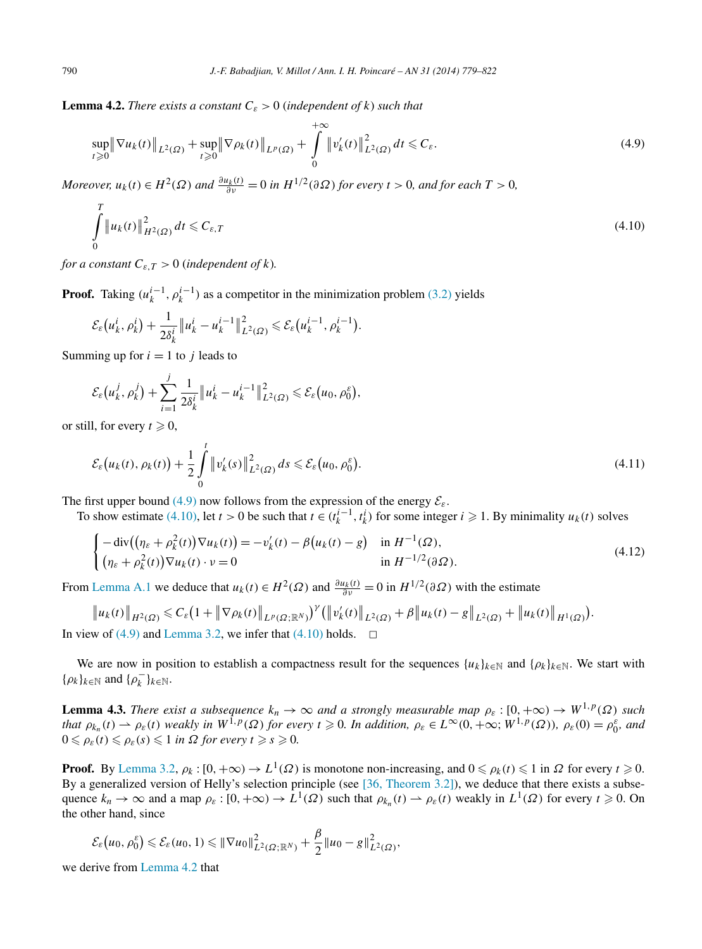<span id="page-11-0"></span>**Lemma 4.2.** *There exists a constant*  $C_{\varepsilon} > 0$  (*independent* of *k*) *such that* 

$$
\sup_{t\geq 0} \|\nabla u_k(t)\|_{L^2(\Omega)} + \sup_{t\geq 0} \|\nabla \rho_k(t)\|_{L^p(\Omega)} + \int_0^{+\infty} \|v'_k(t)\|_{L^2(\Omega)}^2 dt \leq C_{\varepsilon}.
$$
\n(4.9)

*Moreover,*  $u_k(t) \in H^2(\Omega)$  *and*  $\frac{\partial u_k(t)}{\partial v} = 0$  *in*  $H^{1/2}(\partial \Omega)$  *for every*  $t > 0$ *, and for each*  $T > 0$ *,* 

$$
\int_{0}^{T} \|u_{k}(t)\|_{H^{2}(\Omega)}^{2} dt \leq C_{\varepsilon,T}
$$
\n(4.10)

*for a constant*  $C_{\varepsilon,T} > 0$  (*independent of k*).

**Proof.** Taking  $(u_k^{i-1}, \rho_k^{i-1})$  as a competitor in the minimization problem [\(3.2\)](#page-7-0) yields

$$
\mathcal{E}_{\varepsilon}\big(u_k^i, \rho_k^i\big)+\frac{1}{2\delta_k^i}\big\|u_k^i-u_k^{i-1}\big\|_{L^2(\Omega)}^2\leqslant \mathcal{E}_{\varepsilon}\big(u_k^{i-1}, \rho_k^{i-1}\big).
$$

Summing up for  $i = 1$  to *j* leads to

$$
\mathcal{E}_{\varepsilon}\big(u_k^j, \rho_k^j\big) + \sum_{i=1}^j \frac{1}{2\delta_k^i} \|u_k^i - u_k^{i-1}\|_{L^2(\Omega)}^2 \leqslant \mathcal{E}_{\varepsilon}\big(u_0, \rho_0^{\varepsilon}\big)
$$

or still, for every  $t \geq 0$ ,

$$
\mathcal{E}_{\varepsilon}\big(u_k(t), \rho_k(t)\big) + \frac{1}{2} \int\limits_0^t \left\|v'_k(s)\right\|_{L^2(\Omega)}^2 ds \leqslant \mathcal{E}_{\varepsilon}\big(u_0, \rho_0^{\varepsilon}\big). \tag{4.11}
$$

*,*

The first upper bound (4.9) now follows from the expression of the energy  $\mathcal{E}_{\varepsilon}$ .

To show estimate (4.10), let  $t > 0$  be such that  $t \in (t_k^{i-1}, t_k^i)$  for some integer  $i \ge 1$ . By minimality  $u_k(t)$  solves

$$
\begin{cases}\n-\operatorname{div}\left((\eta_{\varepsilon}+\rho_{k}^{2}(t))\nabla u_{k}(t)\right)=-\nu_{k}'(t)-\beta\left(u_{k}(t)-g\right) & \text{in } H^{-1}(\Omega), \\
(\eta_{\varepsilon}+\rho_{k}^{2}(t))\nabla u_{k}(t)\cdot\nu=0 & \text{in } H^{-1/2}(\partial\Omega).\n\end{cases}
$$
\n(4.12)

From [Lemma A.1](#page-40-0) we deduce that  $u_k(t) \in H^2(\Omega)$  and  $\frac{\partial u_k(t)}{\partial v} = 0$  in  $H^{1/2}(\partial \Omega)$  with the estimate

$$
\|u_{k}(t)\|_{H^{2}(\Omega)} \leq C_{\varepsilon} \left(1+\|\nabla \rho_{k}(t)\|_{L^{p}(\Omega; \mathbb{R}^{N})}\right)^{\gamma} \left(\|v_{k}'(t)\|_{L^{2}(\Omega)}+\beta\|u_{k}(t)-g\|_{L^{2}(\Omega)}+\|u_{k}(t)\|_{H^{1}(\Omega)}\right).
$$
  
In view of (4.9) and Lemma 3.2, we infer that (4.10) holds.  $\square$ 

We are now in position to establish a compactness result for the sequences  $\{u_k\}_{k\in\mathbb{N}}$  and  $\{\rho_k\}_{k\in\mathbb{N}}$ . We start with  $\{\rho_k\}_{k\in\mathbb{N}}$  and  $\{\rho_k^-\}_{k\in\mathbb{N}}$ .

**Lemma 4.3.** *There exist a subsequence*  $k_n \to \infty$  *and a strongly measurable map*  $\rho_{\varepsilon}$  :  $[0, +\infty) \to W^{1,p}(\Omega)$  *such* that  $\rho_{k_n}(t) \to \rho_{\varepsilon}(t)$  weakly in  $W^{\tilde{1},p}(\Omega)$  for every  $t \geq 0$ . In addition,  $\rho_{\varepsilon} \in L^{\infty}(0,+\infty;W^{1,p}(\Omega))$ ,  $\rho_{\varepsilon}(0) = \rho_0^{\varepsilon}$ , and  $0 \leq \rho_{\varepsilon}(t) \leq \rho_{\varepsilon}(s) \leq 1$  in  $\Omega$  for every  $t \geq s \geq 0$ .

**Proof.** By [Lemma](#page-8-0) 3.2,  $\rho_k$ :  $[0, +\infty) \to L^1(\Omega)$  is monotone non-increasing, and  $0 \le \rho_k(t) \le 1$  in  $\Omega$  for every  $t \ge 0$ . By a generalized version of Helly's selection principle (see [\[36, Theorem 3.2\]\)](#page-43-0), we deduce that there exists a subsequence  $k_n \to \infty$  and a map  $\rho_{\varepsilon} : [0, +\infty) \to L^1(\Omega)$  such that  $\rho_{k_n}(t) \to \rho_{\varepsilon}(t)$  weakly in  $L^1(\Omega)$  for every  $t \ge 0$ . On the other hand, since

$$
\mathcal{E}_{\varepsilon}(u_0,\rho_0^{\varepsilon})\leqslant \mathcal{E}_{\varepsilon}(u_0,1)\leqslant \|\nabla u_0\|_{L^2(\Omega;\mathbb{R}^N)}^2+\frac{\beta}{2}\|u_0-g\|_{L^2(\Omega)}^2,
$$

we derive from Lemma 4.2 that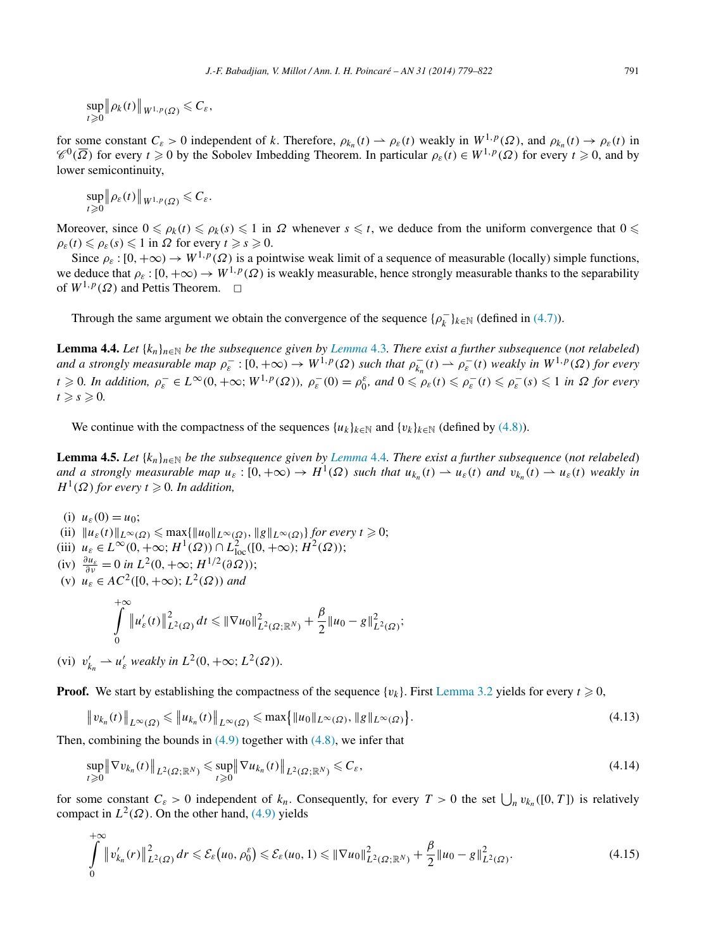<span id="page-12-0"></span>sup  $t \geqslant 0$  $\left\|\rho_k(t)\right\|_{W^{1,p}(\Omega)} \leqslant C_\varepsilon,$ 

for some constant  $C_{\varepsilon} > 0$  independent of *k*. Therefore,  $\rho_{k_n}(t) \to \rho_{\varepsilon}(t)$  weakly in  $W^{1,p}(\Omega)$ , and  $\rho_{k_n}(t) \to \rho_{\varepsilon}(t)$  in  $\mathcal{C}^0(\overline{\Omega})$  for every  $t \ge 0$  by the Sobolev Imbedding Theorem. In particular  $\rho_{\varepsilon}(t) \in W^{1,p}(\Omega)$  for every  $t \ge 0$ , and by lower semicontinuity,

$$
\sup_{t\geq 0} \|\rho_{\varepsilon}(t)\|_{W^{1,p}(\Omega)} \leq C_{\varepsilon}.
$$

Moreover, since  $0 \le \rho_k(t) \le \rho_k(s) \le 1$  in  $\Omega$  whenever  $s \le t$ , we deduce from the uniform convergence that  $0 \le$  $\rho_{\varepsilon}(t) \leq \rho_{\varepsilon}(s) \leq 1$  in  $\Omega$  for every  $t \geq s \geq 0$ .

Since  $\rho_{\varepsilon}$  :  $[0, +\infty) \to W^{1,p}(\Omega)$  is a pointwise weak limit of a sequence of measurable (locally) simple functions, we deduce that  $\rho_{\varepsilon} : [0, +\infty) \to W^{1,p}(\Omega)$  is weakly measurable, hence strongly measurable thanks to the separability of  $W^{1,p}(\Omega)$  and Pettis Theorem.  $\square$ 

Through the same argument we obtain the convergence of the sequence  $\{\rho_k^-\}_{k\in\mathbb{N}}$  (defined in [\(4.7\)\)](#page-10-0).

**[Lemma](#page-11-0) 4.4.** Let  $\{k_n\}_{n\in\mathbb{N}}$  be the subsequence given by *Lemma* 4.3. There exist a further subsequence (not relabeled) and a strongly measurable map  $\rho_{\varepsilon}^{-}:[0,+\infty) \to W^{1,p}(\Omega)$  such that  $\rho_{k_n}^-(t) \to \rho_{\varepsilon}^-(t)$  weakly in  $W^{1,p}(\Omega)$  for every  $t \geq 0$ . In addition,  $\rho_{\varepsilon}^- \in L^{\infty}(0, +\infty; W^{1, p}(\Omega))$ ,  $\rho_{\varepsilon}^-(0) = \rho_0^{\varepsilon}$ , and  $0 \leq \rho_{\varepsilon}(t) \leq \rho_{\varepsilon}^-(t) \leq \rho_{\varepsilon}^-(s) \leq 1$  in  $\Omega$  for every  $t \geqslant s \geqslant 0$ .

We continue with the compactness of the sequences  $\{u_k\}_{k\in\mathbb{N}}$  and  $\{v_k\}_{k\in\mathbb{N}}$  (defined by [\(4.8\)\)](#page-10-0).

**Lemma 4.5.** *Let*  $\{k_n\}_{n\in\mathbb{N}}$  *be the subsequence given by Lemma 4.4. There exist a further subsequence* (*not relabeled*) *and a strongly measurable map*  $u_{\varepsilon} : [0, +\infty) \to H^1(\Omega)$  *such that*  $u_{k_n}(t) \to u_{\varepsilon}(t)$  *and*  $v_{k_n}(t) \to u_{\varepsilon}(t)$  *weakly in*  $H^1(\Omega)$  *for every*  $t \geq 0$ *. In addition,* 

- (i)  $u_{\varepsilon}(0) = u_0$ ;
- $\|u_{\varepsilon}(t)\|_{L^{\infty}(\Omega)} \leqslant \max\{\|u_0\|_{L^{\infty}(\Omega)}, \|g\|_{L^{\infty}(\Omega)}\}$  *for every*  $t \geqslant 0$ ;
- (iii)  $u_{\varepsilon} \in L^{\infty}(0, +\infty; H^1(\Omega)) \cap L^2_{\text{loc}}([0, +\infty); H^2(\Omega));$
- $(iv)$   $\frac{\partial u_{\varepsilon}}{\partial v} = 0$  *in*  $L^2(0, +\infty; H^{1/2}(\partial \Omega));$
- (v) *uε* ∈ *AC*2*(*[0*,*+∞*)*;*L*2*(Ω)) and*

$$
\int_{0}^{+\infty} \|u'_{\varepsilon}(t)\|_{L^{2}(\Omega)}^{2} dt \leq \| \nabla u_{0} \|_{L^{2}(\Omega; \mathbb{R}^{N})}^{2} + \frac{\beta}{2} \| u_{0} - g \|_{L^{2}(\Omega)}^{2};
$$

(vi)  $v'_{k_n} \rightharpoonup u'_{\varepsilon}$  weakly in  $L^2(0, +\infty; L^2(\Omega))$ *.* 

**Proof.** We start by establishing the compactness of the sequence  $\{v_k\}$ . First [Lemma 3.2](#page-8-0) yields for every  $t \ge 0$ ,

$$
\|v_{k_n}(t)\|_{L^{\infty}(\Omega)} \le \|u_{k_n}(t)\|_{L^{\infty}(\Omega)} \le \max\{\|u_0\|_{L^{\infty}(\Omega)}, \|g\|_{L^{\infty}(\Omega)}\}.
$$
\n(4.13)

Then, combining the bounds in  $(4.9)$  together with  $(4.8)$ , we infer that

$$
\sup_{t\geqslant 0} \|\nabla v_{k_n}(t)\|_{L^2(\Omega;\mathbb{R}^N)} \leqslant \sup_{t\geqslant 0} \|\nabla u_{k_n}(t)\|_{L^2(\Omega;\mathbb{R}^N)} \leqslant C_{\varepsilon},
$$
\n(4.14)

for some constant  $C_{\varepsilon} > 0$  independent of  $k_n$ . Consequently, for every  $T > 0$  the set  $\bigcup_n v_{k_n}([0, T])$  is relatively compact in  $L^2(\Omega)$ . On the other hand, [\(4.9\)](#page-11-0) yields

$$
\int_{0}^{+\infty} \left\|v_{k_n}'(r)\right\|_{L^2(\Omega)}^2 dr \leqslant \mathcal{E}_{\varepsilon}\left(u_0, \rho_0^{\varepsilon}\right) \leqslant \mathcal{E}_{\varepsilon}\left(u_0, 1\right) \leqslant \left\|\nabla u_0\right\|_{L^2(\Omega; \mathbb{R}^N)}^2 + \frac{\beta}{2} \left\|u_0 - g\right\|_{L^2(\Omega)}^2. \tag{4.15}
$$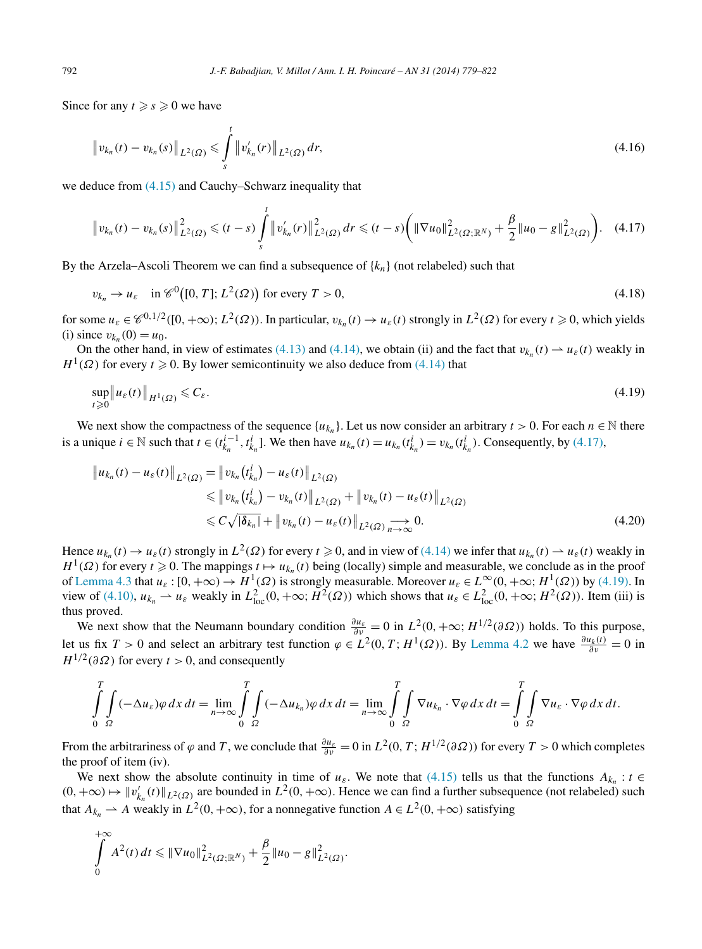<span id="page-13-0"></span>Since for any  $t \ge s \ge 0$  we have

$$
\|v_{k_n}(t) - v_{k_n}(s)\|_{L^2(\Omega)} \leq \int_s^t \|v'_{k_n}(r)\|_{L^2(\Omega)} dr,
$$
\n(4.16)

we deduce from [\(4.15\)](#page-12-0) and Cauchy–Schwarz inequality that

$$
\|v_{k_n}(t) - v_{k_n}(s)\|_{L^2(\Omega)}^2 \le (t-s) \int\limits_s^t \|v_{k_n}'(r)\|_{L^2(\Omega)}^2 \, dr \le (t-s) \bigg(\|\nabla u_0\|_{L^2(\Omega;\mathbb{R}^N)}^2 + \frac{\beta}{2} \|u_0 - g\|_{L^2(\Omega)}^2\bigg). \tag{4.17}
$$

By the Arzela–Ascoli Theorem we can find a subsequence of {*kn*} (not relabeled) such that

$$
v_{k_n} \to u_{\varepsilon} \quad \text{in } \mathscr{C}^0([0,T]; L^2(\Omega)) \text{ for every } T > 0,
$$
\n
$$
(4.18)
$$

for some  $u_{\varepsilon} \in \mathcal{C}^{0,1/2}([0,+\infty); L^2(\Omega))$ . In particular,  $v_{k_n}(t) \to u_{\varepsilon}(t)$  strongly in  $L^2(\Omega)$  for every  $t \ge 0$ , which yields (i) since  $v_{k_n}(0) = u_0$ .

On the other hand, in view of estimates [\(4.13\)](#page-12-0) and [\(4.14\),](#page-12-0) we obtain (ii) and the fact that  $v_{k_n}(t) \rightharpoonup u_{\varepsilon}(t)$  weakly in  $H^1(\Omega)$  for every  $t \ge 0$ . By lower semicontinuity we also deduce from [\(4.14\)](#page-12-0) that

$$
\sup_{t\geqslant 0} \|u_{\varepsilon}(t)\|_{H^1(\Omega)} \leqslant C_{\varepsilon}.\tag{4.19}
$$

We next show the compactness of the sequence  $\{u_{k_n}\}\$ . Let us now consider an arbitrary  $t > 0$ . For each  $n \in \mathbb{N}$  there is a unique  $i \in \mathbb{N}$  such that  $t \in (t_{k_n}^{i-1}, t_{k_n}^i]$ . We then have  $u_{k_n}(t) = u_{k_n}(t_{k_n}^i) = v_{k_n}(t_{k_n}^i)$ . Consequently, by (4.17),

$$
\|u_{k_n}(t) - u_{\varepsilon}(t)\|_{L^2(\Omega)} = \|v_{k_n}(t_{k_n}^i) - u_{\varepsilon}(t)\|_{L^2(\Omega)} \n\le \|v_{k_n}(t_{k_n}^i) - v_{k_n}(t)\|_{L^2(\Omega)} + \|v_{k_n}(t) - u_{\varepsilon}(t)\|_{L^2(\Omega)} \n\le C\sqrt{|\delta_{k_n}|} + \|v_{k_n}(t) - u_{\varepsilon}(t)\|_{L^2(\Omega)} \to 0.
$$
\n(4.20)

Hence  $u_{k_n}(t) \to u_{\varepsilon}(t)$  strongly in  $L^2(\Omega)$  for every  $t \ge 0$ , and in view of [\(4.14\)](#page-12-0) we infer that  $u_{k_n}(t) \to u_{\varepsilon}(t)$  weakly in *H*<sup>1</sup>( $\Omega$ ) for every *t*  $\geq$  0. The mappings *t*  $\mapsto$  *u*<sub>*kn*</sub>(*t*) being (locally) simple and measurable, we conclude as in the proof of [Lemma 4.3](#page-11-0) that  $u_{\varepsilon} : [0, +\infty) \to H^1(\Omega)$  is strongly measurable. Moreover  $u_{\varepsilon} \in L^{\infty}(0, +\infty; H^1(\Omega))$  by (4.19). In view of [\(4.10\),](#page-11-0)  $u_{k_n} \to u_{\varepsilon}$  weakly in  $L^2_{loc}(0, +\infty; H^2(\Omega))$  which shows that  $u_{\varepsilon} \in L^2_{loc}(0, +\infty; H^2(\Omega))$ . Item (iii) is thus proved.

We next show that the Neumann boundary condition  $\frac{\partial u_{\varepsilon}}{\partial v} = 0$  in  $L^2(0, +\infty; H^{1/2}(\partial \Omega))$  holds. To this purpose, let us fix  $T > 0$  and select an arbitrary test function  $\varphi \in L^2(0, T; H^1(\Omega))$ . By [Lemma 4.2](#page-11-0) we have  $\frac{\partial u_k(t)}{\partial v} = 0$  in  $H^{1/2}(\partial \Omega)$  for every *t* > 0, and consequently

$$
\int_{0}^{T} \int_{\Omega} (-\Delta u_{\varepsilon}) \varphi \, dx \, dt = \lim_{n \to \infty} \int_{0}^{T} \int_{\Omega} (-\Delta u_{k_n}) \varphi \, dx \, dt = \lim_{n \to \infty} \int_{0}^{T} \int_{\Omega} \nabla u_{k_n} \cdot \nabla \varphi \, dx \, dt = \int_{0}^{T} \int_{\Omega} \nabla u_{\varepsilon} \cdot \nabla \varphi \, dx \, dt.
$$

From the arbitrariness of  $\varphi$  and *T*, we conclude that  $\frac{\partial u_{\varepsilon}}{\partial v} = 0$  in  $L^2(0, T; H^{1/2}(\partial \Omega))$  for every  $T > 0$  which completes the proof of item (iv).

We next show the absolute continuity in time of  $u_{\varepsilon}$ . We note that [\(4.15\)](#page-12-0) tells us that the functions  $A_{k_n} : t \in$  $(0, +\infty)$  →  $||v'_{k_n}(t)||_{L^2(\Omega)}$  are bounded in  $L^2(0, +\infty)$ . Hence we can find a further subsequence (not relabeled) such that  $A_{k_n} \rightharpoonup A$  weakly in  $L^2(0, +\infty)$ , for a nonnegative function  $A \in L^2(0, +\infty)$  satisfying

$$
\int_{0}^{+\infty} A^{2}(t) dt \leq \|\nabla u_{0}\|_{L^{2}(\Omega;\mathbb{R}^{N})}^{2} + \frac{\beta}{2} \|u_{0} - g\|_{L^{2}(\Omega)}^{2}.
$$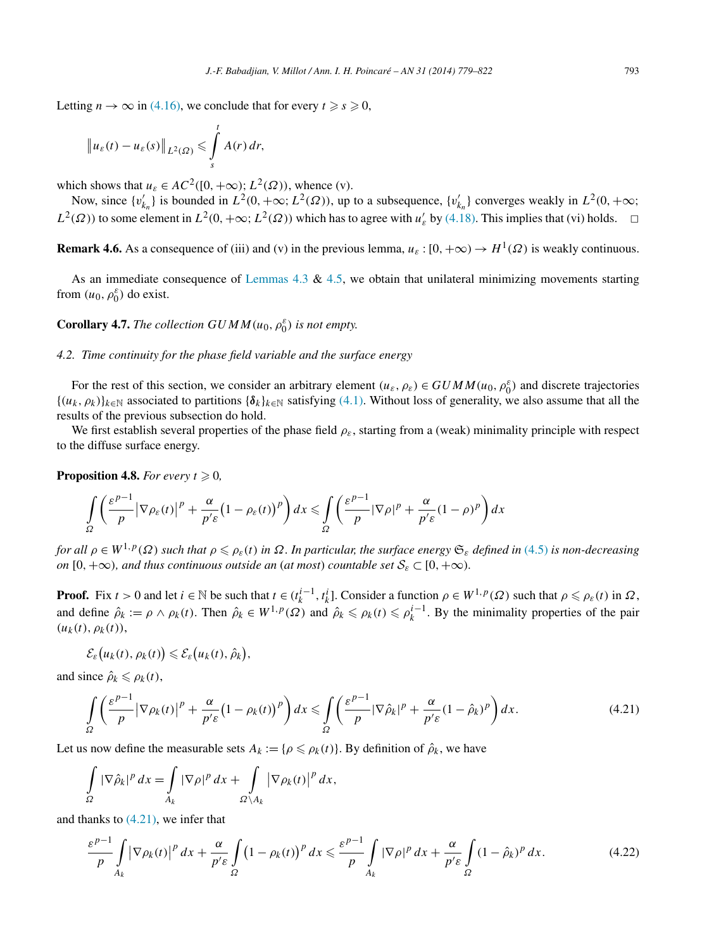<span id="page-14-0"></span>Letting  $n \to \infty$  in [\(4.16\),](#page-13-0) we conclude that for every  $t \geq s \geq 0$ ,

$$
\|u_{\varepsilon}(t)-u_{\varepsilon}(s)\|_{L^2(\Omega)}\leqslant \int\limits_s^t A(r)\,dr,
$$

which shows that  $u_{\varepsilon} \in AC^2([0, +\infty); L^2(\Omega))$ , whence (v).

Now, since  $\{v'_{k_n}\}\$ is bounded in  $L^2(0, +\infty; L^2(\Omega))$ , up to a subsequence,  $\{v'_{k_n}\}\$ converges weakly in  $L^2(0, +\infty;$  $L^2(\Omega)$ ) to some element in  $L^2(0, +\infty; L^2(\Omega))$  which has to agree with  $u'_\varepsilon$  by [\(4.18\).](#page-13-0) This implies that (vi) holds.  $\Box$ 

**Remark 4.6.** As a consequence of (iii) and (v) in the previous lemma,  $u_{\varepsilon}$ : [0, + $\infty$ )  $\rightarrow$   $H^1(\Omega)$  is weakly continuous.

As an immediate consequence of [Lemmas](#page-11-0) 4.3  $\&$  [4.5,](#page-12-0) we obtain that unilateral minimizing movements starting from  $(u_0, \rho_0^{\varepsilon})$  do exist.

**Corollary 4.7.** *The collection*  $GUMM(u_0, \rho_0^{\varepsilon})$  *is not empty.* 

## *4.2. Time continuity for the phase field variable and the surface energy*

For the rest of this section, we consider an arbitrary element  $(u_{\varepsilon}, \rho_{\varepsilon}) \in GUMM(u_0, \rho_0^{\varepsilon})$  and discrete trajectories  $\{(u_k, \rho_k)\}_{k \in \mathbb{N}}$  associated to partitions  $\{\delta_k\}_{k \in \mathbb{N}}$  satisfying [\(4.1\).](#page-9-0) Without loss of generality, we also assume that all the results of the previous subsection do hold.

We first establish several properties of the phase field *ρε*, starting from a (weak) minimality principle with respect to the diffuse surface energy.

**Proposition 4.8.** *For every*  $t \geq 0$ ,

$$
\int_{\Omega} \left( \frac{\varepsilon^{p-1}}{p} \left| \nabla \rho_{\varepsilon}(t) \right|^{p} + \frac{\alpha}{p' \varepsilon} \left( 1 - \rho_{\varepsilon}(t) \right)^{p} \right) dx \leq \int_{\Omega} \left( \frac{\varepsilon^{p-1}}{p} \left| \nabla \rho \right|^{p} + \frac{\alpha}{p' \varepsilon} (1 - \rho)^{p} \right) dx
$$

*for all*  $\rho \in W^{1,p}(\Omega)$  *such that*  $\rho \leqslant \rho_\varepsilon(t)$  *in*  $\Omega$ . In particular, the surface energy  $\mathfrak{S}_\varepsilon$  defined in [\(4.5\)](#page-10-0) is non-decreasing *on* [0*,* +∞*), and thus continuous outside an (at most) <i>countable set*  $S_{\varepsilon} \subset [0, +\infty)$ *.* 

**Proof.** Fix  $t > 0$  and let  $i \in \mathbb{N}$  be such that  $t \in (t_k^{i-1}, t_k^i]$ . Consider a function  $\rho \in W^{1,p}(\Omega)$  such that  $\rho \leq \rho_{\varepsilon}(t)$  in  $\Omega$ , and define  $\hat{\rho}_k := \rho \wedge \rho_k(t)$ . Then  $\hat{\rho}_k \in W^{1,p}(\Omega)$  and  $\hat{\rho}_k \leq \rho_k(t) \leq \rho_k^{i-1}$ . By the minimality properties of the pair  $(u_k(t), \rho_k(t)),$ 

$$
\mathcal{E}_{\varepsilon}\big(u_k(t),\rho_k(t)\big)\leqslant \mathcal{E}_{\varepsilon}\big(u_k(t),\hat{\rho}_k\big),
$$

and since  $\hat{\rho}_k \leq \rho_k(t)$ ,

$$
\int_{\Omega} \left( \frac{\varepsilon^{p-1}}{p} |\nabla \rho_k(t)|^p + \frac{\alpha}{p' \varepsilon} (1 - \rho_k(t))^p \right) dx \le \int_{\Omega} \left( \frac{\varepsilon^{p-1}}{p} |\nabla \hat{\rho}_k|^p + \frac{\alpha}{p' \varepsilon} (1 - \hat{\rho}_k)^p \right) dx.
$$
\n(4.21)

Let us now define the measurable sets  $A_k := \{ \rho \leq \rho_k(t) \}$ . By definition of  $\hat{\rho}_k$ , we have

$$
\int_{\Omega} |\nabla \hat{\rho}_k|^p dx = \int_{A_k} |\nabla \rho|^p dx + \int_{\Omega \setminus A_k} |\nabla \rho_k(t)|^p dx,
$$

and thanks to (4.21), we infer that

$$
\frac{\varepsilon^{p-1}}{p} \int\limits_{A_k} \left| \nabla \rho_k(t) \right|^p dx + \frac{\alpha}{p' \varepsilon} \int\limits_{\Omega} \left( 1 - \rho_k(t) \right)^p dx \leqslant \frac{\varepsilon^{p-1}}{p} \int\limits_{A_k} \left| \nabla \rho \right|^p dx + \frac{\alpha}{p' \varepsilon} \int\limits_{\Omega} \left( 1 - \hat{\rho}_k \right)^p dx. \tag{4.22}
$$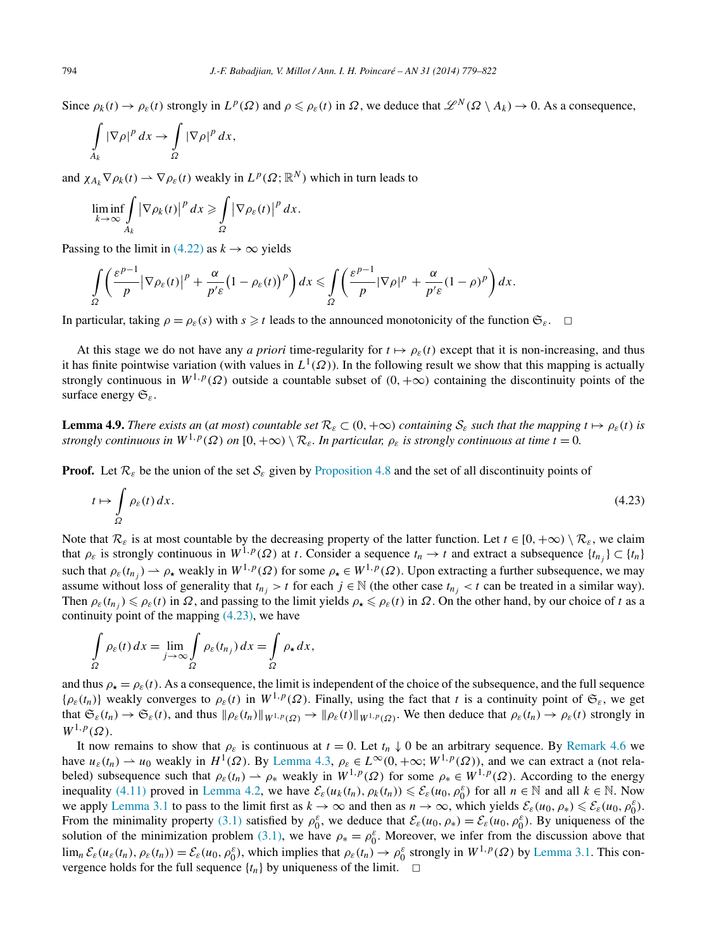<span id="page-15-0"></span>Since  $\rho_k(t) \to \rho_{\varepsilon}(t)$  strongly in  $L^p(\Omega)$  and  $\rho \leq \rho_{\varepsilon}(t)$  in  $\Omega$ , we deduce that  $\mathscr{L}^N(\Omega \setminus A_k) \to 0$ . As a consequence,

$$
\int_{A_k} |\nabla \rho|^p \, dx \to \int_{\Omega} |\nabla \rho|^p \, dx,
$$

and  $\chi_{A_k} \nabla \rho_k(t) \rightharpoonup \nabla \rho_{\varepsilon}(t)$  weakly in  $L^p(\Omega; \mathbb{R}^N)$  which in turn leads to

$$
\liminf_{k\to\infty}\int\limits_{A_k} |\nabla \rho_k(t)|^p\,dx\geqslant \int\limits_{\Omega} |\nabla \rho_{\varepsilon}(t)|^p\,dx.
$$

Passing to the limit in [\(4.22\)](#page-14-0) as  $k \to \infty$  yields

$$
\int_{\Omega} \left( \frac{\varepsilon^{p-1}}{p} \left| \nabla \rho_{\varepsilon}(t) \right|^{p} + \frac{\alpha}{p^{\prime} \varepsilon} \left( 1 - \rho_{\varepsilon}(t) \right)^{p} \right) dx \leq \int_{\Omega} \left( \frac{\varepsilon^{p-1}}{p} \left| \nabla \rho \right|^{p} + \frac{\alpha}{p^{\prime} \varepsilon} (1 - \rho)^{p} \right) dx.
$$

In particular, taking  $\rho = \rho_{\varepsilon}(s)$  with  $s \geq t$  leads to the announced monotonicity of the function  $\mathfrak{S}_{\varepsilon}$ .  $\Box$ 

At this stage we do not have any *a priori* time-regularity for  $t \mapsto \rho_{\varepsilon}(t)$  except that it is non-increasing, and thus it has finite pointwise variation (with values in  $L^1(\Omega)$ ). In the following result we show that this mapping is actually strongly continuous in  $W^{1,p}(\Omega)$  outside a countable subset of  $(0, +\infty)$  containing the discontinuity points of the surface energy S*ε*.

**Lemma 4.9.** *There exists an (at most) countable set*  $\mathcal{R}_{\varepsilon} \subset (0, +\infty)$  *containing*  $S_{\varepsilon}$  *such that the mapping*  $t \mapsto \rho_{\varepsilon}(t)$  *is strongly continuous in*  $W^{1,p}(\Omega)$  *on*  $[0, +\infty) \setminus \mathcal{R}_\varepsilon$ *. In particular,*  $\rho_\varepsilon$  *is strongly continuous at time*  $t = 0$ *.* 

**Proof.** Let  $\mathcal{R}_\varepsilon$  be the union of the set  $\mathcal{S}_\varepsilon$  given by [Proposition 4.8](#page-14-0) and the set of all discontinuity points of

$$
t \mapsto \int_{\Omega} \rho_{\varepsilon}(t) dx. \tag{4.23}
$$

Note that  $\mathcal{R}_{\varepsilon}$  is at most countable by the decreasing property of the latter function. Let  $t \in [0, +\infty) \setminus \mathcal{R}_{\varepsilon}$ , we claim that  $\rho_{\varepsilon}$  is strongly continuous in  $W^{1,p}(\Omega)$  at *t*. Consider a sequence  $t_n \to t$  and extract a subsequence  $\{t_{n_j}\} \subset \{t_n\}$ such that  $\rho_{\varepsilon}(t_{n_j}) \to \rho_{\star}$  weakly in  $W^{1,p}(\Omega)$  for some  $\rho_{\star} \in W^{1,p}(\Omega)$ . Upon extracting a further subsequence, we may assume without loss of generality that  $t_{n_j} > t$  for each  $j \in \mathbb{N}$  (the other case  $t_{n_j} < t$  can be treated in a similar way). Then  $\rho_{\varepsilon}(t_{n_j}) \leq \rho_{\varepsilon}(t)$  in  $\Omega$ , and passing to the limit yields  $\rho_{\star} \leq \rho_{\varepsilon}(t)$  in  $\Omega$ . On the other hand, by our choice of *t* as a continuity point of the mapping (4.23), we have

$$
\int_{\Omega} \rho_{\varepsilon}(t) dx = \lim_{j \to \infty} \int_{\Omega} \rho_{\varepsilon}(t_{n_j}) dx = \int_{\Omega} \rho_{\star} dx,
$$

and thus  $\rho_{\star} = \rho_{\epsilon}(t)$ . As a consequence, the limit is independent of the choice of the subsequence, and the full sequence  ${\rho_{\varepsilon}(t_n)}$  weakly converges to  $\rho_{\varepsilon}(t)$  in  $W^{1,p}(\Omega)$ . Finally, using the fact that *t* is a continuity point of  $\mathfrak{S}_{\varepsilon}$ , we get that  $\mathfrak{S}_{\varepsilon}(t_n) \to \mathfrak{S}_{\varepsilon}(t)$ , and thus  $\|\rho_{\varepsilon}(t_n)\|_{W^{1,p}(\Omega)} \to \|\rho_{\varepsilon}(t)\|_{W^{1,p}(\Omega)}$ . We then deduce that  $\rho_{\varepsilon}(t_n) \to \rho_{\varepsilon}(t)$  strongly in  $W^{1,p}(\Omega)$ .

It now remains to show that  $\rho_{\varepsilon}$  is continuous at  $t = 0$ . Let  $t_n \downarrow 0$  be an arbitrary sequence. By [Remark 4.6](#page-14-0) we have  $u_{\varepsilon}(t_n) \rightharpoonup u_0$  weakly in  $H^1(\Omega)$ . By [Lemma 4.3,](#page-11-0)  $\rho_{\varepsilon} \in L^{\infty}(0, +\infty; W^{1, p}(\Omega))$ , and we can extract a (not relabeled) subsequence such that  $\rho_{\varepsilon}(t_n) \to \rho_*$  weakly in  $W^{1,p}(\Omega)$  for some  $\rho_* \in W^{1,p}(\Omega)$ . According to the energy inequality [\(4.11\)](#page-11-0) proved in [Lemma 4.2,](#page-11-0) we have  $\mathcal{E}_{\varepsilon}(u_k(t_n), \rho_k(t_n)) \leq \mathcal{E}_{\varepsilon}(u_0, \rho_0^{\varepsilon})$  for all  $n \in \mathbb{N}$  and all  $k \in \mathbb{N}$ . Now we apply [Lemma 3.1](#page-7-0) to pass to the limit first as  $k \to \infty$  and then as  $n \to \infty$ , which yields  $\mathcal{E}_{\varepsilon}(u_0, \rho_*) \leq \mathcal{E}_{\varepsilon}(u_0, \rho_0^{\varepsilon})$ . From the minimality property [\(3.1\)](#page-7-0) satisfied by  $\rho_0^{\varepsilon}$ , we deduce that  $\mathcal{E}_{\varepsilon}(u_0, \rho_*) = \mathcal{E}_{\varepsilon}(u_0, \rho_0^{\varepsilon})$ . By uniqueness of the solution of the minimization problem [\(3.1\),](#page-7-0) we have  $\rho_* = \rho_0^{\varepsilon}$ . Moreover, we infer from the discussion above that  $\lim_{n} \mathcal{E}_{\varepsilon}(u_{\varepsilon}(t_n), \rho_{\varepsilon}(t_n)) = \mathcal{E}_{\varepsilon}(u_0, \rho_0^{\varepsilon})$ , which implies that  $\rho_{\varepsilon}(t_n) \to \rho_0^{\varepsilon}$  strongly in  $W^{1,p}(\Omega)$  by [Lemma 3.1.](#page-7-0) This convergence holds for the full sequence  $\{t_n\}$  by uniqueness of the limit.  $\Box$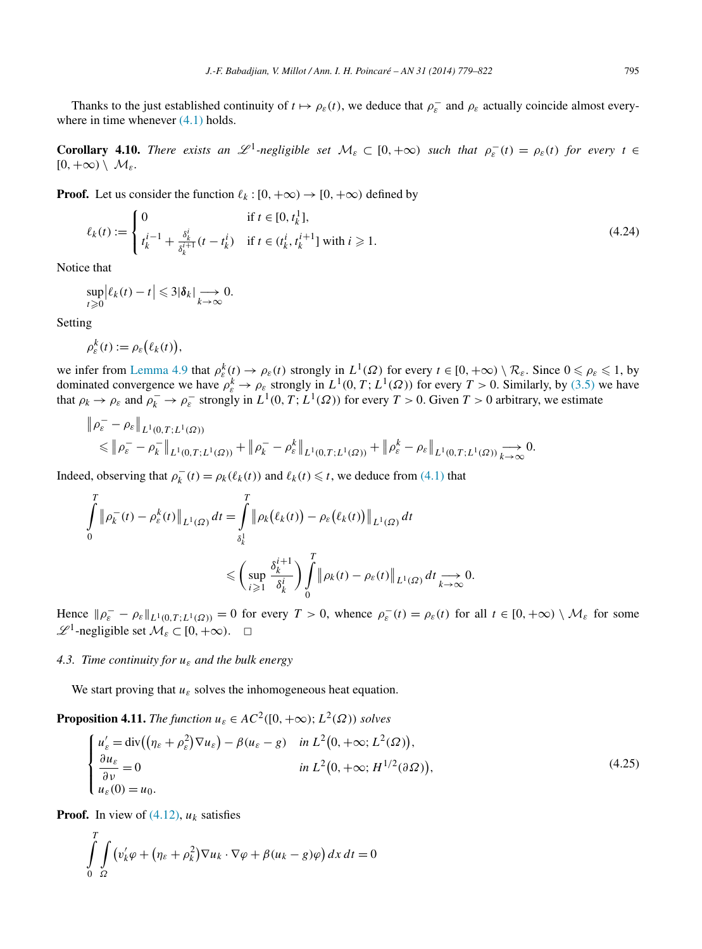<span id="page-16-0"></span>Thanks to the just established continuity of  $t \mapsto \rho_{\varepsilon}(t)$ , we deduce that  $\rho_{\varepsilon}^-$  and  $\rho_{\varepsilon}$  actually coincide almost everywhere in time whenever  $(4.1)$  holds.

**Corollary 4.10.** *There exists an*  $\mathscr{L}^1$ -negligible set  $\mathcal{M}_{\varepsilon} \subset [0, +\infty)$  such that  $\rho_{\varepsilon}^-(t) = \rho_{\varepsilon}(t)$  for every  $t \in$  $[0, +\infty) \setminus \mathcal{M}_{\varepsilon}$ .

**Proof.** Let us consider the function  $\ell_k : [0, +\infty) \to [0, +\infty)$  defined by

$$
\ell_k(t) := \begin{cases} 0 & \text{if } t \in [0, t_k^1], \\ t_k^{i-1} + \frac{\delta_k^i}{\delta_k^{i+1}}(t - t_k^i) & \text{if } t \in (t_k^i, t_k^{i+1}] \text{ with } i \ge 1. \end{cases}
$$
\n(4.24)

Notice that

$$
\sup_{t\geqslant 0} \left|\ell_k(t)-t\right| \leqslant 3|\pmb{\delta}_k| \xrightarrow[k \to \infty]{} 0.
$$

Setting

$$
\rho_{\varepsilon}^k(t) := \rho_{\varepsilon}\big(\ell_k(t)\big),
$$

we infer from [Lemma 4.9](#page-15-0) that  $\rho_{\varepsilon}^k(t) \to \rho_{\varepsilon}(t)$  strongly in  $L^1(\Omega)$  for every  $t \in [0, +\infty) \setminus \mathcal{R}_{\varepsilon}$ . Since  $0 \le \rho_{\varepsilon} \le 1$ , by dominated convergence we have  $\rho_{\varepsilon}^k \to \rho_{\varepsilon}$  strongly in  $L^1(0,T;L^1(\Omega))$  for every  $T > 0$ . Similarly, by [\(3.5\)](#page-8-0) we have that  $\rho_k \to \rho_\varepsilon$  and  $\rho_k^- \to \rho_\varepsilon^-$  strongly in  $L^1(0,T; L^1(\Omega))$  for every  $T > 0$ . Given  $T > 0$  arbitrary, we estimate

$$
\|\rho_{\varepsilon}^{-}-\rho_{\varepsilon}\|_{L^{1}(0,T;L^{1}(\Omega))}\n\leq \|\rho_{\varepsilon}^{-}-\rho_{\varepsilon}^{-}\|_{L^{1}(0,T;L^{1}(\Omega))}+\|\rho_{\varepsilon}^{-}-\rho_{\varepsilon}^{k}\|_{L^{1}(0,T;L^{1}(\Omega))}+\|\rho_{\varepsilon}^{k}-\rho_{\varepsilon}\|_{L^{1}(0,T;L^{1}(\Omega))}\n\stackrel{\longrightarrow}{\longrightarrow} 0.
$$

Indeed, observing that  $\rho_k^-(t) = \rho_k(\ell_k(t))$  and  $\ell_k(t) \leq t$ , we deduce from [\(4.1\)](#page-9-0) that

$$
\int_{0}^{T} \|\rho_k^{-}(t) - \rho_{\varepsilon}^{k}(t)\|_{L^{1}(\Omega)} dt = \int_{\delta_{k}^{1}}^{T} \|\rho_k(\ell_{k}(t)) - \rho_{\varepsilon}(\ell_{k}(t))\|_{L^{1}(\Omega)} dt
$$
\n
$$
\leq \left(\sup_{i \geq 1} \frac{\delta_{k}^{i+1}}{\delta_{k}^{i}}\right) \int_{0}^{T} \|\rho_k(t) - \rho_{\varepsilon}(t)\|_{L^{1}(\Omega)} dt \underset{k \to \infty}{\longrightarrow} 0.
$$

Hence  $\|\rho_{\varepsilon} - \rho_{\varepsilon}\|_{L^1(0,T;L^1(\Omega))} = 0$  for every  $T > 0$ , whence  $\rho_{\varepsilon}^-(t) = \rho_{\varepsilon}(t)$  for all  $t \in [0, +\infty) \setminus \mathcal{M}_{\varepsilon}$  for some  $\mathscr{L}^1$ -negligible set  $\mathcal{M}_{\varepsilon} \subset [0, +\infty)$ .  $\Box$ 

# *4.3. Time continuity for uε and the bulk energy*

We start proving that  $u_{\varepsilon}$  solves the inhomogeneous heat equation.

**Proposition 4.11.** *The function*  $u_{\varepsilon} \in AC^2([0, +\infty); L^2(\Omega))$  *solves* 

$$
\begin{cases}\n u'_{\varepsilon} = \text{div}\left((\eta_{\varepsilon} + \rho_{\varepsilon}^{2})\nabla u_{\varepsilon}\right) - \beta(u_{\varepsilon} - g) & \text{in } L^{2}(0, +\infty; L^{2}(\Omega)), \\
 \frac{\partial u_{\varepsilon}}{\partial v} = 0 & \text{in } L^{2}(0, +\infty; H^{1/2}(\partial \Omega)), \\
 u_{\varepsilon}(0) = u_{0}.\n\end{cases}
$$
\n(4.25)

**Proof.** In view of  $(4.12)$ ,  $u_k$  satisfies

$$
\int_{0}^{T} \int_{\Omega} \left( v_{k}' \varphi + \left( \eta_{\varepsilon} + \rho_{k}^{2} \right) \nabla u_{k} \cdot \nabla \varphi + \beta (u_{k} - g) \varphi \right) dx dt = 0
$$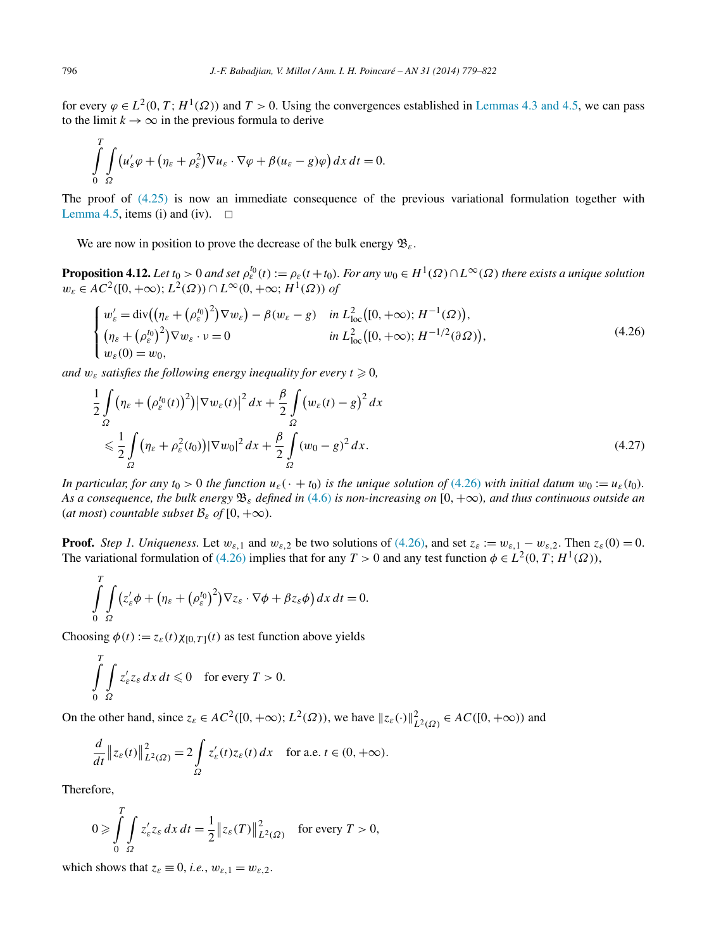<span id="page-17-0"></span>for every  $\varphi \in L^2(0, T; H^1(\Omega))$  and  $T > 0$ . Using the convergences established in [Lemmas 4.3 and 4.5,](#page-11-0) we can pass to the limit  $k \to \infty$  in the previous formula to derive

$$
\int_{0}^{T} \int_{\Omega} \left( u_{\varepsilon}' \varphi + \left( \eta_{\varepsilon} + \rho_{\varepsilon}^{2} \right) \nabla u_{\varepsilon} \cdot \nabla \varphi + \beta (u_{\varepsilon} - g) \varphi \right) dx dt = 0.
$$

The proof of [\(4.25\)](#page-16-0) is now an immediate consequence of the previous variational formulation together with [Lemma 4.5,](#page-12-0) items (i) and (iv).  $\Box$ 

We are now in position to prove the decrease of the bulk energy  $\mathfrak{B}_{\varepsilon}$ .

**Proposition 4.12.** Let  $t_0 > 0$  and set  $\rho_{\varepsilon}^{t_0}(t) := \rho_{\varepsilon}(t+t_0)$ . For any  $w_0 \in H^1(\Omega) \cap L^{\infty}(\Omega)$  there exists a unique solution  $w_{\varepsilon} \in AC^2([0, +\infty); L^2(\Omega)) \cap L^{\infty}(0, +\infty; H^1(\Omega))$  of

$$
\begin{cases}\nw'_{\varepsilon} = \text{div}\left( (\eta_{\varepsilon} + (\rho_{\varepsilon}^{t_0})^2) \nabla w_{\varepsilon} \right) - \beta (w_{\varepsilon} - g) & \text{in } L^2_{\text{loc}}([0, +\infty); H^{-1}(\Omega)), \\
(\eta_{\varepsilon} + (\rho_{\varepsilon}^{t_0})^2) \nabla w_{\varepsilon} \cdot v = 0 & \text{in } L^2_{\text{loc}}([0, +\infty); H^{-1/2}(\partial \Omega)), \\
w_{\varepsilon}(0) = w_0,\n\end{cases} \tag{4.26}
$$

*and*  $w_{\varepsilon}$  *satisfies the following energy inequality for every*  $t \ge 0$ ,

$$
\frac{1}{2} \int_{\Omega} \left( \eta_{\varepsilon} + \left( \rho_{\varepsilon}^{t_0}(t) \right)^2 \right) \left| \nabla w_{\varepsilon}(t) \right|^2 dx + \frac{\beta}{2} \int_{\Omega} \left( w_{\varepsilon}(t) - g \right)^2 dx
$$
\n
$$
\leq \frac{1}{2} \int_{\Omega} \left( \eta_{\varepsilon} + \rho_{\varepsilon}^2(t_0) \right) \left| \nabla w_0 \right|^2 dx + \frac{\beta}{2} \int_{\Omega} \left( w_0 - g \right)^2 dx. \tag{4.27}
$$

*In particular, for any*  $t_0 > 0$  *the function*  $u_\varepsilon(\cdot + t_0)$  *is the unique solution of* (4.26) *with initial datum*  $w_0 := u_\varepsilon(t_0)$ *. As a consequence, the bulk energy* B*<sup>ε</sup> defined in* [\(4.6\)](#page-10-0) *is non-increasing on* [0*,*+∞*), and thus continuous outside an* (*at most*) *countable subset*  $\mathcal{B}_{\varepsilon}$  *of*  $[0, +\infty)$ *.* 

**Proof.** *Step 1. Uniqueness.* Let  $w_{\varepsilon,1}$  and  $w_{\varepsilon,2}$  be two solutions of (4.26), and set  $z_{\varepsilon} := w_{\varepsilon,1} - w_{\varepsilon,2}$ . Then  $z_{\varepsilon}(0) = 0$ . The variational formulation of (4.26) implies that for any  $T > 0$  and any test function  $\phi \in L^2(0, T; H^1(\Omega))$ ,

$$
\int_{0}^{T} \int_{\Omega} (z'_{\varepsilon} \phi + (\eta_{\varepsilon} + (\rho_{\varepsilon}^{t_0})^2) \nabla z_{\varepsilon} \cdot \nabla \phi + \beta z_{\varepsilon} \phi) dx dt = 0.
$$

Choosing  $\phi(t) := z_{\varepsilon}(t) \chi_{[0,T]}(t)$  as test function above yields

$$
\int_{0}^{T} \int_{\Omega} z'_{\varepsilon} z_{\varepsilon} dx dt \leq 0 \quad \text{for every } T > 0.
$$

On the other hand, since  $z_{\varepsilon} \in AC^2([0, +\infty); L^2(\Omega))$ , we have  $||z_{\varepsilon}(\cdot)||_{L^2(\Omega)}^2 \in AC([0, +\infty))$  and

$$
\frac{d}{dt} \|z_{\varepsilon}(t)\|^2_{L^2(\Omega)} = 2 \int\limits_{\Omega} z_{\varepsilon}'(t) z_{\varepsilon}(t) \, dx \quad \text{for a.e. } t \in (0, +\infty).
$$

Therefore,

$$
0 \ge \int\limits_{0}^{T}\int\limits_{\Omega} z'_{\varepsilon} z_{\varepsilon} dx dt = \frac{1}{2} \|z_{\varepsilon}(T)\|_{L^{2}(\Omega)}^{2} \quad \text{for every } T > 0,
$$

which shows that  $z_{\varepsilon} \equiv 0$ , *i.e.*,  $w_{\varepsilon,1} = w_{\varepsilon,2}$ .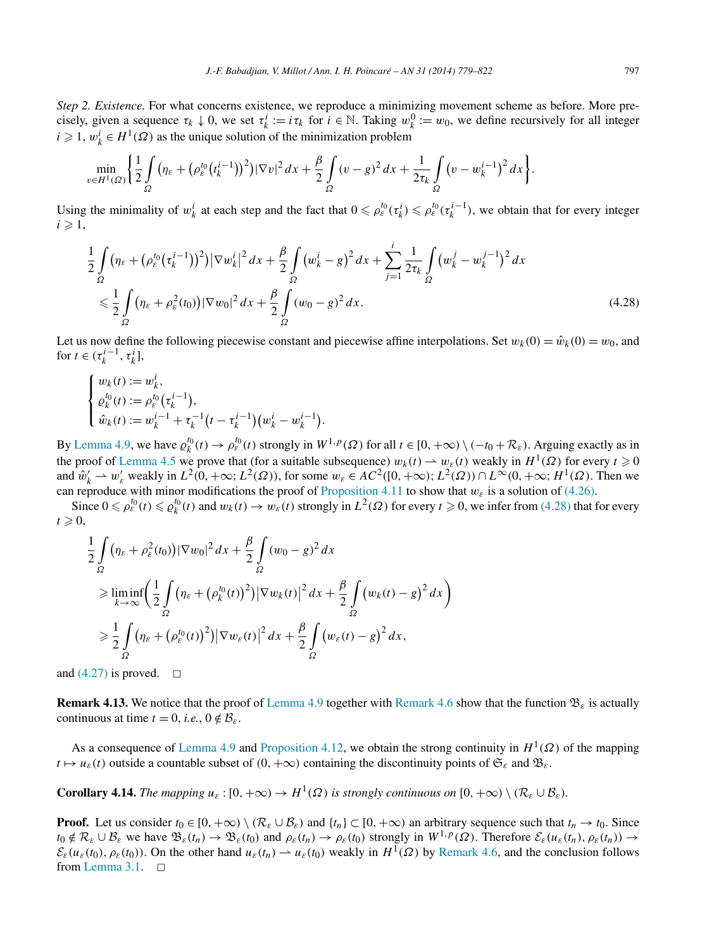*Step 2. Existence.* For what concerns existence, we reproduce a minimizing movement scheme as before. More precisely, given a sequence  $\tau_k \downarrow 0$ , we set  $\tau_k^i := i\tau_k$  for  $i \in \mathbb{N}$ . Taking  $w_k^0 := w_0$ , we define recursively for all integer  $i \geq 1$ ,  $w_k^i \in H^1(\Omega)$  as the unique solution of the minimization problem

$$
\min_{v \in H^1(\Omega)} \left\{ \frac{1}{2} \int_{\Omega} \left( \eta_{\varepsilon} + \left( \rho_{\varepsilon}^{t_0} (t_k^{i-1}) \right)^2 \right) |\nabla v|^2 \, dx + \frac{\beta}{2} \int_{\Omega} (v - g)^2 \, dx + \frac{1}{2 \tau_k} \int_{\Omega} \left( v - w_k^{i-1} \right)^2 \, dx \right\}.
$$

Using the minimality of  $w_k^i$  at each step and the fact that  $0 \leq \rho_{\varepsilon}^{t_0}(\tau_k^i) \leq \rho_{\varepsilon}^{t_0}(\tau_k^{i-1})$ , we obtain that for every integer  $i \geqslant 1$ ,

$$
\frac{1}{2} \int_{\Omega} \left( \eta_{\varepsilon} + \left( \rho_{\varepsilon}^{t_0} (\tau_k^{i-1}) \right)^2 \right) |\nabla w_k^i|^2 dx + \frac{\beta}{2} \int_{\Omega} \left( w_k^i - g \right)^2 dx + \sum_{j=1}^i \frac{1}{2\tau_k} \int_{\Omega} \left( w_k^j - w_k^{j-1} \right)^2 dx
$$
\n
$$
\leq \frac{1}{2} \int_{\Omega} \left( \eta_{\varepsilon} + \rho_{\varepsilon}^2(t_0) \right) |\nabla w_0|^2 dx + \frac{\beta}{2} \int_{\Omega} \left( w_0 - g \right)^2 dx. \tag{4.28}
$$

Let us now define the following piecewise constant and piecewise affine interpolations. Set  $w_k(0) = \hat{w}_k(0) = w_0$ , and for  $t \in (\tau_k^{i-1}, \tau_k^i]$ ,

$$
\begin{cases} w_k(t) := w_k^i, \\ \varrho_k^{t_0}(t) := \rho_{\varepsilon}^{t_0}(\tau_k^{i-1}), \\ \hat{w}_k(t) := w_k^{i-1} + \tau_k^{-1} \big( t - \tau_k^{i-1} \big) \big( w_k^i - w_k^{i-1} \big). \end{cases}
$$

By [Lemma 4.9,](#page-15-0) we have  $\varrho_k^{t_0}(t) \to \varrho_{\varepsilon}^{t_0}(t)$  strongly in  $W^{1,p}(\Omega)$  for all  $t \in [0, +\infty) \setminus (-t_0 + \mathcal{R}_{\varepsilon})$ . Arguing exactly as in the proof of [Lemma 4.5](#page-12-0) we prove that (for a suitable subsequence)  $w_k(t) \to w_k(t)$  weakly in  $H^1(\Omega)$  for every  $t \ge 0$ and  $\hat{w}'_k \rightharpoonup w'_\varepsilon$  weakly in  $L^2(0, +\infty; L^2(\Omega))$ , for some  $w_\varepsilon \in AC^2([0, +\infty); L^2(\Omega)) \cap L^\infty(0, +\infty; H^1(\Omega)$ . Then we can reproduce with minor modifications the proof of [Proposition 4.11](#page-16-0) to show that  $w_{\varepsilon}$  is a solution of [\(4.26\).](#page-17-0)

Since  $0 \le \rho_{\varepsilon}^{t_0}(t) \le \rho_{\varepsilon}^{t_0}(t)$  and  $w_k(t) \to w_{\varepsilon}(t)$  strongly in  $L^2(\Omega)$  for every  $t \ge 0$ , we infer from (4.28) that for every  $t \geqslant 0$ ,

$$
\frac{1}{2} \int_{\Omega} (\eta_{\varepsilon} + \rho_{\varepsilon}^{2}(t_{0})) |\nabla w_{0}|^{2} dx + \frac{\beta}{2} \int_{\Omega} (w_{0} - g)^{2} dx
$$
\n
$$
\geq \liminf_{k \to \infty} \left( \frac{1}{2} \int_{\Omega} (\eta_{\varepsilon} + (\rho_{k}^{t_{0}}(t))^{2}) |\nabla w_{k}(t)|^{2} dx + \frac{\beta}{2} \int_{\Omega} (w_{k}(t) - g)^{2} dx \right)
$$
\n
$$
\geq \frac{1}{2} \int_{\Omega} (\eta_{\varepsilon} + (\rho_{\varepsilon}^{t_{0}}(t))^{2}) |\nabla w_{\varepsilon}(t)|^{2} dx + \frac{\beta}{2} \int_{\Omega} (w_{\varepsilon}(t) - g)^{2} dx,
$$

and [\(4.27\)](#page-17-0) is proved.  $\Box$ 

**Remark 4.13.** We notice that the proof of [Lemma 4.9](#page-15-0) together with [Remark 4.6](#page-14-0) show that the function  $\mathfrak{B}_{\varepsilon}$  is actually continuous at time  $t = 0$ , *i.e.*,  $0 \notin \mathcal{B}_{\varepsilon}$ .

As a consequence of [Lemma](#page-15-0) 4.9 and [Proposition 4.12,](#page-17-0) we obtain the strong continuity in *H*1*(Ω)* of the mapping  $t \mapsto u_{\varepsilon}(t)$  outside a countable subset of  $(0, +\infty)$  containing the discontinuity points of  $\mathfrak{S}_{\varepsilon}$  and  $\mathfrak{B}_{\varepsilon}$ .

**Corollary 4.14.** The mapping  $u_{\varepsilon} : [0, +\infty) \to H^1(\Omega)$  is strongly continuous on  $[0, +\infty) \setminus (\mathcal{R}_{\varepsilon} \cup \mathcal{B}_{\varepsilon})$ .

**Proof.** Let us consider  $t_0 \in [0, +\infty) \setminus (\mathcal{R}_{\varepsilon} \cup \mathcal{B}_{\varepsilon})$  and  $\{t_n\} \subset [0, +\infty)$  an arbitrary sequence such that  $t_n \to t_0$ . Since  $t_0 \notin \mathcal{R}_\varepsilon \cup \mathcal{B}_\varepsilon$  we have  $\mathfrak{B}_\varepsilon(t_n) \to \mathfrak{B}_\varepsilon(t_0)$  and  $\rho_\varepsilon(t_n) \to \rho_\varepsilon(t_0)$  strongly in  $W^{1,p}(\Omega)$ . Therefore  $\mathcal{E}_\varepsilon(u_\varepsilon(t_n), \rho_\varepsilon(t_n)) \to$  $\mathcal{E}_{\varepsilon}(u_{\varepsilon}(t_0), \rho_{\varepsilon}(t_0))$ . On the other hand  $u_{\varepsilon}(t_n) \to u_{\varepsilon}(t_0)$  weakly in  $H^1(\Omega)$  by [Remark 4.6,](#page-14-0) and the conclusion follows from [Lemma 3.1.](#page-7-0)  $\Box$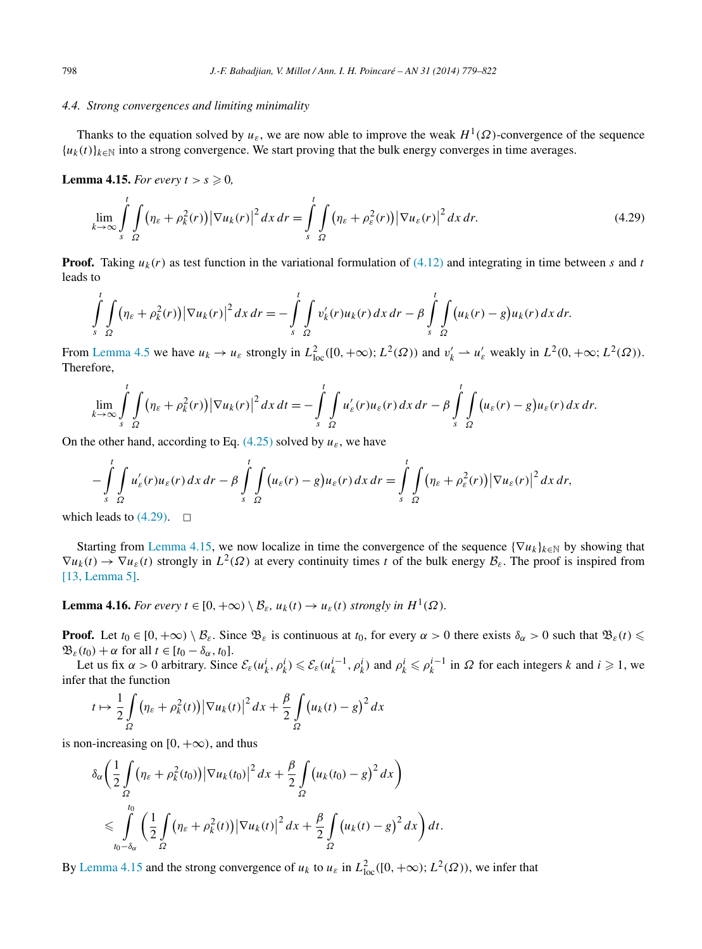## <span id="page-19-0"></span>*4.4. Strong convergences and limiting minimality*

Thanks to the equation solved by  $u_{\varepsilon}$ , we are now able to improve the weak  $H^1(\Omega)$ -convergence of the sequence  ${u_k(t)}_{k \in \mathbb{N}}$  into a strong convergence. We start proving that the bulk energy converges in time averages.

**Lemma 4.15.** *For every*  $t > s \geq 0$ *,* 

$$
\lim_{k \to \infty} \int\limits_{s}^{t} \int\limits_{\Omega} \left( \eta_{\varepsilon} + \rho_{k}^{2}(r) \right) \left| \nabla u_{k}(r) \right|^{2} dx \, dr = \int\limits_{s}^{t} \int\limits_{\Omega} \left( \eta_{\varepsilon} + \rho_{\varepsilon}^{2}(r) \right) \left| \nabla u_{\varepsilon}(r) \right|^{2} dx \, dr. \tag{4.29}
$$

**Proof.** Taking  $u_k(r)$  as test function in the variational formulation of [\(4.12\)](#page-11-0) and integrating in time between *s* and *t* leads to

$$
\int_{s}^{t} \int_{\Omega} (\eta_{\varepsilon} + \rho_{k}^{2}(r)) |\nabla u_{k}(r)|^{2} dx dr = - \int_{s}^{t} \int_{\Omega} v_{k}'(r) u_{k}(r) dx dr - \beta \int_{s}^{t} \int_{\Omega} (u_{k}(r) - g) u_{k}(r) dx dr.
$$

From [Lemma 4.5](#page-12-0) we have  $u_k \to u_\varepsilon$  strongly in  $L^2_{loc}([0, +\infty); L^2(\Omega))$  and  $v'_k \to u'_\varepsilon$  weakly in  $L^2(0, +\infty; L^2(\Omega))$ . Therefore,

$$
\lim_{k\to\infty}\int\limits_{s}^t\int\limits_{\Omega}\big(\eta_{\varepsilon}+\rho_k^2(r)\big)\big|\nabla u_k(r)\big|^2\,dx\,dt=-\int\limits_{s}^t\int\limits_{\Omega}u_{\varepsilon}'(r)u_{\varepsilon}(r)\,dx\,dr-\beta\int\limits_{s}^t\int\limits_{\Omega}\big(u_{\varepsilon}(r)-g\big)u_{\varepsilon}(r)\,dx\,dr.
$$

On the other hand, according to Eq.  $(4.25)$  solved by  $u_{\varepsilon}$ , we have

$$
-\int_{s}^{t}\int_{\Omega}u_{\varepsilon}'(r)u_{\varepsilon}(r)\,dx\,dr-\beta\int_{s}^{t}\int_{\Omega}(u_{\varepsilon}(r)-g)u_{\varepsilon}(r)\,dx\,dr=\int_{s}^{t}\int_{\Omega}\big(\eta_{\varepsilon}+\rho_{\varepsilon}^{2}(r)\big)\big|\nabla u_{\varepsilon}(r)\big|^{2}\,dx\,dr,
$$

which leads to  $(4.29)$ .  $\Box$ 

Starting from Lemma 4.15, we now localize in time the convergence of the sequence  $\{\nabla u_k\}_{k\in\mathbb{N}}$  by showing that  $\nabla u_k(t) \to \nabla u_\varepsilon(t)$  strongly in  $L^2(\Omega)$  at every continuity times *t* of the bulk energy  $\mathcal{B}_\varepsilon$ . The proof is inspired from [\[13, Lemma 5\].](#page-43-0)

**Lemma 4.16.** *For every*  $t \in [0, +\infty) \setminus \mathcal{B}_{\varepsilon}$ ,  $u_k(t) \to u_{\varepsilon}(t)$  strongly in  $H^1(\Omega)$ *.* 

**Proof.** Let  $t_0 \in [0, +\infty) \setminus \mathcal{B}_{\varepsilon}$ . Since  $\mathcal{B}_{\varepsilon}$  is continuous at  $t_0$ , for every  $\alpha > 0$  there exists  $\delta_{\alpha} > 0$  such that  $\mathcal{B}_{\varepsilon}(t) \leq$  $\mathfrak{B}_{\varepsilon}(t_0) + \alpha$  for all  $t \in [t_0 - \delta_\alpha, t_0]$ .

Let us fix  $\alpha > 0$  arbitrary. Since  $\mathcal{E}_{\varepsilon}(u_k^i, \rho_k^i) \leq \mathcal{E}_{\varepsilon}(u_k^{i-1}, \rho_k^i)$  and  $\rho_k^i \leq \rho_k^{i-1}$  in  $\Omega$  for each integers k and  $i \geq 1$ , we infer that the function

$$
t \mapsto \frac{1}{2} \int\limits_{\Omega} \left( \eta_{\varepsilon} + \rho_k^2(t) \right) \left| \nabla u_k(t) \right|^2 dx + \frac{\beta}{2} \int\limits_{\Omega} \left( u_k(t) - g \right)^2 dx
$$

is non-increasing on  $[0, +\infty)$ , and thus

$$
\delta_{\alpha}\left(\frac{1}{2}\int\limits_{\Omega} \left(\eta_{\varepsilon}+\rho_{k}^{2}(t_{0})\right)\left|\nabla u_{k}(t_{0})\right|^{2} dx + \frac{\beta}{2}\int\limits_{\Omega}\left(u_{k}(t_{0})-g\right)^{2} dx\right) \n\leq \int\limits_{t_{0}-\delta_{\alpha}}^{t_{0}} \left(\frac{1}{2}\int\limits_{\Omega}\left(\eta_{\varepsilon}+\rho_{k}^{2}(t)\right)\left|\nabla u_{k}(t)\right|^{2} dx + \frac{\beta}{2}\int\limits_{\Omega}\left(u_{k}(t)-g\right)^{2} dx\right) dt.
$$

By Lemma 4.15 and the strong convergence of  $u_k$  to  $u_\varepsilon$  in  $L^2_{loc}([0, +\infty); L^2(\Omega))$ , we infer that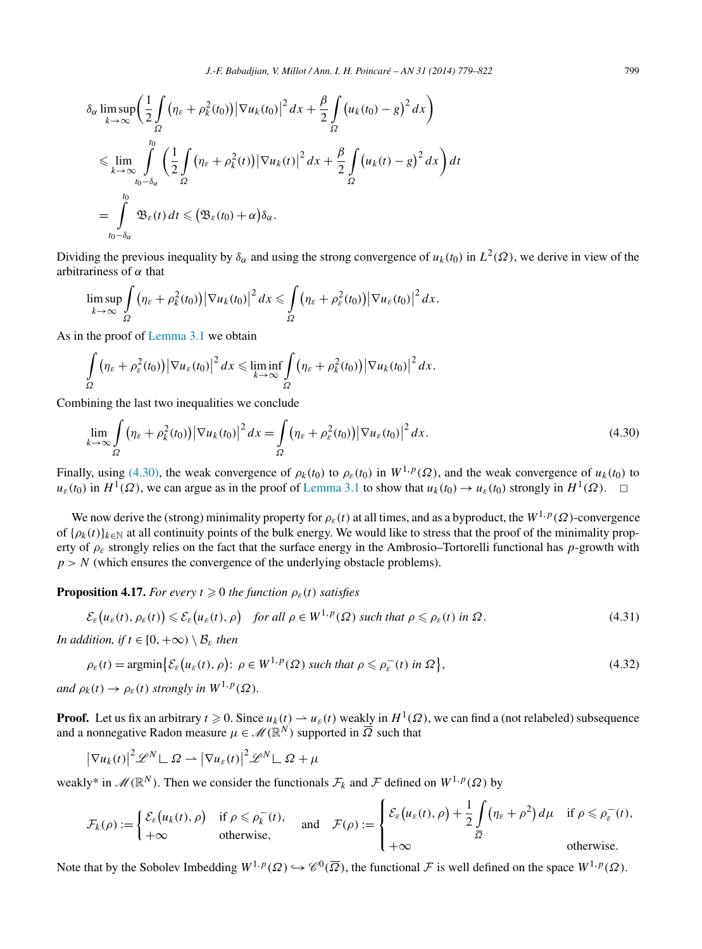<span id="page-20-0"></span>
$$
\delta_{\alpha} \limsup_{k \to \infty} \left( \frac{1}{2} \int_{\Omega} \left( \eta_{\varepsilon} + \rho_{k}^{2}(t_{0}) \right) \left| \nabla u_{k}(t_{0}) \right|^{2} dx + \frac{\beta}{2} \int_{\Omega} \left( u_{k}(t_{0}) - g \right)^{2} dx \right)
$$
\n
$$
\leq \lim_{k \to \infty} \int_{t_{0} - \delta_{\alpha}}^{t_{0}} \left( \frac{1}{2} \int_{\Omega} \left( \eta_{\varepsilon} + \rho_{k}^{2}(t) \right) \left| \nabla u_{k}(t) \right|^{2} dx + \frac{\beta}{2} \int_{\Omega} \left( u_{k}(t) - g \right)^{2} dx \right) dt
$$
\n
$$
= \int_{t_{0} - \delta_{\alpha}}^{t_{0}} \mathfrak{B}_{\varepsilon}(t) dt \leqslant \left( \mathfrak{B}_{\varepsilon}(t_{0}) + \alpha \right) \delta_{\alpha}.
$$

Dividing the previous inequality by  $\delta_{\alpha}$  and using the strong convergence of  $u_k(t_0)$  in  $L^2(\Omega)$ , we derive in view of the arbitrariness of *α* that

$$
\limsup_{k\to\infty}\int_{\Omega}\left(\eta_{\varepsilon}+\rho_{k}^{2}(t_{0})\right)\left|\nabla u_{k}(t_{0})\right|^{2}dx\leqslant\int_{\Omega}\left(\eta_{\varepsilon}+\rho_{\varepsilon}^{2}(t_{0})\right)\left|\nabla u_{\varepsilon}(t_{0})\right|^{2}dx.
$$

As in the proof of [Lemma 3.1](#page-7-0) we obtain

$$
\int_{\Omega} \left( \eta_{\varepsilon} + \rho_{\varepsilon}^{2}(t_{0}) \right) \left| \nabla u_{\varepsilon}(t_{0}) \right|^{2} dx \leq \liminf_{k \to \infty} \int_{\Omega} \left( \eta_{\varepsilon} + \rho_{k}^{2}(t_{0}) \right) \left| \nabla u_{k}(t_{0}) \right|^{2} dx.
$$

Combining the last two inequalities we conclude

$$
\lim_{k \to \infty} \int_{\Omega} \left( \eta_{\varepsilon} + \rho_k^2(t_0) \right) \left| \nabla u_k(t_0) \right|^2 dx = \int_{\Omega} \left( \eta_{\varepsilon} + \rho_{\varepsilon}^2(t_0) \right) \left| \nabla u_{\varepsilon}(t_0) \right|^2 dx. \tag{4.30}
$$

Finally, using (4.30), the weak convergence of  $\rho_k(t_0)$  to  $\rho_\varepsilon(t_0)$  in  $W^{1,p}(\Omega)$ , and the weak convergence of  $u_k(t_0)$  to  $u_{\varepsilon}(t_0)$  in  $H^1(\Omega)$ , we can argue as in the proof of [Lemma 3.1](#page-7-0) to show that  $u_k(t_0) \to u_{\varepsilon}(t_0)$  strongly in  $H^1(\Omega)$ .  $\Box$ 

We now derive the (strong) minimality property for  $\rho_{\varepsilon}(t)$  at all times, and as a byproduct, the  $W^{1,p}(\Omega)$ -convergence of  $\{\rho_k(t)\}_{k\in\mathbb{N}}$  at all continuity points of the bulk energy. We would like to stress that the proof of the minimality property of *ρε* strongly relies on the fact that the surface energy in the Ambrosio–Tortorelli functional has *p*-growth with  $p > N$  (which ensures the convergence of the underlying obstacle problems).

**Proposition 4.17.** *For every*  $t \ge 0$  *the function*  $\rho_{\varepsilon}(t)$  *satisfies* 

$$
\mathcal{E}_{\varepsilon}\big(u_{\varepsilon}(t), \rho_{\varepsilon}(t)\big) \leqslant \mathcal{E}_{\varepsilon}\big(u_{\varepsilon}(t), \rho\big) \quad \text{for all } \rho \in W^{1, p}(\Omega) \text{ such that } \rho \leqslant \rho_{\varepsilon}(t) \text{ in } \Omega. \tag{4.31}
$$

*In addition, if*  $t \in [0, +\infty) \setminus \mathcal{B}_{\varepsilon}$  *then* 

$$
\rho_{\varepsilon}(t) = \operatorname{argmin}\left\{ \mathcal{E}_{\varepsilon}\big(u_{\varepsilon}(t), \rho\big) : \ \rho \in W^{1, p}(\Omega) \ \text{such that} \ \rho \leqslant \rho_{\varepsilon}^{-}(t) \ \text{in} \ \Omega \right\},\tag{4.32}
$$

*and*  $\rho_k(t) \to \rho_{\varepsilon}(t)$  *strongly in*  $W^{1,p}(\Omega)$ *.* 

**Proof.** Let us fix an arbitrary  $t \ge 0$ . Since  $u_k(t) \to u_\varepsilon(t)$  weakly in  $H^1(\Omega)$ , we can find a (not relabeled) subsequence and a nonnegative Radon measure  $\mu \in \mathcal{M}(\mathbb{R}^N)$  supported in  $\overline{\Omega}$  such that

$$
|\nabla u_k(t)|^2 \mathscr{L}^N \mathsf{L} \Omega \rightharpoonup |\nabla u_\varepsilon(t)|^2 \mathscr{L}^N \mathsf{L} \Omega + \mu
$$

weakly\* in  $\mathcal{M}(\mathbb{R}^N)$ . Then we consider the functionals  $\mathcal{F}_k$  and  $\mathcal F$  defined on  $W^{1,p}(\Omega)$  by

$$
\mathcal{F}_k(\rho) := \begin{cases} \mathcal{E}_\varepsilon(u_k(t), \rho) & \text{if } \rho \leq \rho_k^-(t), \\ +\infty & \text{otherwise,} \end{cases} \quad \text{and} \quad \mathcal{F}(\rho) := \begin{cases} \mathcal{E}_\varepsilon(u_\varepsilon(t), \rho) + \frac{1}{2} \int\limits_{\overline{\Omega}} (\eta_\varepsilon + \rho^2) d\mu & \text{if } \rho \leq \rho_\varepsilon^-(t), \\ +\infty & \text{otherwise.} \end{cases}
$$

Note that by the Sobolev Imbedding  $W^{1,p}(\Omega) \hookrightarrow \mathscr{C}^0(\overline{\Omega})$ , the functional F is well defined on the space  $W^{1,p}(\Omega)$ .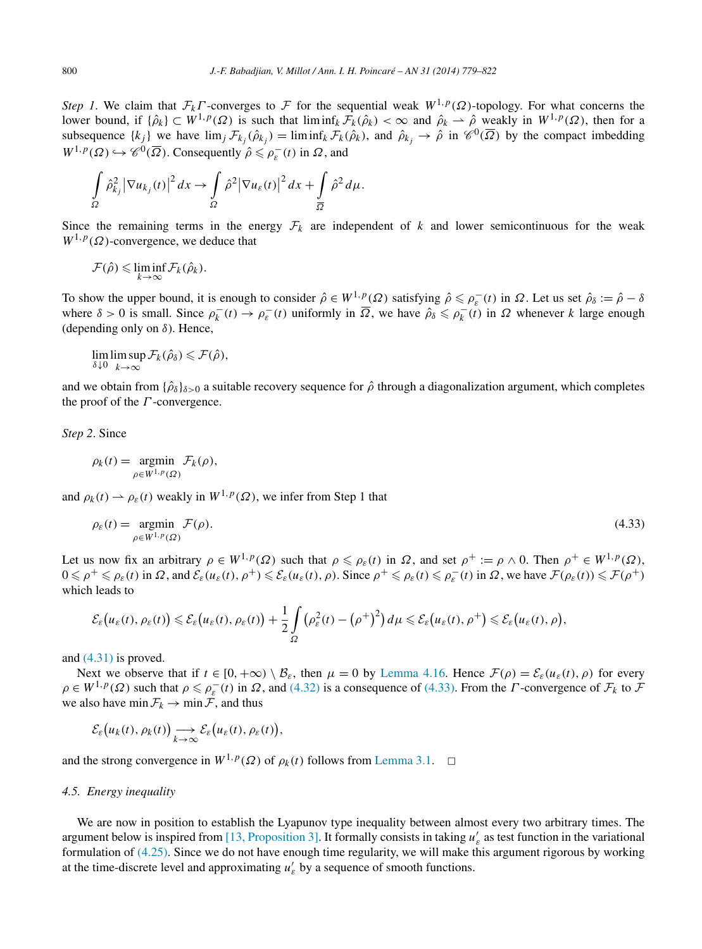*Step 1*. We claim that  $\mathcal{F}_k \Gamma$ -converges to  $\mathcal F$  for the sequential weak  $W^{1,p}(\Omega)$ -topology. For what concerns the lower bound, if  $\{\hat{\rho}_k\} \subset W^{1,p}(\Omega)$  is such that  $\liminf_k \mathcal{F}_k(\hat{\rho}_k) < \infty$  and  $\hat{\rho}_k \to \hat{\rho}$  weakly in  $W^{1,p}(\Omega)$ , then for a subsequence  $\{k_j\}$  we have  $\lim_j \mathcal{F}_{k_j}(\hat{\rho}_{k_j}) = \liminf_k \mathcal{F}_k(\hat{\rho}_k)$ , and  $\hat{\rho}_{k_j} \to \hat{\rho}$  in  $\mathcal{C}^0(\overline{\Omega})$  by the compact imbedding  $W^{1,p}(\Omega) \hookrightarrow \mathscr{C}^0(\overline{\Omega})$ . Consequently  $\hat{\rho} \leq \rho_{\varepsilon}^-(t)$  in  $\Omega$ , and

$$
\int_{\Omega} \hat{\rho}_{k_j}^2 \left| \nabla u_{k_j}(t) \right|^2 dx \to \int_{\Omega} \hat{\rho}^2 \left| \nabla u_{\varepsilon}(t) \right|^2 dx + \int_{\overline{\Omega}} \hat{\rho}^2 d\mu.
$$

Since the remaining terms in the energy  $\mathcal{F}_k$  are independent of  $k$  and lower semicontinuous for the weak  $W^{1,p}(\Omega)$ -convergence, we deduce that

$$
\mathcal{F}(\hat{\rho}) \leqslant \liminf_{k \to \infty} \mathcal{F}_k(\hat{\rho}_k).
$$

To show the upper bound, it is enough to consider  $\hat{\rho} \in W^{1,p}(\Omega)$  satisfying  $\hat{\rho} \le \rho_{\varepsilon}^{-}(t)$  in  $\Omega$ . Let us set  $\hat{\rho}_{\delta} := \hat{\rho} - \delta$ where  $\delta > 0$  is small. Since  $\rho_k^- (t) \to \rho_{\varepsilon}^- (t)$  uniformly in  $\overline{\Omega}$ , we have  $\rho_{\delta} \leq \rho_k^- (t)$  in  $\Omega$  whenever *k* large enough (depending only on *δ*). Hence,

 $\lim_{\delta \downarrow 0} \lim_{k \to \infty} \sup$  $limsup_{k\to\infty} \mathcal{F}_k(\hat{\rho}_\delta) \leqslant \mathcal{F}(\hat{\rho}),$ 

and we obtain from  $\{\hat{\rho}_{\delta}\}_{{\delta}>0}$  a suitable recovery sequence for  $\hat{\rho}$  through a diagonalization argument, which completes the proof of the *Γ* -convergence.

*Step 2*. Since

$$
\rho_k(t) = \operatorname*{argmin}_{\rho \in W^{1,p}(\Omega)} \mathcal{F}_k(\rho),
$$

and  $\rho_k(t) \rightharpoonup \rho_{\varepsilon}(t)$  weakly in  $W^{1,p}(\Omega)$ , we infer from Step 1 that

$$
\rho_{\varepsilon}(t) = \underset{\rho \in W^{1,p}(\Omega)}{\operatorname{argmin}} \mathcal{F}(\rho). \tag{4.33}
$$

Let us now fix an arbitrary  $\rho \in W^{1,p}(\Omega)$  such that  $\rho \leq \rho_{\varepsilon}(t)$  in  $\Omega$ , and set  $\rho^+ := \rho \wedge 0$ . Then  $\rho^+ \in W^{1,p}(\Omega)$ ,  $0 \le \rho^+ \le \rho_\varepsilon(t)$  in  $\Omega$ , and  $\mathcal{E}_\varepsilon(u_\varepsilon(t), \rho^+) \le \mathcal{E}_\varepsilon(u_\varepsilon(t), \rho)$ . Since  $\rho^+ \le \rho_\varepsilon(t) \le \rho^-_\varepsilon(t)$  in  $\Omega$ , we have  $\mathcal{F}(\rho_\varepsilon(t)) \le \mathcal{F}(\rho^+)$ which leads to

$$
\mathcal{E}_{\varepsilon}\big(u_{\varepsilon}(t),\rho_{\varepsilon}(t)\big)\leqslant \mathcal{E}_{\varepsilon}\big(u_{\varepsilon}(t),\rho_{\varepsilon}(t)\big)+\frac{1}{2}\int\limits_{\Omega}\big(\rho_{\varepsilon}^{2}(t)-\big(\rho^{+}\big)^{2}\big)d\mu\leqslant \mathcal{E}_{\varepsilon}\big(u_{\varepsilon}(t),\rho^{+}\big)\leqslant \mathcal{E}_{\varepsilon}\big(u_{\varepsilon}(t),\rho\big),
$$

and [\(4.31\)](#page-20-0) is proved.

Next we observe that if  $t \in [0, +\infty) \setminus \mathcal{B}_{\varepsilon}$ , then  $\mu = 0$  by [Lemma 4.16.](#page-19-0) Hence  $\mathcal{F}(\rho) = \mathcal{E}_{\varepsilon}(u_{\varepsilon}(t), \rho)$  for every  $\rho \in W^{1,p}(\Omega)$  such that  $\rho \leq \rho_{\varepsilon}^-(t)$  in  $\Omega$ , and [\(4.32\)](#page-20-0) is a consequence of (4.33). From the *Γ*-convergence of  $\mathcal{F}_k$  to  $\mathcal{F}_k$ we also have  $\min \mathcal{F}_k \to \min \mathcal{F}$ , and thus

$$
\mathcal{E}_{\varepsilon}\big(u_k(t),\rho_k(t)\big) \longrightarrow_{k\to\infty} \mathcal{E}_{\varepsilon}\big(u_{\varepsilon}(t),\rho_{\varepsilon}(t)\big),
$$

and the strong convergence in  $W^{1,p}(\Omega)$  of  $\rho_k(t)$  follows from [Lemma 3.1.](#page-7-0)  $\Box$ 

## *4.5. Energy inequality*

We are now in position to establish the Lyapunov type inequality between almost every two arbitrary times. The argument below is inspired from [\[13, Proposition 3\].](#page-43-0) It formally consists in taking  $u'_{\varepsilon}$  as test function in the variational formulation of [\(4.25\).](#page-16-0) Since we do not have enough time regularity, we will make this argument rigorous by working at the time-discrete level and approximating  $u'_{\varepsilon}$  by a sequence of smooth functions.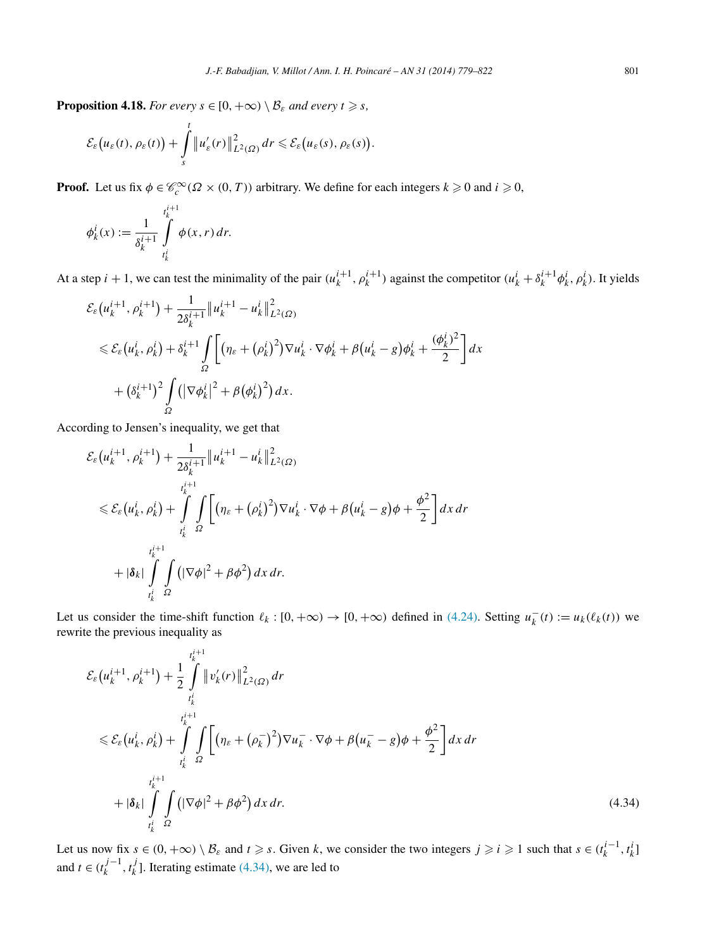<span id="page-22-0"></span>**Proposition 4.18.** *For every*  $s \in [0, +\infty) \setminus \mathcal{B}_{\varepsilon}$  *and every*  $t \geq s$ *,* 

$$
\mathcal{E}_{\varepsilon}\big(u_{\varepsilon}(t),\rho_{\varepsilon}(t)\big)+\int\limits_{s}^{t}\big\|u'_{\varepsilon}(r)\big\|^2_{L^2(\Omega)}\,dr\leqslant \mathcal{E}_{\varepsilon}\big(u_{\varepsilon}(s),\rho_{\varepsilon}(s)\big).
$$

**Proof.** Let us fix  $\phi \in \mathcal{C}_c^{\infty}(\Omega \times (0, T))$  arbitrary. We define for each integers  $k \geq 0$  and  $i \geq 0$ ,

$$
\phi_k^i(x) := \frac{1}{\delta_k^{i+1}} \int\limits_{t_k^i}^{t_k^{i+1}} \phi(x,r) \, dr.
$$

At a step  $i + 1$ , we can test the minimality of the pair  $(u_k^{i+1}, \rho_k^{i+1})$  against the competitor  $(u_k^i + \delta_k^{i+1} \phi_k^i, \rho_k^i)$ . It yields

$$
\mathcal{E}_{\varepsilon}(u_{k}^{i+1}, \rho_{k}^{i+1}) + \frac{1}{2\delta_{k}^{i+1}} \|u_{k}^{i+1} - u_{k}^{i}\|_{L^{2}(\Omega)}^{2}
$$
\n
$$
\leq \mathcal{E}_{\varepsilon}(u_{k}^{i}, \rho_{k}^{i}) + \delta_{k}^{i+1} \int_{\Omega} \left[ (\eta_{\varepsilon} + (\rho_{k}^{i})^{2}) \nabla u_{k}^{i} \cdot \nabla \phi_{k}^{i} + \beta (u_{k}^{i} - g) \phi_{k}^{i} + \frac{(\phi_{k}^{i})^{2}}{2} \right] dx
$$
\n
$$
+ (\delta_{k}^{i+1})^{2} \int_{\Omega} (|\nabla \phi_{k}^{i}|^{2} + \beta (\phi_{k}^{i})^{2}) dx.
$$

According to Jensen's inequality, we get that

$$
\mathcal{E}_{\varepsilon}(u_{k}^{i+1}, \rho_{k}^{i+1}) + \frac{1}{2\delta_{k}^{i+1}} \|u_{k}^{i+1} - u_{k}^{i}\|_{L^{2}(\Omega)}^{2}
$$
\n
$$
\leq \mathcal{E}_{\varepsilon}(u_{k}^{i}, \rho_{k}^{i}) + \int_{t_{k}^{i}}^{t_{k}^{i+1}} \int_{\Omega} \left[ (\eta_{\varepsilon} + (\rho_{k}^{i})^{2}) \nabla u_{k}^{i} \cdot \nabla \phi + \beta (u_{k}^{i} - g) \phi + \frac{\phi^{2}}{2} \right] dx dr
$$
\n
$$
+ |\delta_{k}| \int_{t_{k}^{i}}^{t_{k}^{i+1}} \int_{\Omega} \left( |\nabla \phi|^{2} + \beta \phi^{2} \right) dx dr.
$$

Let us consider the time-shift function  $\ell_k : [0, +\infty) \to [0, +\infty)$  defined in [\(4.24\).](#page-16-0) Setting  $u_k^-(t) := u_k(\ell_k(t))$  we rewrite the previous inequality as

$$
\mathcal{E}_{\varepsilon}(u_{k}^{i+1}, \rho_{k}^{i+1}) + \frac{1}{2} \int_{t_{k}^{i}}^{t_{k}^{i+1}} \|v_{k}'(r)\|_{L^{2}(\Omega)}^{2} dr
$$
\n
$$
\leq \mathcal{E}_{\varepsilon}(u_{k}^{i}, \rho_{k}^{i}) + \int_{t_{k}^{i}}^{t_{k}^{i+1}} \int_{\Omega} \left[ (\eta_{\varepsilon} + (\rho_{k}^{-})^{2}) \nabla u_{k}^{-} \cdot \nabla \phi + \beta (u_{k}^{-} - g) \phi + \frac{\phi^{2}}{2} \right] dx dr
$$
\n
$$
+ |\delta_{k}| \int_{t_{k}^{i}}^{t_{k}^{i+1}} \int_{\Omega} \left( |\nabla \phi|^{2} + \beta \phi^{2} \right) dx dr.
$$
\n(4.34)

Let us now fix  $s \in (0, +\infty) \setminus \mathcal{B}_{\varepsilon}$  and  $t \geq s$ . Given k, we consider the two integers  $j \geq i \geq 1$  such that  $s \in (t_k^{i-1}, t_k^i]$ and  $t \in (t_k^{j-1}, t_k^j]$ . Iterating estimate (4.34), we are led to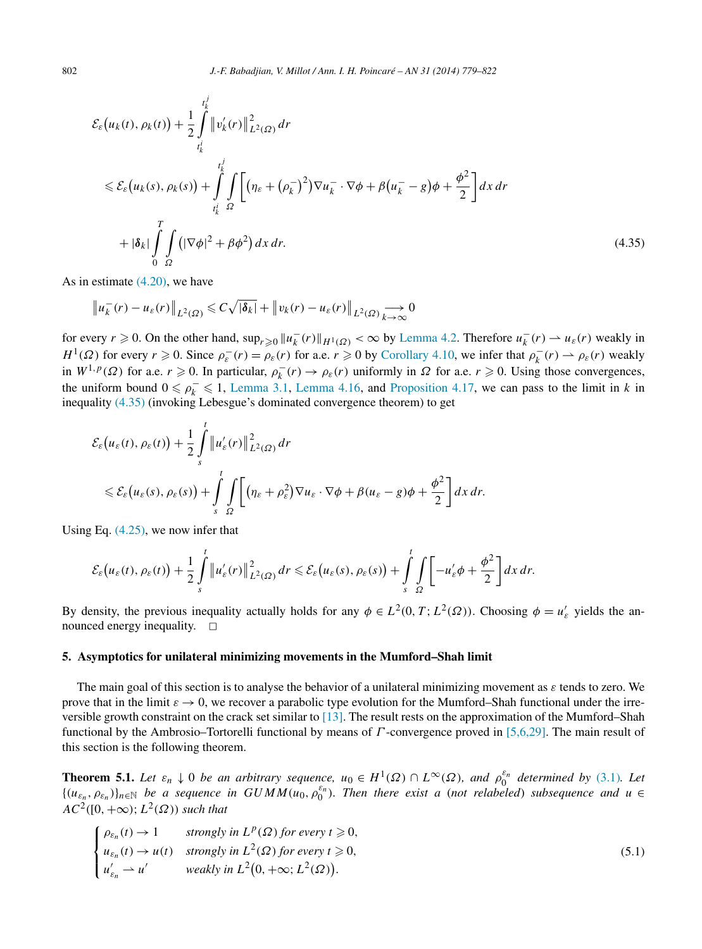<span id="page-23-0"></span>
$$
\mathcal{E}_{\varepsilon}(u_{k}(t), \rho_{k}(t)) + \frac{1}{2} \int_{t_{k}^{j}}^{t_{k}^{j}} \left\|v_{k}'(r)\right\|_{L^{2}(\Omega)}^{2} dr
$$
\n
$$
\leq \mathcal{E}_{\varepsilon}(u_{k}(s), \rho_{k}(s)) + \int_{t_{k}^{j}}^{t_{k}^{j}} \int_{\Omega} \left[ \left(\eta_{\varepsilon} + (\rho_{k}^{-})^{2}\right) \nabla u_{k}^{-} \cdot \nabla \phi + \beta \left(u_{k}^{-} - g\right) \phi + \frac{\phi^{2}}{2} \right] dx dr
$$
\n
$$
+ |\delta_{k}| \int_{0}^{T} \int_{\Omega} \left( |\nabla \phi|^{2} + \beta \phi^{2} \right) dx dr.
$$
\n(4.35)

As in estimate [\(4.20\),](#page-13-0) we have

$$
\left\|u_k^-(r)-u_\varepsilon(r)\right\|_{L^2(\Omega)} \leqslant C\sqrt{|\delta_k|}+\left\|v_k(r)-u_\varepsilon(r)\right\|_{L^2(\Omega)} \underset{k\to\infty}{\longrightarrow} 0
$$

for every  $r \ge 0$ . On the other hand,  $\sup_{r \ge 0} ||u_k^-(r)||_{H^1(\Omega)} < \infty$  by [Lemma 4.2.](#page-11-0) Therefore  $u_k^-(r) \to u_\varepsilon(r)$  weakly in *H*<sup>1</sup>( $\Omega$ ) for every  $r \ge 0$ . Since  $\rho_{\varepsilon}^-(r) = \rho_{\varepsilon}(r)$  for a.e.  $r \ge 0$  by [Corollary 4.10,](#page-16-0) we infer that  $\rho_k^-(r) \to \rho_{\varepsilon}(r)$  weakly in  $W^{1,p}(\Omega)$  for a.e.  $r \ge 0$ . In particular,  $\rho_k^-(r) \to \rho_{\varepsilon}(r)$  uniformly in  $\Omega$  for a.e.  $r \ge 0$ . Using those convergences, the uniform bound  $0 \le \rho_k^- \le 1$ , [Lemma 3.1,](#page-7-0) [Lemma 4.16,](#page-19-0) and [Proposition 4.17,](#page-20-0) we can pass to the limit in *k* in inequality (4.35) (invoking Lebesgue's dominated convergence theorem) to get

$$
\mathcal{E}_{\varepsilon}(u_{\varepsilon}(t), \rho_{\varepsilon}(t)) + \frac{1}{2} \int_{s}^{t} \|u_{\varepsilon}'(r)\|_{L^{2}(\Omega)}^{2} dr
$$
  
\$\leqslant \mathcal{E}\_{\varepsilon}(u\_{\varepsilon}(s), \rho\_{\varepsilon}(s)) + \int\_{s}^{t} \int\_{\Omega} \left[ (\eta\_{\varepsilon} + \rho\_{\varepsilon}^{2}) \nabla u\_{\varepsilon} \cdot \nabla \phi + \beta (u\_{\varepsilon} - g) \phi + \frac{\phi^{2}}{2} \right] dx dr.

Using Eq. [\(4.25\),](#page-16-0) we now infer that

$$
\mathcal{E}_{\varepsilon}\big(u_{\varepsilon}(t),\rho_{\varepsilon}(t)\big)+\frac{1}{2}\int\limits_{s}^{t}\big\|u'_{\varepsilon}(r)\big\|^2_{L^2(\Omega)}\,dr\leqslant \mathcal{E}_{\varepsilon}\big(u_{\varepsilon}(s),\rho_{\varepsilon}(s)\big)+\int\limits_{s}^{t}\int\limits_{\Omega}\bigg[-u'_{\varepsilon}\phi+\frac{\phi^2}{2}\bigg]dx\,dr.
$$

By density, the previous inequality actually holds for any  $\phi \in L^2(0, T; L^2(\Omega))$ . Choosing  $\phi = u'_\varepsilon$  yields the announced energy inequality.  $\square$ 

# **5. Asymptotics for unilateral minimizing movements in the Mumford–Shah limit**

The main goal of this section is to analyse the behavior of a unilateral minimizing movement as *ε* tends to zero. We prove that in the limit  $\varepsilon \to 0$ , we recover a parabolic type evolution for the Mumford–Shah functional under the irreversible growth constraint on the crack set similar to [\[13\].](#page-43-0) The result rests on the approximation of the Mumford–Shah functional by the Ambrosio–Tortorelli functional by means of *Γ* -convergence proved in [\[5,6,29\].](#page-42-0) The main result of this section is the following theorem.

**Theorem 5.1.** *Let*  $\varepsilon_n \downarrow 0$  *be an arbitrary sequence,*  $u_0 \in H^1(\Omega) \cap L^\infty(\Omega)$ *, and*  $\rho_0^{\varepsilon_n}$  *determined by* [\(3.1\)](#page-7-0)*. Let*  ${(u_{\varepsilon_n}, \rho_{\varepsilon_n})}_{n\in\mathbb{N}}$  be a sequence in  $GUMM(u_0, \rho_0^{\varepsilon_n})$ . Then there exist a (not relabeled) subsequence and  $u \in$  $AC^{2}([0, +\infty); L^{2}(\Omega))$  *such that* 

$$
\begin{cases}\n\rho_{\varepsilon_n}(t) \to 1 & \text{strongly in } L^p(\Omega) \text{ for every } t \geq 0, \\
u_{\varepsilon_n}(t) \to u(t) & \text{strongly in } L^2(\Omega) \text{ for every } t \geq 0, \\
u'_{\varepsilon_n} \to u' & \text{weakly in } L^2(0, +\infty; L^2(\Omega)).\n\end{cases}
$$
\n(5.1)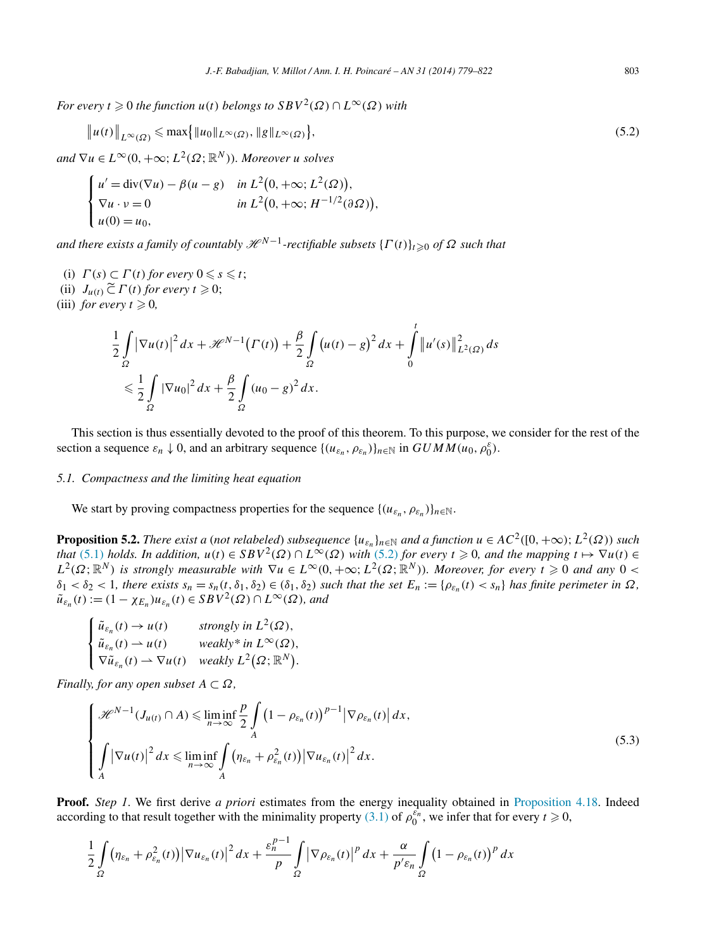<span id="page-24-0"></span>*For every*  $t \ge 0$  *the function*  $u(t)$  *belongs to*  $SBV^2(\Omega) \cap L^\infty(\Omega)$  *with* 

$$
||u(t)||_{L^{\infty}(\Omega)} \leqslant \max\{|u_0||_{L^{\infty}(\Omega)}, ||g||_{L^{\infty}(\Omega)}\},
$$
\n(5.2)

 $and \nabla u \in L^{\infty}(0, +\infty; L^2(\Omega; \mathbb{R}^N))$ *. Moreover u solves* 

$$
\begin{cases}\nu' = \operatorname{div}(\nabla u) - \beta(u - g) & \text{in } L^2(0, +\infty; L^2(\Omega)), \\
\nabla u \cdot v = 0 & \text{in } L^2(0, +\infty; H^{-1/2}(\partial \Omega)), \\
u(0) = u_0,\n\end{cases}
$$

 $a$ *nd there exists a family of countably*  $\mathscr{H}^{N-1}$ *-rectifiable subsets*  $\{\Gamma(t)\}_{t\geqslant0}$  *of*  $\Omega$  *such that* 

- (i)  $\Gamma(s) \subset \Gamma(t)$  for every  $0 \leq s \leq t$ ;
- (ii)  $J_{u(t)} \widetilde{\subset} \Gamma(t)$  *for every*  $t \geq 0$ ;
- (iii) *for every*  $t \geq 0$ ,

$$
\frac{1}{2} \int_{\Omega} |\nabla u(t)|^2 dx + \mathcal{H}^{N-1}(\Gamma(t)) + \frac{\beta}{2} \int_{\Omega} (u(t) - g)^2 dx + \int_{0}^{t} ||u'(s)||_{L^2(\Omega)}^2 ds
$$
  

$$
\leq \frac{1}{2} \int_{\Omega} |\nabla u_0|^2 dx + \frac{\beta}{2} \int_{\Omega} (u_0 - g)^2 dx.
$$

This section is thus essentially devoted to the proof of this theorem. To this purpose, we consider for the rest of the section a sequence  $\varepsilon_n \downarrow 0$ , and an arbitrary sequence  $\{(u_{\varepsilon_n}, \rho_{\varepsilon_n})\}_{n \in \mathbb{N}}$  in  $GUMM(u_0, \rho_0^{\varepsilon})$ .

# *5.1. Compactness and the limiting heat equation*

We start by proving compactness properties for the sequence  $\{(u_{\varepsilon_n}, \rho_{\varepsilon_n})\}_{n\in\mathbb{N}}$ .

**Proposition 5.2.** *There exist a (not relabeled) subsequence*  $\{u_{\varepsilon_n}\}_{n\in\mathbb{N}}$  *and a function*  $u \in AC^2([0, +\infty); L^2(\Omega))$  *such that* [\(5.1\)](#page-23-0) *holds. In addition,*  $u(t) \in SBV^2(\Omega) \cap L^{\infty}(\Omega)$  *with* (5.2) *for every*  $t \ge 0$ *, and the mapping*  $t \mapsto \nabla u(t) \in$  $L^2(\Omega;\mathbb{R}^N)$  *is strongly measurable with*  $\nabla u \in L^\infty(0, +\infty; L^2(\Omega;\mathbb{R}^N))$ *. Moreover, for every*  $t \geq 0$  *and any*  $0 <$  $\delta_1 < \delta_2 < 1$ , there exists  $s_n = s_n(t, \delta_1, \delta_2) \in (\delta_1, \delta_2)$  such that the set  $E_n := \{\rho_{\varepsilon_n}(t) < s_n\}$  has finite perimeter in  $\Omega$ ,  $\tilde{u}_{\varepsilon_n}(t) := (1 - \chi_{E_n})u_{\varepsilon_n}(t) \in SBV^2(\Omega) \cap L^\infty(\Omega)$ *, and* 

$$
\begin{cases} \tilde{u}_{\varepsilon_n}(t) \to u(t) & \text{strongly in } L^2(\Omega), \\ \tilde{u}_{\varepsilon_n}(t) \to u(t) & \text{weakly* in } L^{\infty}(\Omega), \\ \nabla \tilde{u}_{\varepsilon_n}(t) \to \nabla u(t) & \text{weakly } L^2(\Omega; \mathbb{R}^N). \end{cases}
$$

*Finally, for any open subset*  $A \subset \Omega$ *,* 

$$
\begin{cases}\n\mathcal{H}^{N-1}(J_{u(t)} \cap A) \leq \liminf_{n \to \infty} \frac{p}{2} \int_{A} \left(1 - \rho_{\varepsilon_n}(t)\right)^{p-1} \left|\nabla \rho_{\varepsilon_n}(t)\right| dx, \\
\int_{A} \left|\nabla u(t)\right|^2 dx \leq \liminf_{n \to \infty} \int_{A} \left(\eta_{\varepsilon_n} + \rho_{\varepsilon_n}^2(t)\right) \left|\nabla u_{\varepsilon_n}(t)\right|^2 dx.\n\end{cases}
$$
\n(5.3)

**Proof.** *Step 1*. We first derive *a priori* estimates from the energy inequality obtained in [Proposition 4.18.](#page-22-0) Indeed according to that result together with the minimality property [\(3.1\)](#page-7-0) of  $\rho_0^{\varepsilon_n}$ , we infer that for every  $t \ge 0$ ,

$$
\frac{1}{2}\int\limits_{\Omega}\big(\eta_{\varepsilon_n}+\rho_{\varepsilon_n}^2(t)\big)\big|\nabla u_{\varepsilon_n}(t)\big|^2\,dx+\frac{\varepsilon_n^{p-1}}{p}\int\limits_{\Omega}\big|\nabla \rho_{\varepsilon_n}(t)\big|^p\,dx+\frac{\alpha}{p'\varepsilon_n}\int\limits_{\Omega}\big(1-\rho_{\varepsilon_n}(t)\big)^p\,dx
$$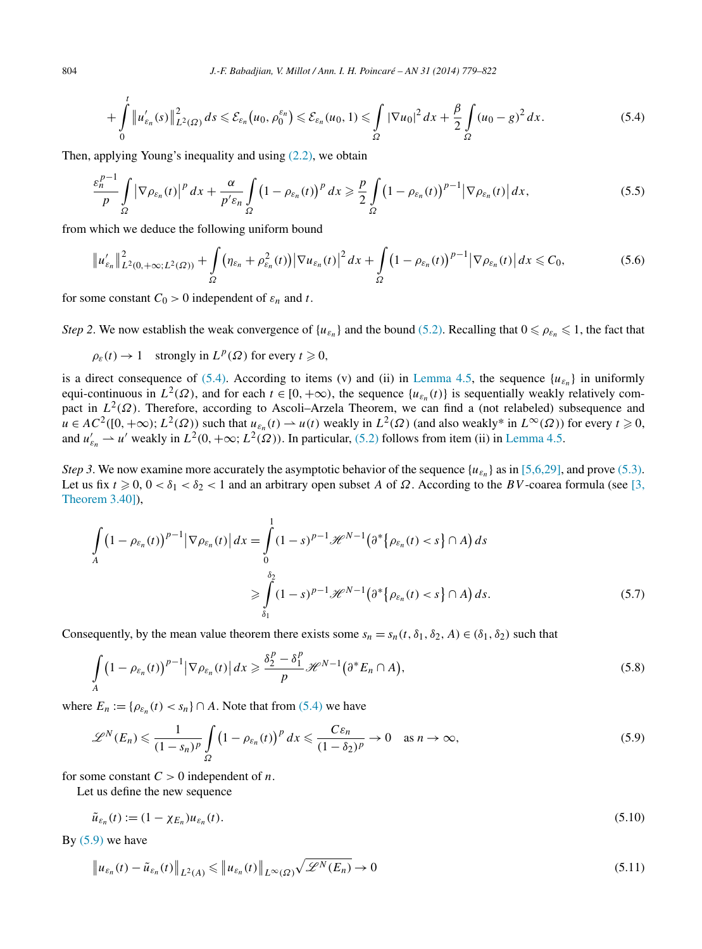<span id="page-25-0"></span>804 *J.-F. Babadjian, V. Millot / Ann. I. H. Poincaré – AN 31 (2014) 779–822*

$$
+\int_{0}^{t} \|u'_{\varepsilon_n}(s)\|_{L^2(\Omega)}^2 ds \leq \mathcal{E}_{\varepsilon_n}(u_0, \rho_0^{\varepsilon_n}) \leq \mathcal{E}_{\varepsilon_n}(u_0, 1) \leq \int_{\Omega} |\nabla u_0|^2 dx + \frac{\beta}{2} \int_{\Omega} (u_0 - g)^2 dx. \tag{5.4}
$$

Then, applying Young's inequality and using  $(2.2)$ , we obtain

$$
\frac{\varepsilon_n^{p-1}}{p} \int\limits_{\Omega} \left| \nabla \rho_{\varepsilon_n}(t) \right|^p dx + \frac{\alpha}{p' \varepsilon_n} \int\limits_{\Omega} \left( 1 - \rho_{\varepsilon_n}(t) \right)^p dx \geq \frac{p}{2} \int\limits_{\Omega} \left( 1 - \rho_{\varepsilon_n}(t) \right)^{p-1} \left| \nabla \rho_{\varepsilon_n}(t) \right| dx, \tag{5.5}
$$

from which we deduce the following uniform bound

$$
\|u'_{\varepsilon_n}\|_{L^2(0,+\infty;L^2(\Omega))}^2 + \int\limits_{\Omega} \left(\eta_{\varepsilon_n} + \rho_{\varepsilon_n}^2(t)\right) \left|\nabla u_{\varepsilon_n}(t)\right|^2 dx + \int\limits_{\Omega} \left(1 - \rho_{\varepsilon_n}(t)\right)^{p-1} \left|\nabla \rho_{\varepsilon_n}(t)\right| dx \leq C_0,
$$
\n(5.6)

for some constant  $C_0 > 0$  independent of  $\varepsilon_n$  and  $t$ .

*Step 2.* We now establish the weak convergence of  $\{u_{\varepsilon_n}\}\$  and the bound [\(5.2\).](#page-24-0) Recalling that  $0 \le \rho_{\varepsilon_n} \le 1$ , the fact that

$$
\rho_{\varepsilon}(t) \to 1 \quad \text{strongly in } L^p(\Omega) \text{ for every } t \geq 0,
$$

is a direct consequence of [\(5.4\).](#page-24-0) According to items (v) and (ii) in [Lemma 4.5,](#page-12-0) the sequence  $\{u_{\varepsilon_n}\}$  in uniformly equi-continuous in  $L^2(\Omega)$ , and for each  $t \in [0, +\infty)$ , the sequence  $\{u_{\varepsilon_n}(t)\}$  is sequentially weakly relatively compact in *L*<sup>2</sup>(Ω). Therefore, according to Ascoli–Arzela Theorem, we can find a (not relabeled) subsequence and *u* ∈ *AC*<sup>2</sup>([0, +∞); *L*<sup>2</sup>(*Ω*)) such that  $u_{\varepsilon_n}(t) \to u(t)$  weakly in *L*<sup>2</sup>(*Ω*) (and also weakly\* in *L*<sup>∞</sup>(*Ω*)) for every *t* ≥ 0, and  $u'_{\varepsilon_n} \to u'$  weakly in  $L^2(0, +\infty; L^2(\Omega))$ . In particular, [\(5.2\)](#page-24-0) follows from item (ii) in [Lemma 4.5.](#page-12-0)

*Step 3*. We now examine more accurately the asymptotic behavior of the sequence  $\{u_{\varepsilon_n}\}$  as in [\[5,6,29\],](#page-42-0) and prove [\(5.3\).](#page-24-0) Let us fix  $t \ge 0$ ,  $0 < \delta_1 < \delta_2 < 1$  and an arbitrary open subset *A* of  $\Omega$ . According to the *BV*-coarea formula (see [\[3,](#page-42-0) [Theorem 3.40\]\)](#page-42-0),

$$
\int_{A} \left(1 - \rho_{\varepsilon_n}(t)\right)^{p-1} \left|\nabla \rho_{\varepsilon_n}(t)\right| dx = \int_{0}^{1} (1-s)^{p-1} \mathcal{H}^{N-1}\left(\partial^* \left\{\rho_{\varepsilon_n}(t) < s\right\} \cap A\right) ds
$$
\n
$$
\geqslant \int_{\delta_1}^{\delta_2} (1-s)^{p-1} \mathcal{H}^{N-1}\left(\partial^* \left\{\rho_{\varepsilon_n}(t) < s\right\} \cap A\right) ds. \tag{5.7}
$$

Consequently, by the mean value theorem there exists some  $s_n = s_n(t, \delta_1, \delta_2, A) \in (\delta_1, \delta_2)$  such that

$$
\int_{A} \left(1 - \rho_{\varepsilon_n}(t)\right)^{p-1} \left|\nabla \rho_{\varepsilon_n}(t)\right| dx \geq \frac{\delta_2^p - \delta_1^p}{p} \mathcal{H}^{N-1}\left(\partial^* E_n \cap A\right),\tag{5.8}
$$

where  $E_n := \{ \rho_{\varepsilon_n}(t) < s_n \} \cap A$ . Note that from [\(5.4\)](#page-24-0) we have

$$
\mathscr{L}^N(E_n) \leq \frac{1}{(1 - s_n)^p} \int\limits_{\Omega} \left(1 - \rho_{\varepsilon_n}(t)\right)^p dx \leq \frac{C\varepsilon_n}{(1 - \delta_2)^p} \to 0 \quad \text{as } n \to \infty,
$$
\n
$$
(5.9)
$$

for some constant  $C > 0$  independent of *n*.

Let us define the new sequence

$$
\tilde{u}_{\varepsilon_n}(t) := (1 - \chi_{E_n}) u_{\varepsilon_n}(t). \tag{5.10}
$$

By  $(5.9)$  we have

$$
\|u_{\varepsilon_n}(t) - \tilde{u}_{\varepsilon_n}(t)\|_{L^2(A)} \le \|u_{\varepsilon_n}(t)\|_{L^\infty(\Omega)} \sqrt{\mathscr{L}^N(E_n)} \to 0
$$
\n(5.11)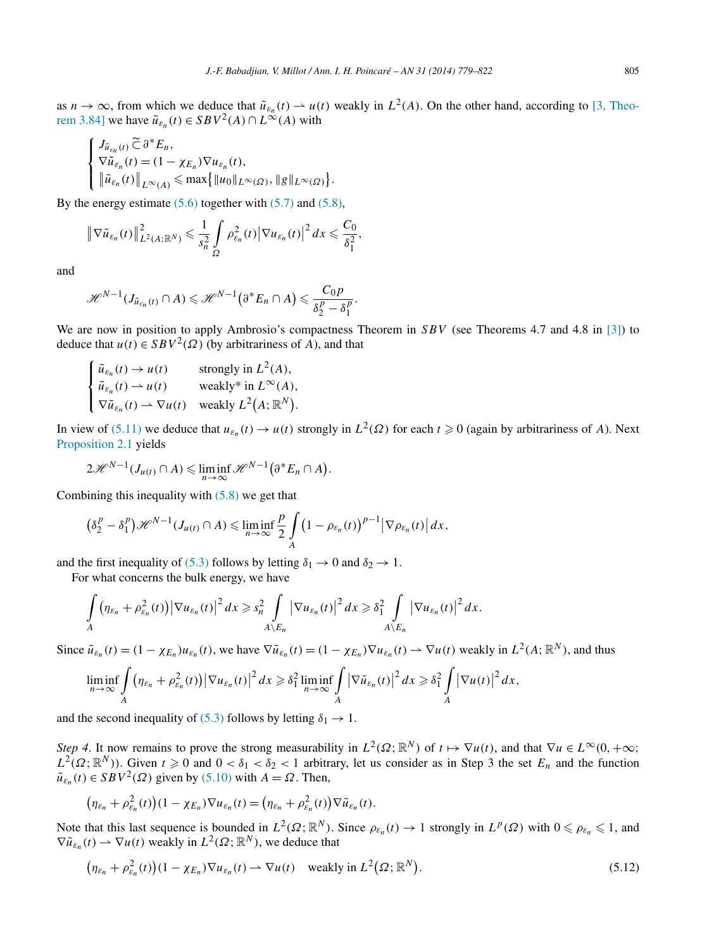<span id="page-26-0"></span>as  $n \to \infty$ , from which we deduce that  $\tilde{u}_{\varepsilon_n}(t) \to u(t)$  weakly in  $L^2(A)$ . On the other hand, according to [\[3, Theo](#page-42-0)[rem 3.84\]](#page-42-0) we have  $\tilde{u}_{\varepsilon_n}(t) \in SBV^2(A) \cap L^{\infty}(A)$  with

*.*

$$
\begin{cases}\nJ_{\tilde{u}_{\varepsilon_n}(t)} \widetilde{\subset} \partial^* E_n, \\
\nabla \tilde{u}_{\varepsilon_n}(t) = (1 - \chi_{E_n}) \nabla u_{\varepsilon_n}(t), \\
\|\tilde{u}_{\varepsilon_n}(t)\|_{L^\infty(A)} \le \max\{||u_0||_{L^\infty(\Omega)}, ||g||_{L^\infty(\Omega)}\}\n\end{cases}
$$

By the energy estimate  $(5.6)$  together with  $(5.7)$  and  $(5.8)$ ,

$$
\left\|\nabla\tilde{u}_{\varepsilon_n}(t)\right\|_{L^2(A;\mathbb{R}^N)}^2\leqslant\frac{1}{s_n^2}\int\limits_\Omega\rho^2_{\varepsilon_n}(t)\left|\nabla u_{\varepsilon_n}(t)\right|^2dx\leqslant\frac{C_0}{\delta_1^2},
$$

and

$$
\mathscr{H}^{N-1}(J_{\tilde{u}_{\varepsilon_n}(t)}\cap A)\leqslant \mathscr{H}^{N-1}\big(\partial^*E_n\cap A\big)\leqslant \frac{C_0p}{\delta_2^p-\delta_1^p}.
$$

We are now in position to apply Ambrosio's compactness Theorem in *SBV* (see Theorems 4.7 and 4.8 in [\[3\]\)](#page-42-0) to deduce that *u*(*t*) ∈ *SBV*<sup>2</sup>( $Ω$ ) (by arbitrariness of *A*), and that

$$
\begin{cases} \tilde{u}_{\varepsilon_n}(t) \to u(t) & \text{strongly in } L^2(A), \\ \tilde{u}_{\varepsilon_n}(t) \to u(t) & \text{weakly* in } L^{\infty}(A), \\ \nabla \tilde{u}_{\varepsilon_n}(t) \to \nabla u(t) & \text{weakly } L^2(A; \mathbb{R}^N). \end{cases}
$$

In view of [\(5.11\)](#page-25-0) we deduce that  $u_{\varepsilon_n}(t) \to u(t)$  strongly in  $L^2(\Omega)$  for each  $t \ge 0$  (again by arbitrariness of *A*). Next [Proposition 2.1](#page-6-0) yields

$$
2\mathscr{H}^{N-1}(J_{u(t)}\cap A)\leqslant \liminf_{n\to\infty}\mathscr{H}^{N-1}\big(\partial^*E_n\cap A\big).
$$

Combining this inequality with  $(5.8)$  we get that

$$
\left(\delta_2^p-\delta_1^p\right)\mathscr{H}^{N-1}(J_{u(t)}\cap A)\leqslant \liminf_{n\to\infty}\frac{p}{2}\int\limits_{A}\left(1-\rho_{\varepsilon_n}(t)\right)^{p-1}\left|\nabla\rho_{\varepsilon_n}(t)\right|dx,
$$

and the first inequality of [\(5.3\)](#page-24-0) follows by letting  $\delta_1 \rightarrow 0$  and  $\delta_2 \rightarrow 1$ .

For what concerns the bulk energy, we have

$$
\int\limits_A (\eta_{\varepsilon_n} + \rho_{\varepsilon_n}^2(t)) |\nabla u_{\varepsilon_n}(t)|^2 dx \geq s_n^2 \int\limits_{A \setminus E_n} |\nabla u_{\varepsilon_n}(t)|^2 dx \geq \delta_1^2 \int\limits_{A \setminus E_n} |\nabla u_{\varepsilon_n}(t)|^2 dx.
$$

Since  $\tilde{u}_{\varepsilon_n}(t) = (1 - \chi_{E_n}) u_{\varepsilon_n}(t)$ , we have  $\nabla \tilde{u}_{\varepsilon_n}(t) = (1 - \chi_{E_n}) \nabla u_{\varepsilon_n}(t) \to \nabla u(t)$  weakly in  $L^2(A; \mathbb{R}^N)$ , and thus

$$
\liminf_{n\to\infty}\int\limits_A\big(\eta_{\varepsilon_n}+\rho_{\varepsilon_n}^2(t)\big)\big|\nabla u_{\varepsilon_n}(t)\big|^2\,dx\geqslant \delta_1^2\liminf_{n\to\infty}\int\limits_A\big|\nabla\tilde u_{\varepsilon_n}(t)\big|^2\,dx\geqslant \delta_1^2\int\limits_A\big|\nabla u(t)\big|^2\,dx,
$$

and the second inequality of [\(5.3\)](#page-24-0) follows by letting  $\delta_1 \rightarrow 1$ .

*Step 4*. It now remains to prove the strong measurability in  $L^2(\Omega; \mathbb{R}^N)$  of  $t \mapsto \nabla u(t)$ , and that  $\nabla u \in L^\infty(0, +\infty;$  $L^2(\Omega;\mathbb{R}^N)$ ). Given  $t \ge 0$  and  $0 < \delta_1 < \delta_2 < 1$  arbitrary, let us consider as in Step 3 the set  $E_n$  and the function  $\tilde{u}_{\varepsilon_n}(t) \in SBV^2(\Omega)$  given by [\(5.10\)](#page-25-0) with  $A = \Omega$ . Then,

$$
\big(\eta_{\varepsilon_n}+\rho_{\varepsilon_n}^2(t)\big)(1-\chi_{E_n})\nabla u_{\varepsilon_n}(t)=\big(\eta_{\varepsilon_n}+\rho_{\varepsilon_n}^2(t)\big)\nabla\tilde u_{\varepsilon_n}(t).
$$

Note that this last sequence is bounded in  $L^2(\Omega; \mathbb{R}^N)$ . Since  $\rho_{\varepsilon_n}(t) \to 1$  strongly in  $L^p(\Omega)$  with  $0 \le \rho_{\varepsilon_n} \le 1$ , and  $\nabla \tilde{u}_{\varepsilon_n}(t) \rightharpoonup \nabla u(t)$  weakly in  $L^2(\Omega; \mathbb{R}^N)$ , we deduce that

$$
\left(\eta_{\varepsilon_n} + \rho_{\varepsilon_n}^2(t)\right)(1 - \chi_{E_n}) \nabla u_{\varepsilon_n}(t) \rightharpoonup \nabla u(t) \quad \text{weakly in } L^2(\Omega; \mathbb{R}^N).
$$
\n
$$
(5.12)
$$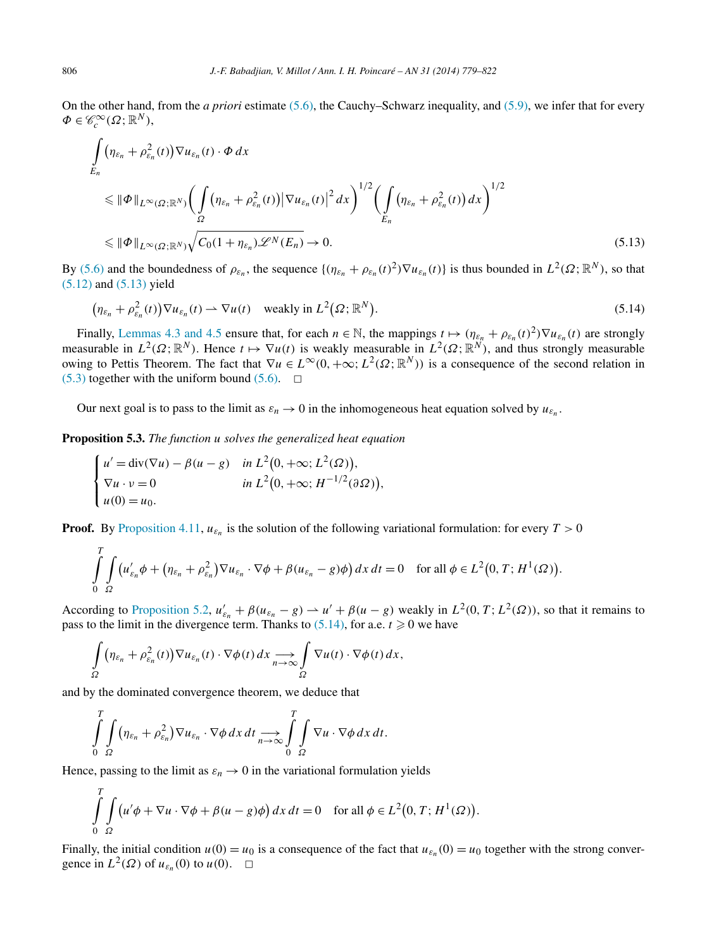<span id="page-27-0"></span>On the other hand, from the *a priori* estimate [\(5.6\),](#page-25-0) the Cauchy–Schwarz inequality, and [\(5.9\),](#page-25-0) we infer that for every  $\Phi \in \mathscr{C}_c^\infty(\Omega;\mathbb{R}^N),$ 

$$
\int_{E_n} (\eta_{\varepsilon_n} + \rho_{\varepsilon_n}^2(t)) \nabla u_{\varepsilon_n}(t) \cdot \Phi \, dx
$$
\n
$$
\leq \|\Phi\|_{L^{\infty}(\Omega; \mathbb{R}^N)} \bigg( \int_{\Omega} (\eta_{\varepsilon_n} + \rho_{\varepsilon_n}^2(t)) |\nabla u_{\varepsilon_n}(t)|^2 \, dx \bigg)^{1/2} \bigg( \int_{E_n} (\eta_{\varepsilon_n} + \rho_{\varepsilon_n}^2(t)) \, dx \bigg)^{1/2}
$$
\n
$$
\leq \|\Phi\|_{L^{\infty}(\Omega; \mathbb{R}^N)} \sqrt{C_0 (1 + \eta_{\varepsilon_n}) \mathcal{L}^N(E_n)} \to 0.
$$
\n(5.13)

By [\(5.6\)](#page-25-0) and the boundedness of  $\rho_{\varepsilon_n}$ , the sequence  $\{(\eta_{\varepsilon_n} + \rho_{\varepsilon_n}(t)^2) \nabla u_{\varepsilon_n}(t)\}\)$  is thus bounded in  $L^2(\Omega; \mathbb{R}^N)$ , so that [\(5.12\)](#page-26-0) and (5.13) yield

$$
\left(\eta_{\varepsilon_n} + \rho_{\varepsilon_n}^2(t)\right) \nabla u_{\varepsilon_n}(t) \rightharpoonup \nabla u(t) \quad \text{weakly in } L^2(\Omega; \mathbb{R}^N).
$$
\n
$$
(5.14)
$$

Finally, [Lemmas 4.3 and 4.5](#page-11-0) ensure that, for each  $n \in \mathbb{N}$ , the mappings  $t \mapsto (\eta_{\varepsilon_n} + \rho_{\varepsilon_n}(t)^2) \nabla u_{\varepsilon_n}(t)$  are strongly measurable in  $L^2(\Omega;\mathbb{R}^N)$ . Hence  $t \mapsto \nabla u(t)$  is weakly measurable in  $L^2(\Omega;\mathbb{R}^N)$ , and thus strongly measurable owing to Pettis Theorem. The fact that  $\nabla u \in L^{\infty}(0, +\infty; L^2(\Omega; \mathbb{R}^N))$  is a consequence of the second relation in  $(5.3)$  together with the uniform bound  $(5.6)$ .  $\Box$ 

Our next goal is to pass to the limit as  $\varepsilon_n \to 0$  in the inhomogeneous heat equation solved by  $u_{\varepsilon_n}$ .

**Proposition 5.3.** *The function u solves the generalized heat equation*

$$
\begin{cases}\nu' = \operatorname{div}(\nabla u) - \beta(u - g) & \text{in } L^2(0, +\infty; L^2(\Omega)), \\
\nabla u \cdot v = 0 & \text{in } L^2(0, +\infty; H^{-1/2}(\partial \Omega)), \\
u(0) = u_0.\n\end{cases}
$$

**Proof.** By [Proposition 4.11,](#page-16-0)  $u_{\varepsilon_n}$  is the solution of the following variational formulation: for every  $T > 0$ 

$$
\int_{0}^{T} \int_{\Omega} \left( u'_{\varepsilon_n} \phi + \left( \eta_{\varepsilon_n} + \rho_{\varepsilon_n}^2 \right) \nabla u_{\varepsilon_n} \cdot \nabla \phi + \beta (u_{\varepsilon_n} - g) \phi \right) dx dt = 0 \quad \text{for all } \phi \in L^2(0, T; H^1(\Omega)).
$$

According to [Proposition 5.2,](#page-24-0)  $u'_{\varepsilon_n} + \beta (u_{\varepsilon_n} - g) \to u' + \beta (u - g)$  weakly in  $L^2(0, T; L^2(\Omega))$ , so that it remains to pass to the limit in the divergence term. Thanks to  $(5.14)$ , for a.e.  $t \ge 0$  we have

$$
\int_{\Omega} \left( \eta_{\varepsilon_n} + \rho_{\varepsilon_n}^2(t) \right) \nabla u_{\varepsilon_n}(t) \cdot \nabla \phi(t) \, dx \underset{n \to \infty}{\longrightarrow} \int_{\Omega} \nabla u(t) \cdot \nabla \phi(t) \, dx,
$$

and by the dominated convergence theorem, we deduce that

$$
\int\limits_{0}^{T}\int\limits_{\Omega}(\eta_{\varepsilon_n}+\rho_{\varepsilon_n}^2)\nabla u_{\varepsilon_n}\cdot\nabla\phi\,dx\,dt\underset{n\to\infty}{\longrightarrow}\int\limits_{0}^{T}\int\limits_{\Omega}\nabla u\cdot\nabla\phi\,dx\,dt.
$$

Hence, passing to the limit as  $\varepsilon_n \to 0$  in the variational formulation yields

$$
\int_{0}^{T} \int_{\Omega} \left( u' \phi + \nabla u \cdot \nabla \phi + \beta (u - g) \phi \right) dx dt = 0 \quad \text{for all } \phi \in L^{2}(0, T; H^{1}(\Omega)).
$$

Finally, the initial condition  $u(0) = u_0$  is a consequence of the fact that  $u_{\varepsilon_n}(0) = u_0$  together with the strong convergence in  $L^2(\Omega)$  of  $u_{\varepsilon_n}(0)$  to  $u(0)$ .  $\Box$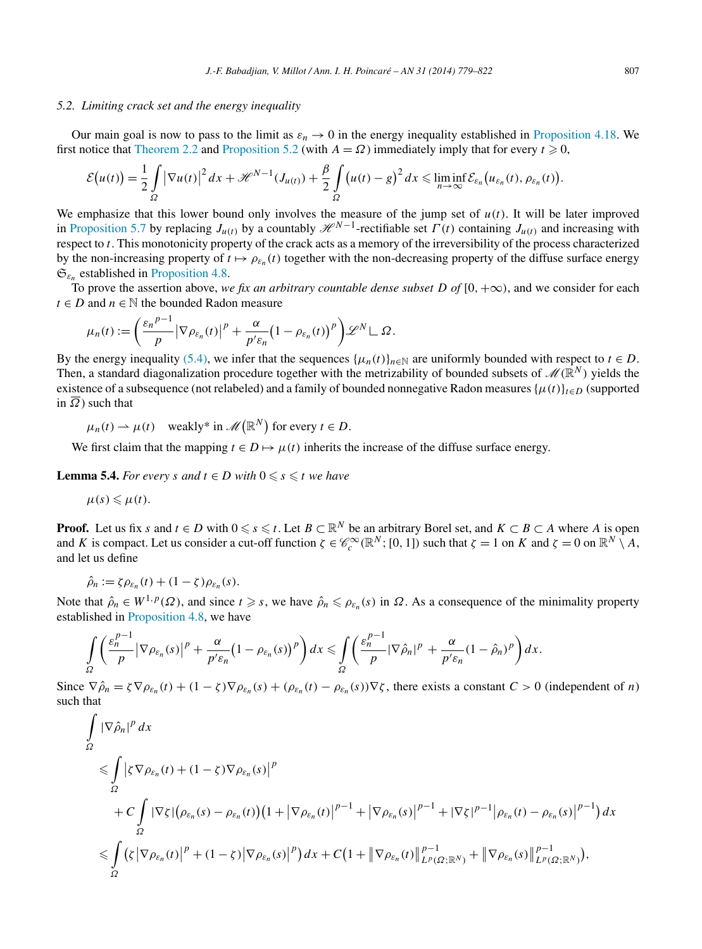#### <span id="page-28-0"></span>*5.2. Limiting crack set and the energy inequality*

Our main goal is now to pass to the limit as  $\varepsilon_n \to 0$  in the energy inequality established in [Proposition 4.18.](#page-22-0) We first notice that [Theorem 2.2](#page-7-0) and [Proposition 5.2](#page-24-0) (with  $A = \Omega$ ) immediately imply that for every  $t \ge 0$ ,

$$
\mathcal{E}\big(u(t)\big)=\frac{1}{2}\int\limits_{\Omega}\big|\nabla u(t)\big|^2\,dx+\mathscr{H}^{N-1}(J_{u(t)})+\frac{\beta}{2}\int\limits_{\Omega}\big(u(t)-g\big)^2\,dx\leqslant \liminf_{n\to\infty}\mathcal{E}_{\varepsilon_n}\big(u_{\varepsilon_n}(t),\,\rho_{\varepsilon_n}(t)\big).
$$

We emphasize that this lower bound only involves the measure of the jump set of  $u(t)$ . It will be later improved in [Proposition 5.7](#page-31-0) by replacing  $J_{u(t)}$  by a countably  $\mathcal{H}^{N-1}$ -rectifiable set  $\Gamma(t)$  containing  $J_{u(t)}$  and increasing with respect to *t*. This monotonicity property of the crack acts as a memory of the irreversibility of the process characterized by the non-increasing property of  $t \mapsto \rho_{\varepsilon_n}(t)$  together with the non-decreasing property of the diffuse surface energy  $\mathfrak{S}_{\varepsilon_n}$  established in [Proposition 4.8.](#page-14-0)

To prove the assertion above, we fix an arbitrary countable dense subset  $D$  of  $[0, +\infty)$ , and we consider for each *t* ∈ *D* and *n* ∈  $\mathbb N$  the bounded Radon measure

$$
\mu_n(t) := \left(\frac{\varepsilon_n^{p-1}}{p} \big| \nabla \rho_{\varepsilon_n}(t) \big|^p + \frac{\alpha}{p' \varepsilon_n} \big(1 - \rho_{\varepsilon_n}(t)\big)^p\right) \mathscr{L}^N \mathsf{L} \, \Omega.
$$

By the energy inequality [\(5.4\),](#page-24-0) we infer that the sequences  $\{\mu_n(t)\}_{n\in\mathbb{N}}$  are uniformly bounded with respect to  $t \in D$ . Then, a standard diagonalization procedure together with the metrizability of bounded subsets of  $\mathcal{M}(\mathbb{R}^N)$  yields the existence of a subsequence (not relabeled) and a family of bounded nonnegative Radon measures  $\{\mu(t)\}_{t \in D}$  (supported in  $\overline{\Omega}$ ) such that

 $\mu_n(t) \rightharpoonup \mu(t)$  weakly\* in  $\mathscr{M}(\mathbb{R}^N)$  for every  $t \in D$ .

We first claim that the mapping  $t \in D \mapsto \mu(t)$  inherits the increase of the diffuse surface energy.

**Lemma 5.4.** *For every s* and  $t \in D$  with  $0 \le s \le t$  we have

$$
\mu(s)\leqslant\mu(t).
$$

**Proof.** Let us fix *s* and  $t \in D$  with  $0 \le s \le t$ . Let  $B \subset \mathbb{R}^N$  be an arbitrary Borel set, and  $K \subset B \subset A$  where *A* is open and *K* is compact. Let us consider a cut-off function  $\zeta \in \mathcal{C}_c^\infty(\mathbb{R}^N; [0, 1])$  such that  $\zeta = 1$  on  $K$  and  $\zeta = 0$  on  $\mathbb{R}^N \setminus A$ , and let us define

$$
\hat{\rho}_n := \zeta \rho_{\varepsilon_n}(t) + (1 - \zeta) \rho_{\varepsilon_n}(s).
$$

Note that  $\hat{\rho}_n \in W^{1,p}(\Omega)$ , and since  $t \geq s$ , we have  $\hat{\rho}_n \leq \rho_{\varepsilon_n}(s)$  in  $\Omega$ . As a consequence of the minimality property established in [Proposition 4.8,](#page-14-0) we have

$$
\int_{\Omega} \left( \frac{\varepsilon_n^{p-1}}{p} |\nabla \rho_{\varepsilon_n}(s)|^p + \frac{\alpha}{p' \varepsilon_n} (1 - \rho_{\varepsilon_n}(s))^p \right) dx \leq \int_{\Omega} \left( \frac{\varepsilon_n^{p-1}}{p} |\nabla \hat{\rho}_n|^p + \frac{\alpha}{p' \varepsilon_n} (1 - \hat{\rho}_n)^p \right) dx.
$$

Since  $\nabla \hat{\rho}_n = \zeta \nabla \rho_{\varepsilon_n}(t) + (1 - \zeta) \nabla \rho_{\varepsilon_n}(s) + (\rho_{\varepsilon_n}(t) - \rho_{\varepsilon_n}(s)) \nabla \zeta$ , there exists a constant  $C > 0$  (independent of *n*) such that

$$
\int_{\Omega} |\nabla \hat{\rho}_n|^p dx
$$
\n
$$
\leq \int_{\Omega} |\zeta \nabla \rho_{\varepsilon_n}(t) + (1 - \zeta) \nabla \rho_{\varepsilon_n}(s)|^p
$$
\n
$$
+ C \int_{\Omega} |\nabla \zeta| (\rho_{\varepsilon_n}(s) - \rho_{\varepsilon_n}(t)) (1 + |\nabla \rho_{\varepsilon_n}(t)|^{p-1} + |\nabla \rho_{\varepsilon_n}(s)|^{p-1} + |\nabla \zeta|^{p-1} |\rho_{\varepsilon_n}(t) - \rho_{\varepsilon_n}(s)|^{p-1}) dx
$$
\n
$$
\leq \int_{\Omega} (\zeta |\nabla \rho_{\varepsilon_n}(t)|^p + (1 - \zeta) |\nabla \rho_{\varepsilon_n}(s)|^p) dx + C (1 + ||\nabla \rho_{\varepsilon_n}(t)||_{L^p(\Omega; \mathbb{R}^N)}^{p-1} + ||\nabla \rho_{\varepsilon_n}(s)||_{L^p(\Omega; \mathbb{R}^N)}^{p-1}),
$$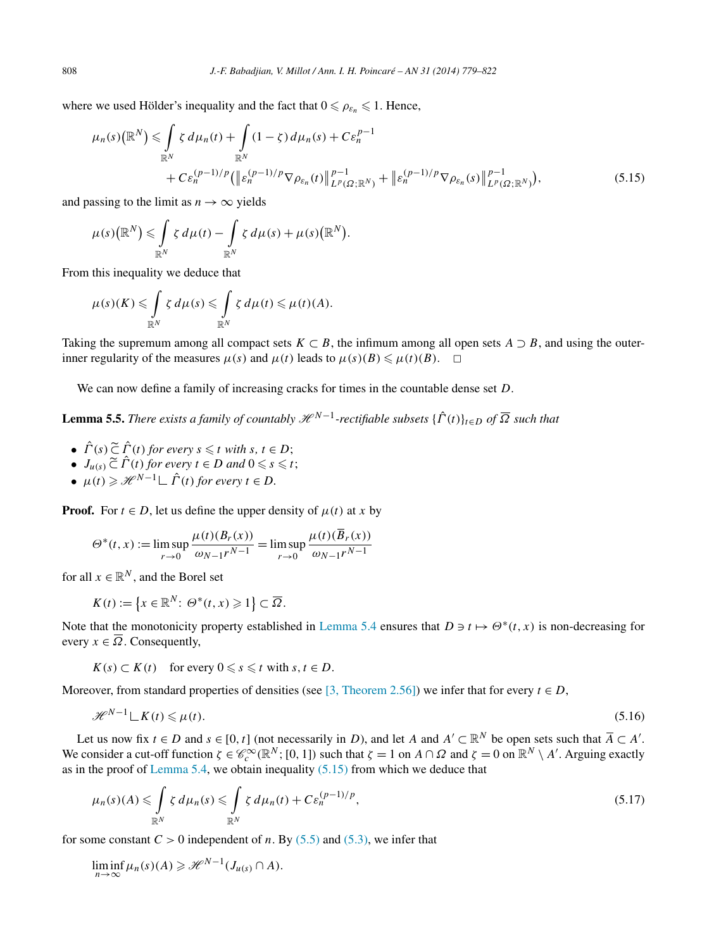where we used Hölder's inequality and the fact that  $0 \le \rho_{\varepsilon_n} \le 1$ . Hence,

$$
\mu_n(s) \left(\mathbb{R}^N\right) \leq \int_{\mathbb{R}^N} \zeta \, d\mu_n(t) + \int_{\mathbb{R}^N} (1 - \zeta) \, d\mu_n(s) + C \varepsilon_n^{p-1} + C \varepsilon_n^{(p-1)/p} \left(\left\| \varepsilon_n^{(p-1)/p} \nabla \rho_{\varepsilon_n}(t) \right\|_{L^p(\Omega; \mathbb{R}^N)}^{p-1} + \left\| \varepsilon_n^{(p-1)/p} \nabla \rho_{\varepsilon_n}(s) \right\|_{L^p(\Omega; \mathbb{R}^N)}^{p-1}\right),\tag{5.15}
$$

and passing to the limit as  $n \to \infty$  yields

$$
\mu(s)\big(\mathbb{R}^N\big) \leqslant \int\limits_{\mathbb{R}^N} \zeta \, d\mu(t) - \int\limits_{\mathbb{R}^N} \zeta \, d\mu(s) + \mu(s)\big(\mathbb{R}^N\big).
$$

From this inequality we deduce that

$$
\mu(s)(K) \leqslant \int\limits_{\mathbb{R}^N} \zeta \, d\mu(s) \leqslant \int\limits_{\mathbb{R}^N} \zeta \, d\mu(t) \leqslant \mu(t)(A).
$$

Taking the supremum among all compact sets  $K \subset B$ , the infimum among all open sets  $A \supset B$ , and using the outerinner regularity of the measures  $\mu(s)$  and  $\mu(t)$  leads to  $\mu(s)(B) \leq \mu(t)(B)$ .  $\Box$ 

We can now define a family of increasing cracks for times in the countable dense set *D*.

**Lemma 5.5.** *There exists a family of countably*  $\mathcal{H}^{N-1}$ -rectifiable subsets  $\{\hat{\Gamma}(t)\}_{t\in D}$  of  $\overline{\Omega}$  such that

- $\hat{\Gamma}(s) \widetilde{\subsetneq} \hat{\Gamma}(t)$  for every  $s \leq t$  with  $s, t \in D$ ;
- $J_{u(s)} \widetilde{\subset} \widehat{\Gamma}(t)$  for every  $t \in D$  and  $0 \leq s \leq t$ ;
- $\mu(t) \geq \mathcal{H}^{N-1} \sqcup \hat{\Gamma}(t)$  for every  $t \in D$ .

**Proof.** For  $t \in D$ , let us define the upper density of  $\mu(t)$  at *x* by

$$
\Theta^*(t, x) := \limsup_{r \to 0} \frac{\mu(t)(B_r(x))}{\omega_{N-1}r^{N-1}} = \limsup_{r \to 0} \frac{\mu(t)(B_r(x))}{\omega_{N-1}r^{N-1}}
$$

for all  $x \in \mathbb{R}^N$ , and the Borel set

$$
K(t) := \left\{ x \in \mathbb{R}^N : \Theta^*(t, x) \geq 1 \right\} \subset \overline{\Omega}.
$$

Note that the monotonicity property established in [Lemma 5.4](#page-28-0) ensures that  $D \ni t \mapsto \Theta^*(t, x)$  is non-decreasing for every  $x \in \overline{\Omega}$ . Consequently,

 $K(s) \subset K(t)$  for every  $0 \le s \le t$  with  $s, t \in D$ .

Moreover, from standard properties of densities (see [\[3, Theorem 2.56\]\)](#page-42-0) we infer that for every  $t \in D$ ,

$$
\mathcal{H}^{N-1} \mathcal{L} K(t) \leq \mu(t). \tag{5.16}
$$

Let us now fix  $t \in D$  and  $s \in [0, t]$  (not necessarily in *D*), and let *A* and  $A' \subset \mathbb{R}^N$  be open sets such that  $\overline{A} \subset A'$ . We consider a cut-off function  $\zeta \in \mathcal{C}_c^{\infty}(\mathbb{R}^N; [0, 1])$  such that  $\zeta = 1$  on  $A \cap \Omega$  and  $\zeta = 0$  on  $\mathbb{R}^N \setminus A'$ . Arguing exactly as in the proof of [Lemma 5.4,](#page-28-0) we obtain inequality (5.15) from which we deduce that

$$
\mu_n(s)(A) \leqslant \int\limits_{\mathbb{R}^N} \zeta \, d\mu_n(s) \leqslant \int\limits_{\mathbb{R}^N} \zeta \, d\mu_n(t) + C \varepsilon_n^{(p-1)/p},\tag{5.17}
$$

for some constant  $C > 0$  independent of *n*. By [\(5.5\)](#page-25-0) and [\(5.3\),](#page-24-0) we infer that

$$
\liminf_{n\to\infty}\mu_n(s)(A)\geqslant\mathscr{H}^{N-1}(J_{u(s)}\cap A).
$$

<span id="page-29-0"></span>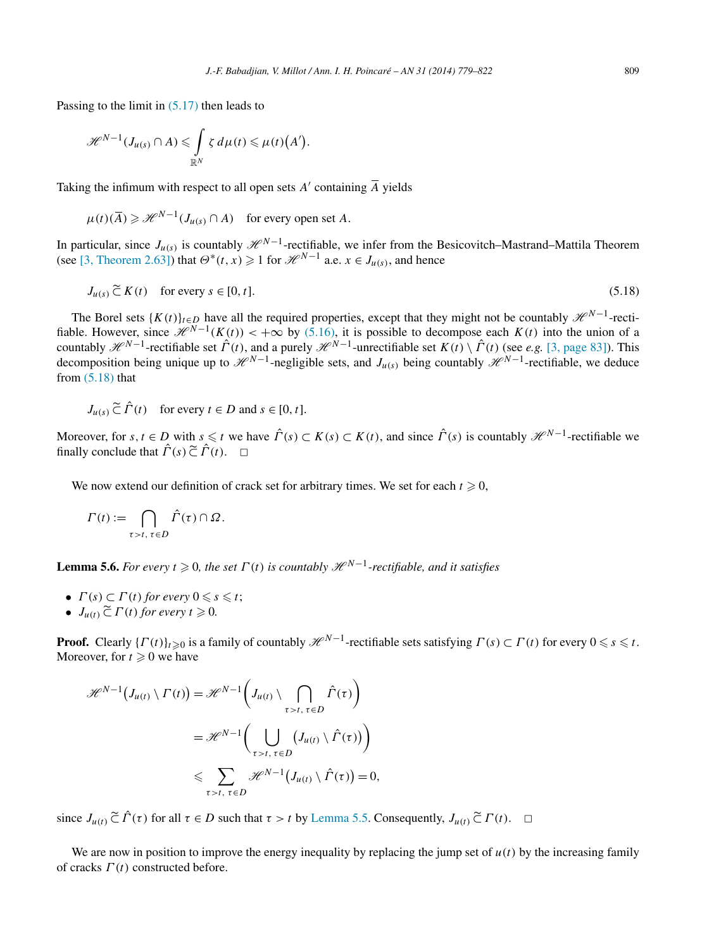Passing to the limit in  $(5.17)$  then leads to

$$
\mathscr{H}^{N-1}(J_{\mu(s)}\cap A)\leqslant \int\limits_{\mathbb{R}^N}\zeta\,d\mu(t)\leqslant\mu(t)(A').
$$

Taking the infimum with respect to all open sets  $A'$  containing  $\overline{A}$  yields

 $\mu(t)(\overline{A}) \geq \mathcal{H}^{N-1}(J_{\mu(s)} \cap A)$  for every open set *A*.

In particular, since  $J_{u(s)}$  is countably  $\mathcal{H}^{N-1}$ -rectifiable, we infer from the Besicovitch–Mastrand–Mattila Theorem (see [\[3, Theorem 2.63\]\)](#page-42-0) that  $\Theta^*(t, x) \geq 1$  for  $\mathcal{H}^{N-1}$  a.e.  $x \in J_{u(s)}$ , and hence

$$
J_{u(s)} \widetilde{\subset} K(t) \quad \text{for every } s \in [0, t]. \tag{5.18}
$$

The Borel sets  $\{K(t)\}_{t\in D}$  have all the required properties, except that they might not be countably  $\mathcal{H}^{N-1}$ -rectifiable. However, since  $\mathcal{H}^{N-1}(K(t)) < +\infty$  by [\(5.16\),](#page-29-0) it is possible to decompose each  $K(t)$  into the union of a countably  $\mathcal{H}^{N-1}$ -rectifiable set  $\hat{\Gamma}(t)$ , and a purely  $\mathcal{H}^{N-1}$ -unrectifiable set  $K(t) \setminus \hat{\Gamma}(t)$  (see *e.g.* [\[3, page 83\]\)](#page-42-0). This decomposition being unique up to  $\mathcal{H}^{N-1}$ -negligible sets, and *J<sub>u(s)</sub>* being countably  $\mathcal{H}^{N-1}$ -rectifiable, we deduce from  $(5.18)$  that

 $J_{u(s)} \nightharpoonup \nightharpoonup \nightharpoonup \nightharpoonup \nightharpoonup \nightharpoonup \nightharpoonup \nightharpoonup \nightharpoonup \nightharpoonup \nightharpoonup \nightharpoonup \nightharpoonup \nightharpoonup \nightharpoonup \nightharpoonup \nightharpoonup \nightharpoonup \nightharpoonup \nightharpoonup \nightharpoonup \nightharpoonup \nightharpoonup \nightharpoonup \nightharpoonup \nightharpoonup \nightharpoonup \nightharpoonup \nightharpoonup \nightharpoonup \nightharpoonup \nightharpoonup \nightharpoonup \nightharpoonup \nightharpoonup \nightharpoon$ 

Moreover, for  $s, t \in D$  with  $s \leq t$  we have  $\hat{\Gamma}(s) \subset K(s) \subset K(t)$ , and since  $\hat{\Gamma}(s)$  is countably  $\mathcal{H}^{N-1}$ -rectifiable we finally conclude that  $\hat{\Gamma}(s) \widetilde{\subset} \hat{\Gamma}(t)$ .  $\Box$ 

We now extend our definition of crack set for arbitrary times. We set for each  $t \ge 0$ ,

$$
\Gamma(t) := \bigcap_{\tau > t, \tau \in D} \hat{\Gamma}(\tau) \cap \Omega.
$$

**Lemma 5.6.** *For every*  $t \ge 0$ , the set  $\Gamma(t)$  is countably  $\mathcal{H}^{N-1}$ -rectifiable, and it satisfies

- $\Gamma(s) \subset \Gamma(t)$  for every  $0 \leq s \leq t$ ;
- $J_{u(t)} \widetilde{\subset} \Gamma(t)$  for every  $t \geq 0$ .

**Proof.** Clearly  $\{ \Gamma(t) \}_{t \geq 0}$  is a family of countably  $\mathcal{H}^{N-1}$ -rectifiable sets satisfying  $\Gamma(s) \subset \Gamma(t)$  for every  $0 \leq s \leq t$ . Moreover, for  $t \geq 0$  we have

$$
\mathcal{H}^{N-1}(J_{u(t)} \setminus \Gamma(t)) = \mathcal{H}^{N-1}\left(J_{u(t)} \setminus \bigcap_{\tau > t, \tau \in D} \hat{\Gamma}(\tau)\right)
$$

$$
= \mathcal{H}^{N-1}\left(\bigcup_{\tau > t, \tau \in D} (J_{u(t)} \setminus \hat{\Gamma}(\tau))\right)
$$

$$
\leq \sum_{\tau > t, \tau \in D} \mathcal{H}^{N-1}(J_{u(t)} \setminus \hat{\Gamma}(\tau)) = 0,
$$

since  $J_{u(t)} \tilde{\subset} \hat{\Gamma}(\tau)$  for all  $\tau \in D$  such that  $\tau > t$  by [Lemma 5.5.](#page-29-0) Consequently,  $J_{u(t)} \tilde{\subset} \Gamma(t)$ .  $\Box$ 

We are now in position to improve the energy inequality by replacing the jump set of  $u(t)$  by the increasing family of cracks *Γ (t)* constructed before.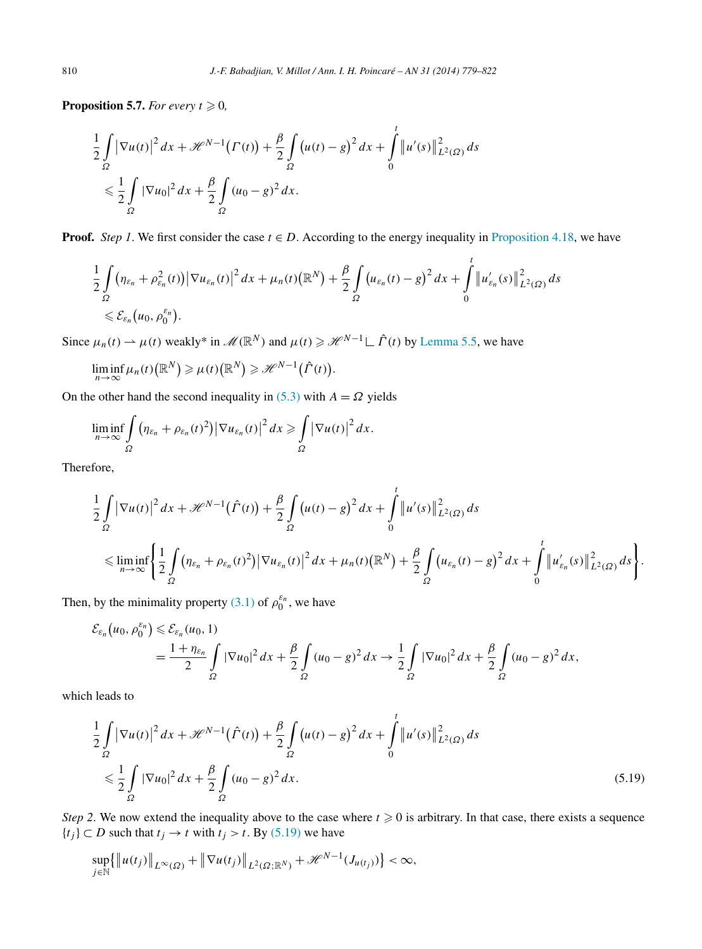<span id="page-31-0"></span>**Proposition 5.7.** *For every*  $t \ge 0$ *,* 

$$
\frac{1}{2} \int_{\Omega} |\nabla u(t)|^2 dx + \mathcal{H}^{N-1}(\Gamma(t)) + \frac{\beta}{2} \int_{\Omega} (u(t) - g)^2 dx + \int_{0}^{t} ||u'(s)||_{L^2(\Omega)}^2 ds
$$
  

$$
\leq \frac{1}{2} \int_{\Omega} |\nabla u_0|^2 dx + \frac{\beta}{2} \int_{\Omega} (u_0 - g)^2 dx.
$$

**Proof.** *Step 1*. We first consider the case  $t \in D$ . According to the energy inequality in [Proposition 4.18,](#page-22-0) we have

$$
\frac{1}{2}\int\limits_{\Omega} \left(\eta_{\varepsilon_n} + \rho_{\varepsilon_n}^2(t)\right) \left|\nabla u_{\varepsilon_n}(t)\right|^2 dx + \mu_n(t)\left(\mathbb{R}^N\right) + \frac{\beta}{2}\int\limits_{\Omega} \left(u_{\varepsilon_n}(t) - g\right)^2 dx + \int\limits_0^t \left|u'_{\varepsilon_n}(s)\right|^2_{L^2(\Omega)} ds
$$
  
\$\leqslant \mathcal{E}\_{\varepsilon\_n}\left(u\_0, \rho\_0^{\varepsilon\_n}\right).

Since  $\mu_n(t) \to \mu(t)$  weakly\* in  $\mathcal{M}(\mathbb{R}^N)$  and  $\mu(t) \geq \mathcal{H}^{N-1} \mathcal{L}(\hat{\Gamma}(t))$  by [Lemma 5.5,](#page-29-0) we have

$$
\liminf_{n\to\infty}\mu_n(t)\big(\mathbb{R}^N\big)\geqslant\mu(t)\big(\mathbb{R}^N\big)\geqslant\mathscr{H}^{N-1}\big(\hat{\Gamma}(t)\big).
$$

On the other hand the second inequality in [\(5.3\)](#page-24-0) with  $A = \Omega$  yields

$$
\liminf_{n\to\infty}\int_{\Omega}\big(\eta_{\varepsilon_n}+\rho_{\varepsilon_n}(t)^2\big)\big|\nabla u_{\varepsilon_n}(t)\big|^2\,dx\geqslant\int_{\Omega}\big|\nabla u(t)\big|^2\,dx.
$$

Therefore,

$$
\frac{1}{2}\int_{\Omega}|\nabla u(t)|^{2} dx + \mathcal{H}^{N-1}(\hat{\Gamma}(t)) + \frac{\beta}{2}\int_{\Omega} (u(t) - g)^{2} dx + \int_{0}^{t} ||u'(s)||_{L^{2}(\Omega)}^{2} ds
$$
\n
$$
\leq \liminf_{n \to \infty} \left\{ \frac{1}{2}\int_{\Omega} (\eta_{\varepsilon_{n}} + \rho_{\varepsilon_{n}}(t)^{2}) |\nabla u_{\varepsilon_{n}}(t)|^{2} dx + \mu_{n}(t) (\mathbb{R}^{N}) + \frac{\beta}{2}\int_{\Omega} (u_{\varepsilon_{n}}(t) - g)^{2} dx + \int_{0}^{t} ||u'_{\varepsilon_{n}}(s)||_{L^{2}(\Omega)}^{2} ds \right\}.
$$

Then, by the minimality property [\(3.1\)](#page-7-0) of  $\rho_0^{\varepsilon_n}$ , we have

$$
\mathcal{E}_{\varepsilon_n}(u_0, \rho_0^{\varepsilon_n}) \leq \mathcal{E}_{\varepsilon_n}(u_0, 1) \n= \frac{1 + \eta_{\varepsilon_n}}{2} \int\limits_{\Omega} |\nabla u_0|^2 \, dx + \frac{\beta}{2} \int\limits_{\Omega} (u_0 - g)^2 \, dx \to \frac{1}{2} \int\limits_{\Omega} |\nabla u_0|^2 \, dx + \frac{\beta}{2} \int\limits_{\Omega} (u_0 - g)^2 \, dx,
$$

which leads to

$$
\frac{1}{2} \int_{\Omega} |\nabla u(t)|^2 dx + \mathcal{H}^{N-1}(\hat{\Gamma}(t)) + \frac{\beta}{2} \int_{\Omega} (u(t) - g)^2 dx + \int_{0}^{t} ||u'(s)||_{L^2(\Omega)}^2 ds
$$
\n
$$
\leq \frac{1}{2} \int_{\Omega} |\nabla u_0|^2 dx + \frac{\beta}{2} \int_{\Omega} (u_0 - g)^2 dx. \tag{5.19}
$$

*Step 2*. We now extend the inequality above to the case where  $t \ge 0$  is arbitrary. In that case, there exists a sequence {*t<sub>j</sub>*} ⊂ *D* such that *t<sub>j</sub>* → *t* with *t<sub>j</sub>* > *t*. By (5.19) we have

$$
\sup_{j\in\mathbb{N}}\{\left\|u(t_j)\right\|_{L^{\infty}(\Omega)}+\left\|\nabla u(t_j)\right\|_{L^2(\Omega;\mathbb{R}^N)}+\mathscr{H}^{N-1}(J_{u(t_j)})\}<\infty,
$$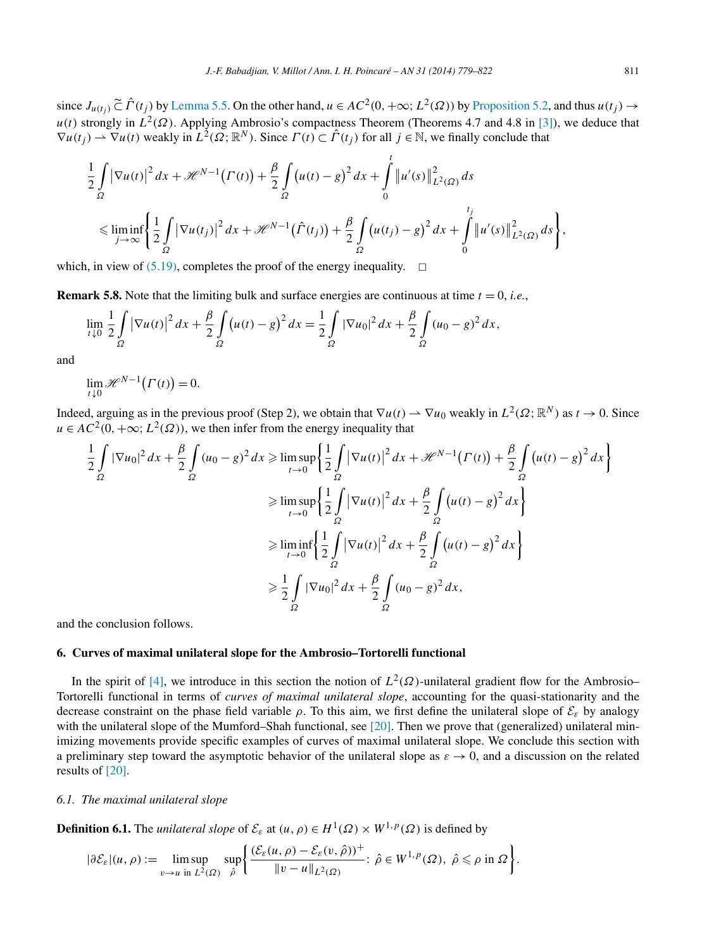<span id="page-32-0"></span>since  $J_{u(t_i)} \nightharpoonup \nightharpoonup \nightharpoonup \nightharpoonup$  *f*  $(t_i)$  by [Lemma 5.5.](#page-29-0) On the other hand,  $u \in AC^2(0, +\infty; L^2(\Omega))$  by [Proposition 5.2,](#page-24-0) and thus  $u(t_i) \rightarrow$ *u(t)* strongly in  $L^2(\Omega)$ . Applying Ambrosio's compactness Theorem (Theorems 4.7 and 4.8 in [\[3\]\)](#page-42-0), we deduce that  $\nabla u(t_i) \rightharpoonup \nabla u(t)$  weakly in  $\hat{L}^2(\Omega; \mathbb{R}^N)$ . Since  $\Gamma(t) \subset \hat{\Gamma}(t_i)$  for all  $i \in \mathbb{N}$ , we finally conclude that

$$
\frac{1}{2} \int_{\Omega} \left| \nabla u(t) \right|^2 dx + \mathcal{H}^{N-1}(\Gamma(t)) + \frac{\beta}{2} \int_{\Omega} \left( u(t) - g \right)^2 dx + \int_{0}^{t} \left| u'(s) \right|_{L^2(\Omega)}^2 ds
$$
\n
$$
\leq \liminf_{j \to \infty} \left\{ \frac{1}{2} \int_{\Omega} \left| \nabla u(t_j) \right|^2 dx + \mathcal{H}^{N-1}(\hat{\Gamma}(t_j)) + \frac{\beta}{2} \int_{\Omega} \left( u(t_j) - g \right)^2 dx + \int_{0}^{t_j} \left| u'(s) \right|_{L^2(\Omega)}^2 ds \right\},
$$

which, in view of [\(5.19\),](#page-31-0) completes the proof of the energy inequality.  $\Box$ 

**Remark 5.8.** Note that the limiting bulk and surface energies are continuous at time  $t = 0$ , *i.e.*,

$$
\lim_{t \downarrow 0} \frac{1}{2} \int_{\Omega} |\nabla u(t)|^2 \, dx + \frac{\beta}{2} \int_{\Omega} \left( u(t) - g \right)^2 dx = \frac{1}{2} \int_{\Omega} |\nabla u_0|^2 \, dx + \frac{\beta}{2} \int_{\Omega} (u_0 - g)^2 \, dx,
$$

and

$$
\lim_{t \downarrow 0} \mathcal{H}^{N-1}\big(\Gamma(t)\big) = 0.
$$

Indeed, arguing as in the previous proof (Step 2), we obtain that  $\nabla u(t) \rightharpoonup \nabla u_0$  weakly in  $L^2(\Omega; \mathbb{R}^N)$  as  $t \to 0$ . Since  $u \in AC^2(0, +\infty; L^2(\Omega))$ , we then infer from the energy inequality that

$$
\frac{1}{2} \int_{\Omega} |\nabla u_0|^2 dx + \frac{\beta}{2} \int_{\Omega} (u_0 - g)^2 dx \ge \limsup_{t \to 0} \left\{ \frac{1}{2} \int_{\Omega} |\nabla u(t)|^2 dx + \mathcal{H}^{N-1} (\Gamma(t)) + \frac{\beta}{2} \int_{\Omega} (u(t) - g)^2 dx \right\}
$$
  
\n
$$
\ge \limsup_{t \to 0} \left\{ \frac{1}{2} \int_{\Omega} |\nabla u(t)|^2 dx + \frac{\beta}{2} \int_{\Omega} (u(t) - g)^2 dx \right\}
$$
  
\n
$$
\ge \liminf_{t \to 0} \left\{ \frac{1}{2} \int_{\Omega} |\nabla u(t)|^2 dx + \frac{\beta}{2} \int_{\Omega} (u(t) - g)^2 dx \right\}
$$
  
\n
$$
\ge \frac{1}{2} \int_{\Omega} |\nabla u_0|^2 dx + \frac{\beta}{2} \int_{\Omega} (u_0 - g)^2 dx,
$$

and the conclusion follows.

## **6. Curves of maximal unilateral slope for the Ambrosio–Tortorelli functional**

In the spirit of [\[4\],](#page-42-0) we introduce in this section the notion of  $L^2(\Omega)$ -unilateral gradient flow for the Ambrosio– Tortorelli functional in terms of *curves of maximal unilateral slope*, accounting for the quasi-stationarity and the decrease constraint on the phase field variable  $\rho$ . To this aim, we first define the unilateral slope of  $\mathcal{E}_{\varepsilon}$  by analogy with the unilateral slope of the Mumford–Shah functional, see [\[20\].](#page-43-0) Then we prove that (generalized) unilateral minimizing movements provide specific examples of curves of maximal unilateral slope. We conclude this section with a preliminary step toward the asymptotic behavior of the unilateral slope as  $\varepsilon \to 0$ , and a discussion on the related results of [\[20\].](#page-43-0)

# *6.1. The maximal unilateral slope*

**Definition 6.1.** The *unilateral slope* of  $\mathcal{E}_{\varepsilon}$  at  $(u, \rho) \in H^1(\Omega) \times W^{1,p}(\Omega)$  is defined by

$$
|\partial \mathcal{E}_{\varepsilon}|(u,\rho) := \limsup_{v \to u \text{ in } L^2(\Omega)} \sup_{\hat{\rho}} \left\{ \frac{(\mathcal{E}_{\varepsilon}(u,\rho) - \mathcal{E}_{\varepsilon}(v,\hat{\rho}))^+}{\|v - u\|_{L^2(\Omega)}} : \hat{\rho} \in W^{1,p}(\Omega), \ \hat{\rho} \leq \rho \text{ in } \Omega \right\}.
$$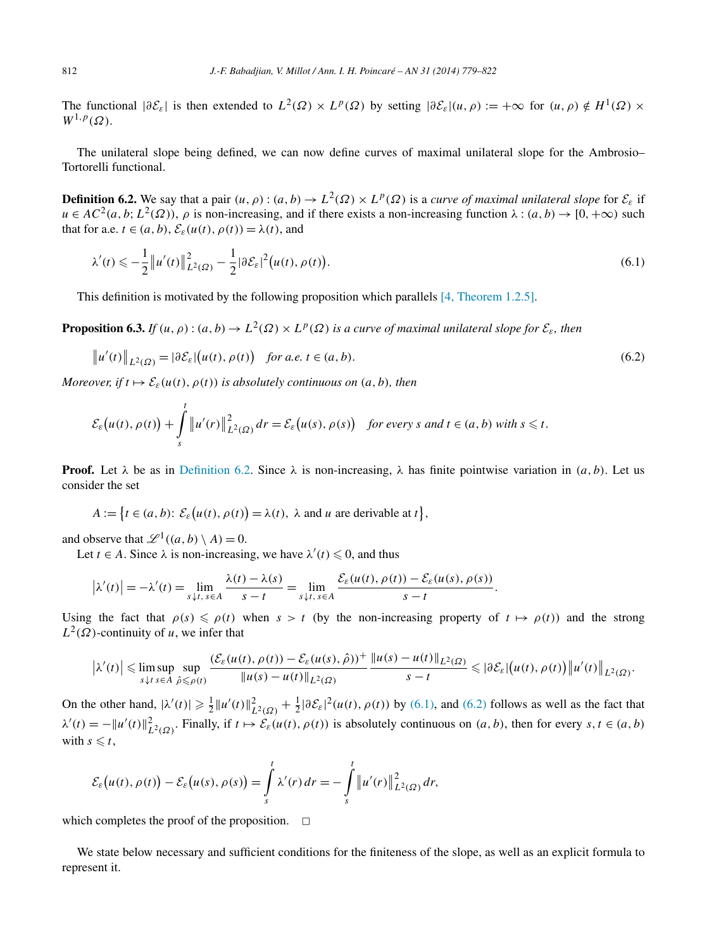<span id="page-33-0"></span>The functional  $|\partial \mathcal{E}_\varepsilon|$  is then extended to  $L^2(\Omega) \times L^p(\Omega)$  by setting  $|\partial \mathcal{E}_\varepsilon|(u,\rho) := +\infty$  for  $(u,\rho) \notin H^1(\Omega) \times$  $W^{1,p}(\Omega)$ .

The unilateral slope being defined, we can now define curves of maximal unilateral slope for the Ambrosio– Tortorelli functional.

**Definition 6.2.** We say that a pair  $(u, \rho)$ :  $(a, b) \to L^2(\Omega) \times L^p(\Omega)$  is a *curve of maximal unilateral slope* for  $\mathcal{E}_\varepsilon$  if  $u \in AC^2(a, b; L^2(\Omega))$ ,  $\rho$  is non-increasing, and if there exists a non-increasing function  $\lambda : (a, b) \to [0, +\infty)$  such that for a.e.  $t \in (a, b)$ ,  $\mathcal{E}_{\varepsilon}(u(t), \rho(t)) = \lambda(t)$ , and

$$
\lambda'(t) \leq -\frac{1}{2} \|u'(t)\|_{L^2(\Omega)}^2 - \frac{1}{2} |\partial \mathcal{E}_\varepsilon|^2 (u(t), \rho(t)).
$$
\n(6.1)

This definition is motivated by the following proposition which parallels [\[4, Theorem 1.2.5\].](#page-42-0)

**Proposition 6.3.** *If*  $(u, \rho)$  :  $(a, b) \to L^2(\Omega) \times L^p(\Omega)$  *is a curve of maximal unilateral slope for*  $\mathcal{E}_{\varepsilon}$ *, then* 

$$
\|u'(t)\|_{L^2(\Omega)} = |\partial \mathcal{E}_\varepsilon| \big(u(t), \rho(t)\big) \quad \text{for a.e. } t \in (a, b). \tag{6.2}
$$

*Moreover, if*  $t \mapsto \mathcal{E}_{\varepsilon}(u(t), \rho(t))$  *is absolutely continuous on*  $(a, b)$ *, then* 

$$
\mathcal{E}_{\varepsilon}\big(u(t),\rho(t)\big)+\int\limits_{s}^{t}\left\|u'(r)\right\|_{L^{2}(\Omega)}^{2}dr=\mathcal{E}_{\varepsilon}\big(u(s),\rho(s)\big) \quad \text{for every } s \text{ and } t \in (a,b) \text{ with } s \leq t.
$$

**Proof.** Let  $\lambda$  be as in Definition 6.2. Since  $\lambda$  is non-increasing,  $\lambda$  has finite pointwise variation in  $(a, b)$ . Let us consider the set

$$
A := \{ t \in (a, b) : \mathcal{E}_{\varepsilon}\big(u(t), \rho(t)\big) = \lambda(t), \ \lambda \text{ and } u \text{ are derivable at } t \},
$$

and observe that  $\mathcal{L}^1((a, b) \setminus A) = 0$ .

Let  $t \in A$ . Since  $\lambda$  is non-increasing, we have  $\lambda'(t) \leq 0$ , and thus

$$
\left|\lambda'(t)\right| = -\lambda'(t) = \lim_{s \downarrow t, s \in A} \frac{\lambda(t) - \lambda(s)}{s - t} = \lim_{s \downarrow t, s \in A} \frac{\mathcal{E}_{\varepsilon}(u(t), \rho(t)) - \mathcal{E}_{\varepsilon}(u(s), \rho(s))}{s - t}.
$$

Using the fact that  $\rho(s) \leq \rho(t)$  when  $s > t$  (by the non-increasing property of  $t \mapsto \rho(t)$ ) and the strong  $L^2(\Omega)$ -continuity of *u*, we infer that

$$
\left|\lambda'(t)\right| \leq \limsup_{s \downarrow t} \sup_{s \in A} \sup_{\hat{\rho} \leq \rho(t)} \frac{(\mathcal{E}_{\varepsilon}(u(t), \rho(t)) - \mathcal{E}_{\varepsilon}(u(s), \hat{\rho}))^+}{\|u(s) - u(t)\|_{L^2(\Omega)}} \frac{\|u(s) - u(t)\|_{L^2(\Omega)}}{s - t} \leq \left|\partial \mathcal{E}_{\varepsilon}\right| \left(u(t), \rho(t)\right) \left\|u'(t)\right\|_{L^2(\Omega)}.
$$

On the other hand,  $|\lambda'(t)| \ge \frac{1}{2} ||u'(t)||^2_{L^2(\Omega)} + \frac{1}{2} |\partial \mathcal{E}_\varepsilon|^2(u(t), \rho(t))$  by (6.1), and (6.2) follows as well as the fact that  $\lambda'(t) = -||u'(t)||_{L^2(\Omega)}^2$ . Finally, if  $t \mapsto \mathcal{E}_\varepsilon(u(t), \rho(t))$  is absolutely continuous on  $(a, b)$ , then for every  $s, t \in (a, b)$ with  $s \leq t$ ,

$$
\mathcal{E}_{\varepsilon}\big(u(t),\rho(t)\big)-\mathcal{E}_{\varepsilon}\big(u(s),\rho(s)\big)=\int\limits_{s}^{t}\lambda'(r)\,dr=-\int\limits_{s}^{t}\left\|u'(r)\right\|_{L^{2}(\Omega)}^{2}dr,
$$

which completes the proof of the proposition.  $\Box$ 

We state below necessary and sufficient conditions for the finiteness of the slope, as well as an explicit formula to represent it.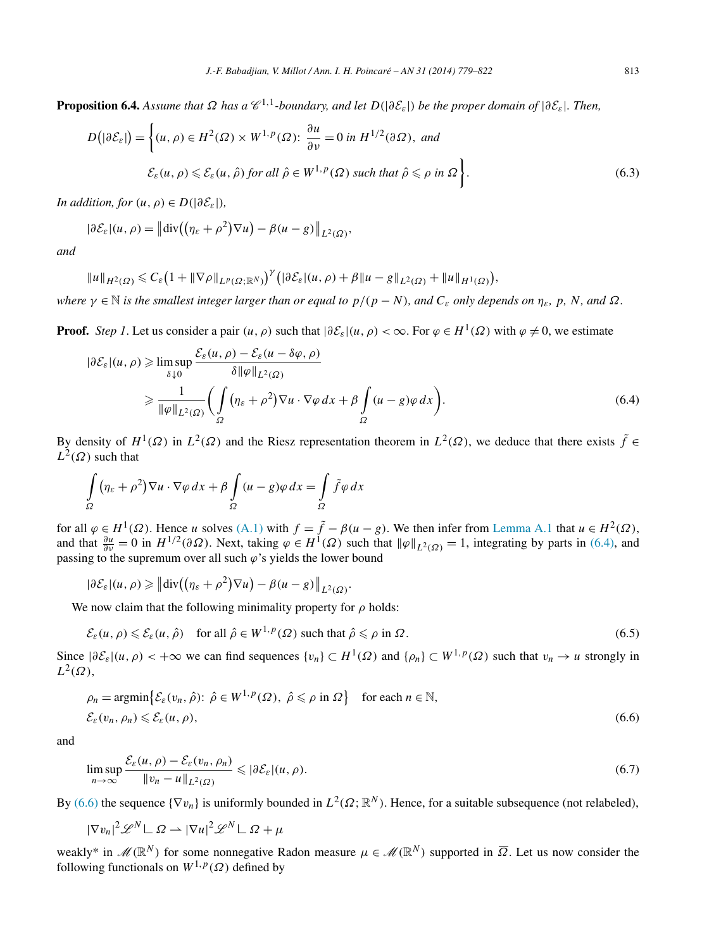<span id="page-34-0"></span>**Proposition 6.4.** Assume that  $\Omega$  has a  $\mathscr{C}^{1,1}$ -boundary, and let  $D(|\partial \mathcal{E}_{\varepsilon}|)$  be the proper domain of  $|\partial \mathcal{E}_{\varepsilon}|$ . Then,

$$
D\big(|\partial \mathcal{E}_{\varepsilon}|\big) = \left\{ (u,\rho) \in H^{2}(\Omega) \times W^{1,p}(\Omega) \colon \frac{\partial u}{\partial \nu} = 0 \text{ in } H^{1/2}(\partial \Omega), \text{ and} \right\}
$$
  

$$
\mathcal{E}_{\varepsilon}(u,\rho) \leq \mathcal{E}_{\varepsilon}(u,\hat{\rho}) \text{ for all } \hat{\rho} \in W^{1,p}(\Omega) \text{ such that } \hat{\rho} \leq \rho \text{ in } \Omega \right\}. \tag{6.3}
$$

*In addition, for*  $(u, \rho) \in D(|\partial \mathcal{E}_{\varepsilon}|)$ *,* 

$$
|\partial \mathcal{E}_\varepsilon|(u,\rho)=\big\|\mathrm{div}\big(\big(\eta_\varepsilon+\rho^2\big)\nabla u\big)-\beta(u-g)\big\|_{L^2(\Omega)},
$$

*and*

$$
||u||_{H^2(\Omega)} \leq C_{\varepsilon} (1+||\nabla \rho||_{L^p(\Omega;\mathbb{R}^N)})^{\gamma} (|\partial \mathcal{E}_{\varepsilon}|(u,\rho)+\beta||u-g||_{L^2(\Omega)}+||u||_{H^1(\Omega)}),
$$

*where*  $\gamma \in \mathbb{N}$  *is the smallest integer larger than or equal to*  $p/(p-N)$ *, and*  $C_{\varepsilon}$  *only depends on*  $\eta_{\varepsilon}$ *, p, N, and*  $\Omega$ *.* 

**Proof.** *Step 1*. Let us consider a pair  $(u, \rho)$  such that  $|\partial \mathcal{E}_s|(u, \rho) < \infty$ . For  $\varphi \in H^1(\Omega)$  with  $\varphi \neq 0$ , we estimate

$$
|\partial \mathcal{E}_{\varepsilon}|(u,\rho) \geq \limsup_{\delta \downarrow 0} \frac{\mathcal{E}_{\varepsilon}(u,\rho) - \mathcal{E}_{\varepsilon}(u - \delta \varphi, \rho)}{\delta \|\varphi\|_{L^2(\Omega)}}\n\n\geq \frac{1}{\|\varphi\|_{L^2(\Omega)}} \bigg(\int_{\Omega} \left(\eta_{\varepsilon} + \rho^2\right) \nabla u \cdot \nabla \varphi \, dx + \beta \int_{\Omega} (u - g) \varphi \, dx \bigg).
$$
\n(6.4)

By density of  $H^1(\Omega)$  in  $L^2(\Omega)$  and the Riesz representation theorem in  $L^2(\Omega)$ , we deduce that there exists  $\tilde{f} \in$  $L^2(\Omega)$  such that

$$
\int_{\Omega} (\eta_{\varepsilon} + \rho^2) \nabla u \cdot \nabla \varphi \, dx + \beta \int_{\Omega} (u - g) \varphi \, dx = \int_{\Omega} \tilde{f} \varphi \, dx
$$

for all  $\varphi \in H^1(\Omega)$ . Hence *u* solves [\(A.1\)](#page-40-0) with  $f = \tilde{f} - \beta(u - g)$ . We then infer from [Lemma A.1](#page-40-0) that  $u \in H^2(\Omega)$ , and that  $\frac{\partial u}{\partial v} = 0$  in  $H^{1/2}(\partial \Omega)$ . Next, taking  $\varphi \in H^1(\Omega)$  such that  $\|\varphi\|_{L^2(\Omega)} = 1$ , integrating by parts in (6.4), and passing to the supremum over all such *ϕ*'s yields the lower bound

$$
|\partial \mathcal{E}_\varepsilon|(u,\rho) \geq \left\| \mathrm{div}\left( \left( \eta_\varepsilon + \rho^2 \right) \nabla u \right) - \beta (u-g) \right\|_{L^2(\Omega)}.
$$

We now claim that the following minimality property for *ρ* holds:

$$
\mathcal{E}_{\varepsilon}(u,\rho) \leqslant \mathcal{E}_{\varepsilon}(u,\hat{\rho}) \quad \text{for all } \hat{\rho} \in W^{1,p}(\Omega) \text{ such that } \hat{\rho} \leqslant \rho \text{ in } \Omega. \tag{6.5}
$$

Since  $|\partial \mathcal{E}_{\varepsilon}|(u,\rho) < +\infty$  we can find sequences  $\{v_n\} \subset H^1(\Omega)$  and  $\{\rho_n\} \subset W^{1,p}(\Omega)$  such that  $v_n \to u$  strongly in  $L^2(\Omega)$ ,

$$
\rho_n = \operatorname{argmin} \{ \mathcal{E}_{\varepsilon}(v_n, \hat{\rho}) : \, \hat{\rho} \in W^{1, p}(\Omega), \, \hat{\rho} \leq \rho \text{ in } \Omega \} \quad \text{for each } n \in \mathbb{N},
$$
\n
$$
\mathcal{E}_{\varepsilon}(v_n, \rho_n) \leq \mathcal{E}_{\varepsilon}(u, \rho), \tag{6.6}
$$

and

$$
\limsup_{n \to \infty} \frac{\mathcal{E}_{\varepsilon}(u,\rho) - \mathcal{E}_{\varepsilon}(v_n,\rho_n)}{\|v_n - u\|_{L^2(\Omega)}} \leqslant |\partial \mathcal{E}_{\varepsilon}|(u,\rho). \tag{6.7}
$$

By (6.6) the sequence  $\{\nabla v_n\}$  is uniformly bounded in  $L^2(\Omega; \mathbb{R}^N)$ . Hence, for a suitable subsequence (not relabeled),

$$
|\nabla v_n|^2 \mathscr{L}^N \mathsf{L} \Omega \rightharpoonup |\nabla u|^2 \mathscr{L}^N \mathsf{L} \Omega + \mu
$$

weakly\* in  $M(\mathbb{R}^N)$  for some nonnegative Radon measure  $\mu \in M(\mathbb{R}^N)$  supported in  $\overline{\Omega}$ . Let us now consider the following functionals on  $W^{1,p}(\Omega)$  defined by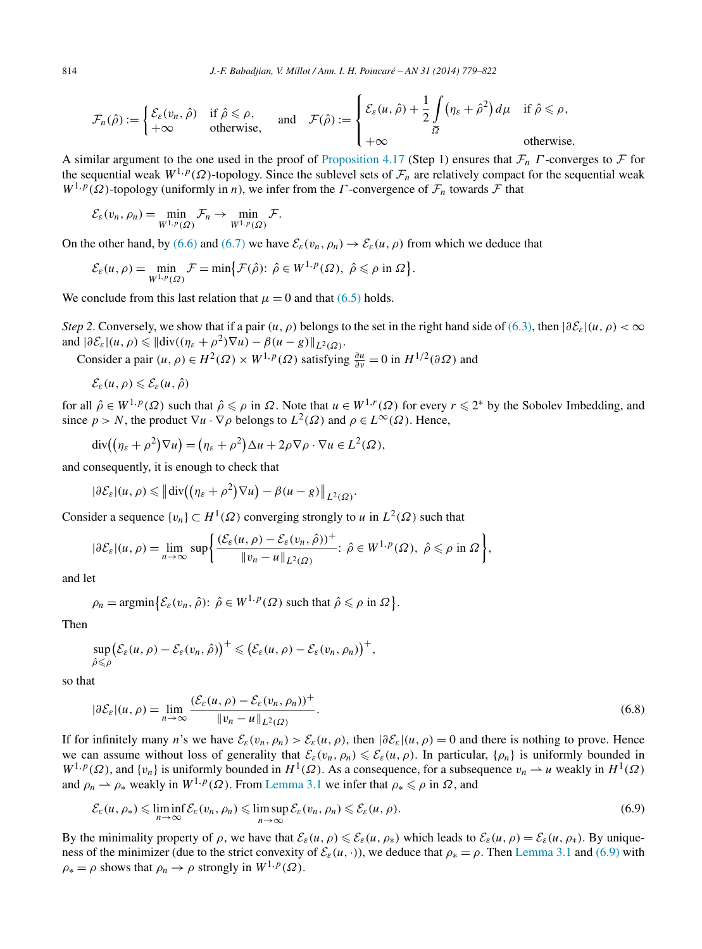<span id="page-35-0"></span>
$$
\mathcal{F}_n(\hat{\rho}) := \begin{cases} \mathcal{E}_{\varepsilon}(v_n, \hat{\rho}) & \text{if } \hat{\rho} \leq \rho, \\ +\infty & \text{otherwise,} \end{cases} \quad \text{and} \quad \mathcal{F}(\hat{\rho}) := \begin{cases} \mathcal{E}_{\varepsilon}(u, \hat{\rho}) + \frac{1}{2} \int_{\overline{\Omega}} (\eta_{\varepsilon} + \hat{\rho}^2) d\mu & \text{if } \hat{\rho} \leq \rho, \\ +\infty & \text{otherwise.} \end{cases}
$$

A similar argument to the one used in the proof of [Proposition 4.17](#page-20-0) (Step 1) ensures that F*<sup>n</sup> Γ* -converges to F for the sequential weak  $W^{1,p}(\Omega)$ -topology. Since the sublevel sets of  $\mathcal{F}_n$  are relatively compact for the sequential weak  $W^{1,p}(\Omega)$ -topology (uniformly in *n*), we infer from the *Γ*-convergence of  $\mathcal{F}_n$  towards  $\mathcal F$  that

$$
\mathcal{E}_{\varepsilon}(v_n,\rho_n)=\min_{W^{1,p}(\Omega)}\mathcal{F}_n\to\min_{W^{1,p}(\Omega)}\mathcal{F}.
$$

On the other hand, by [\(6.6\)](#page-34-0) and [\(6.7\)](#page-34-0) we have  $\mathcal{E}_{\varepsilon}(v_n, \rho_n) \to \mathcal{E}_{\varepsilon}(u, \rho)$  from which we deduce that

$$
\mathcal{E}_{\varepsilon}(u,\rho)=\min_{W^{1,p}(\Omega)}\mathcal{F}=\min\bigl\{\mathcal{F}(\hat{\rho})\colon\,\hat{\rho}\in W^{1,p}(\Omega),\ \hat{\rho}\leqslant\rho\text{ in }\Omega\bigr\}.
$$

We conclude from this last relation that  $\mu = 0$  and that [\(6.5\)](#page-34-0) holds.

*Step 2*. Conversely, we show that if a pair  $(u, \rho)$  belongs to the set in the right hand side of [\(6.3\),](#page-34-0) then  $|\partial \mathcal{E}_\varepsilon|(u, \rho) < \infty$ and  $|\partial \mathcal{E}_{\varepsilon}|(u,\rho) \leq \|\text{div}((\eta_{\varepsilon} + \rho^2)\nabla u) - \beta(u-g)\|_{L^2(\Omega)}$ .

Consider a pair  $(u, \rho) \in H^2(\Omega) \times W^{1,p}(\Omega)$  satisfying  $\frac{\partial u}{\partial v} = 0$  in  $H^{1/2}(\partial \Omega)$  and

$$
\mathcal{E}_{\varepsilon}(u,\rho)\leqslant \mathcal{E}_{\varepsilon}(u,\hat{\rho})
$$

for all  $\hat{\rho} \in W^{1,p}(\Omega)$  such that  $\hat{\rho} \leq \rho$  in  $\Omega$ . Note that  $u \in W^{1,r}(\Omega)$  for every  $r \leq 2^*$  by the Sobolev Imbedding, and since  $p > N$ , the product  $\nabla u \cdot \nabla \rho$  belongs to  $L^2(\Omega)$  and  $\rho \in L^{\infty}(\Omega)$ . Hence,

$$
\operatorname{div}\left((\eta_{\varepsilon}+\rho^2)\nabla u\right)=(\eta_{\varepsilon}+\rho^2)\Delta u+2\rho\nabla\rho\cdot\nabla u\in L^2(\Omega),
$$

and consequently, it is enough to check that

$$
|\partial \mathcal{E}_{\varepsilon}|(u,\rho) \leq \left\| \mathrm{div}\big((\eta_{\varepsilon}+\rho^2)\nabla u\big) - \beta(u-g)\right\|_{L^2(\Omega)}.
$$

Consider a sequence  $\{v_n\} \subset H^1(\Omega)$  converging strongly to *u* in  $L^2(\Omega)$  such that

$$
|\partial \mathcal{E}_{\varepsilon}|(u,\rho)=\lim_{n\to\infty}\sup\bigg\{\frac{(\mathcal{E}_{\varepsilon}(u,\rho)-\mathcal{E}_{\varepsilon}(v_n,\hat{\rho}))^+}{\|v_n-u\|_{L^2(\Omega)}};\ \hat{\rho}\in W^{1,p}(\Omega),\ \hat{\rho}\leqslant\rho\ \text{in}\ \Omega\bigg\},\
$$

and let

$$
\rho_n = \operatorname{argmin} \{ \mathcal{E}_{\varepsilon}(v_n, \hat{\rho}) : \, \hat{\rho} \in W^{1, p}(\Omega) \text{ such that } \hat{\rho} \leqslant \rho \text{ in } \Omega \}.
$$

Then

$$
\sup_{\hat{\rho}\leqslant\rho}\big(\mathcal{E}_{\varepsilon}(u,\rho)-\mathcal{E}_{\varepsilon}(v_n,\hat{\rho})\big)^+\leqslant\big(\mathcal{E}_{\varepsilon}(u,\rho)-\mathcal{E}_{\varepsilon}(v_n,\rho_n)\big)^+,
$$

so that

$$
|\partial \mathcal{E}_{\varepsilon}|(u,\rho) = \lim_{n \to \infty} \frac{(\mathcal{E}_{\varepsilon}(u,\rho) - \mathcal{E}_{\varepsilon}(v_n,\rho_n))^+}{\|v_n - u\|_{L^2(\Omega)}}.
$$
\n(6.8)

If for infinitely many *n*'s we have  $\mathcal{E}_{\varepsilon}(v_n, \rho_n) > \mathcal{E}_{\varepsilon}(u, \rho)$ , then  $|\partial \mathcal{E}_{\varepsilon}|(u, \rho) = 0$  and there is nothing to prove. Hence we can assume without loss of generality that  $\mathcal{E}_{\varepsilon}(v_n, \rho_n) \leq \mathcal{E}_{\varepsilon}(u, \rho)$ . In particular,  $\{\rho_n\}$  is uniformly bounded in  $W^{1,p}(\Omega)$ , and  $\{v_n\}$  is uniformly bounded in  $H^1(\Omega)$ . As a consequence, for a subsequence  $v_n \to u$  weakly in  $H^1(\Omega)$ and  $\rho_n \rightharpoonup \rho_*$  weakly in  $W^{1,p}(\Omega)$ . From [Lemma 3.1](#page-7-0) we infer that  $\rho_* \leq \rho$  in  $\Omega$ , and

$$
\mathcal{E}_{\varepsilon}(u,\rho_{*}) \leq \liminf_{n \to \infty} \mathcal{E}_{\varepsilon}(v_{n},\rho_{n}) \leq \limsup_{n \to \infty} \mathcal{E}_{\varepsilon}(v_{n},\rho_{n}) \leq \mathcal{E}_{\varepsilon}(u,\rho).
$$
\n(6.9)

By the minimality property of  $\rho$ , we have that  $\mathcal{E}_{\varepsilon}(u, \rho) \leq \mathcal{E}_{\varepsilon}(u, \rho_*)$  which leads to  $\mathcal{E}_{\varepsilon}(u, \rho) = \mathcal{E}_{\varepsilon}(u, \rho_*)$ . By uniqueness of the minimizer (due to the strict convexity of  $\mathcal{E}_{\varepsilon}(u, \cdot)$ ), we deduce that  $\rho_* = \rho$ . Then [Lemma 3.1](#page-7-0) and (6.9) with  $\rho_* = \rho$  shows that  $\rho_n \to \rho$  strongly in  $W^{1,p}(\Omega)$ .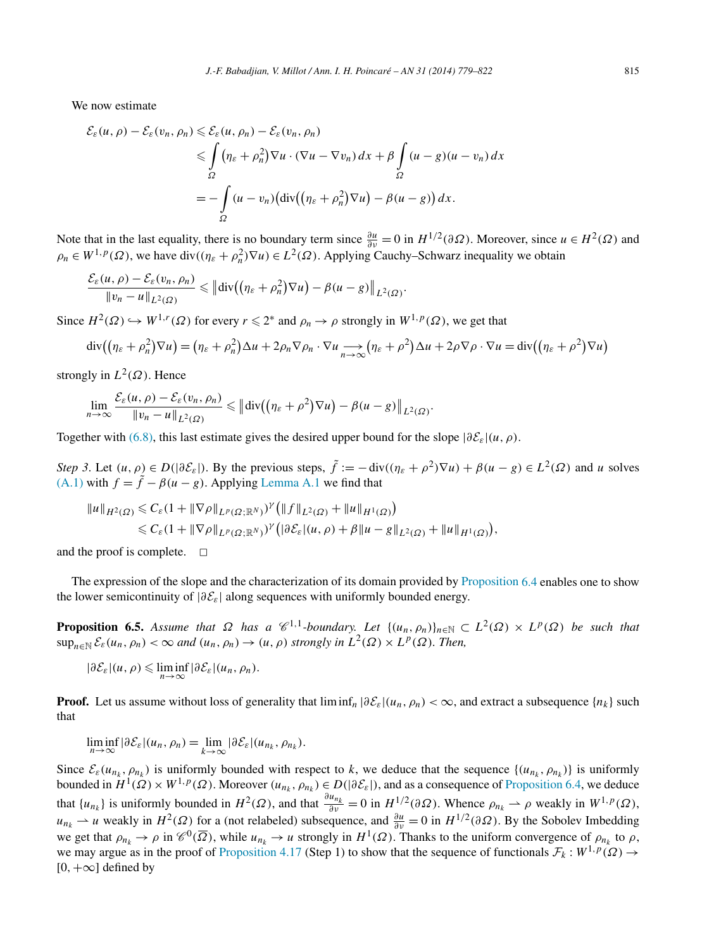<span id="page-36-0"></span>We now estimate

$$
\mathcal{E}_{\varepsilon}(u,\rho) - \mathcal{E}_{\varepsilon}(v_n,\rho_n) \leq \mathcal{E}_{\varepsilon}(u,\rho_n) - \mathcal{E}_{\varepsilon}(v_n,\rho_n)
$$
  
\n
$$
\leq \int_{\Omega} (\eta_{\varepsilon} + \rho_n^2) \nabla u \cdot (\nabla u - \nabla v_n) dx + \beta \int_{\Omega} (u - g)(u - v_n) dx
$$
  
\n
$$
= -\int_{\Omega} (u - v_n) \left( \operatorname{div} \left( (\eta_{\varepsilon} + \rho_n^2) \nabla u \right) - \beta (u - g) \right) dx.
$$

Note that in the last equality, there is no boundary term since  $\frac{\partial u}{\partial v} = 0$  in  $H^{1/2}(\partial \Omega)$ . Moreover, since  $u \in H^2(\Omega)$  and  $\rho_n \in W^{1,p}(\Omega)$ , we have div $((\eta_{\varepsilon} + \rho_n^2) \nabla u) \in L^2(\Omega)$ . Applying Cauchy–Schwarz inequality we obtain

$$
\frac{\mathcal{E}_{\varepsilon}(u,\rho)-\mathcal{E}_{\varepsilon}(v_n,\rho_n)}{\|v_n-u\|_{L^2(\Omega)}} \leq \left\|\text{div}\left(\left(\eta_{\varepsilon}+\rho_n^2\right)\nabla u\right)-\beta(u-g)\right\|_{L^2(\Omega)}.
$$

Since  $H^2(\Omega) \hookrightarrow W^{1,r}(\Omega)$  for every  $r \leq 2^*$  and  $\rho_n \to \rho$  strongly in  $W^{1,p}(\Omega)$ , we get that

$$
\operatorname{div}\left(\left(\eta_{\varepsilon}+\rho_{n}^{2}\right)\nabla u\right)=\left(\eta_{\varepsilon}+\rho_{n}^{2}\right)\Delta u+2\rho_{n}\nabla\rho_{n}\cdot\nabla u\underset{n\to\infty}{\longrightarrow}\left(\eta_{\varepsilon}+\rho^{2}\right)\Delta u+2\rho\nabla\rho\cdot\nabla u=\operatorname{div}\left(\left(\eta_{\varepsilon}+\rho^{2}\right)\nabla u\right)
$$

strongly in  $L^2(\Omega)$ . Hence

$$
\lim_{n\to\infty}\frac{\mathcal{E}_{\varepsilon}(u,\rho)-\mathcal{E}_{\varepsilon}(v_n,\rho_n)}{\|v_n-u\|_{L^2(\Omega)}}\leq \left\|\mathrm{div}\left(\left(\eta_{\varepsilon}+\rho^2\right)\nabla u\right)-\beta(u-g)\right\|_{L^2(\Omega)}.
$$

Together with [\(6.8\),](#page-35-0) this last estimate gives the desired upper bound for the slope  $|\partial \mathcal{E}_\varepsilon|(u,\rho)$ .

*Step 3*. Let  $(u, \rho) \in D(|\partial \mathcal{E}_{\varepsilon}|)$ . By the previous steps,  $\tilde{f} := -\text{div}((\eta_{\varepsilon} + \rho^2) \nabla u) + \beta(u - g) \in L^2(\Omega)$  and *u* solves [\(A.1\)](#page-40-0) with  $f = \tilde{f} - \beta(u - g)$ . Applying [Lemma A.1](#page-40-0) we find that

$$
\|u\|_{H^2(\Omega)} \leq C_{\varepsilon}(1+\|\nabla\rho\|_{L^p(\Omega;\mathbb{R}^N)})^{\gamma}\big(\|f\|_{L^2(\Omega)}+\|u\|_{H^1(\Omega)}\big) \leq C_{\varepsilon}(1+\|\nabla\rho\|_{L^p(\Omega;\mathbb{R}^N)})^{\gamma}\big(|\partial \mathcal{E}_{\varepsilon}|(u,\rho)+\beta\|u-g\|_{L^2(\Omega)}+\|u\|_{H^1(\Omega)}\big),
$$

and the proof is complete.  $\Box$ 

The expression of the slope and the characterization of its domain provided by [Proposition](#page-34-0) 6.4 enables one to show the lower semicontinuity of  $|\partial \mathcal{E}_\varepsilon|$  along sequences with uniformly bounded energy.

**Proposition 6.5.** Assume that  $\Omega$  has a  $\mathscr{C}^{1,1}$ -boundary. Let  $\{(u_n,\rho_n)\}_{n\in\mathbb{N}} \subset L^2(\Omega) \times L^p(\Omega)$  be such that  $\sup_{n \in \mathbb{N}} \mathcal{E}_{\varepsilon}(u_n, \rho_n) < \infty$  *and*  $(u_n, \rho_n) \to (u, \rho)$  *strongly in*  $L^2(\Omega) \times L^p(\Omega)$ *. Then,* 

$$
|\partial \mathcal{E}_{\varepsilon}|(u,\rho) \leq \liminf_{n\to\infty} |\partial \mathcal{E}_{\varepsilon}|(u_n,\rho_n).
$$

**Proof.** Let us assume without loss of generality that  $\liminf_n |\partial \mathcal{E}_\varepsilon|(u_n, \rho_n) < \infty$ , and extract a subsequence  $\{n_k\}$  such that

$$
\liminf_{n\to\infty}|\partial\mathcal{E}_{\varepsilon}|(u_n,\rho_n)=\lim_{k\to\infty}|\partial\mathcal{E}_{\varepsilon}|(u_{n_k},\rho_{n_k}).
$$

Since  $\mathcal{E}_{\varepsilon}(u_{n_k}, \rho_{n_k})$  is uniformly bounded with respect to *k*, we deduce that the sequence  $\{(u_{n_k}, \rho_{n_k})\}$  is uniformly bounded in  $H^1(\Omega) \times W^{1,p}(\Omega)$ . Moreover  $(u_{n_k}, \rho_{n_k}) \in D(|\partial \mathcal{E}_\varepsilon|)$ , and as a consequence of [Proposition 6.4,](#page-34-0) we deduce that  $\{u_{n_k}\}$  is uniformly bounded in  $H^2(\Omega)$ , and that  $\frac{\partial u_{n_k}}{\partial v} = 0$  in  $H^{1/2}(\partial \Omega)$ . Whence  $\rho_{n_k} \to \rho$  weakly in  $W^{1,p}(\Omega)$ , *u*<sub>nk</sub>  $\rightarrow$  *u* weakly in *H*<sup>2</sup>( $\Omega$ ) for a (not relabeled) subsequence, and  $\frac{\partial u}{\partial v} = 0$  in  $H^{1/2}(\partial \Omega)$ . By the Sobolev Imbedding we get that  $\rho_{n_k} \to \rho$  in  $\mathcal{C}^0(\overline{\Omega})$ , while  $u_{n_k} \to u$  strongly in  $H^1(\Omega)$ . Thanks to the uniform convergence of  $\rho_{n_k}$  to  $\rho$ , we may argue as in the proof of [Proposition 4.17](#page-20-0) (Step 1) to show that the sequence of functionals  $\mathcal{F}_k : W^{1,p}(\Omega) \to$  $[0, +\infty]$  defined by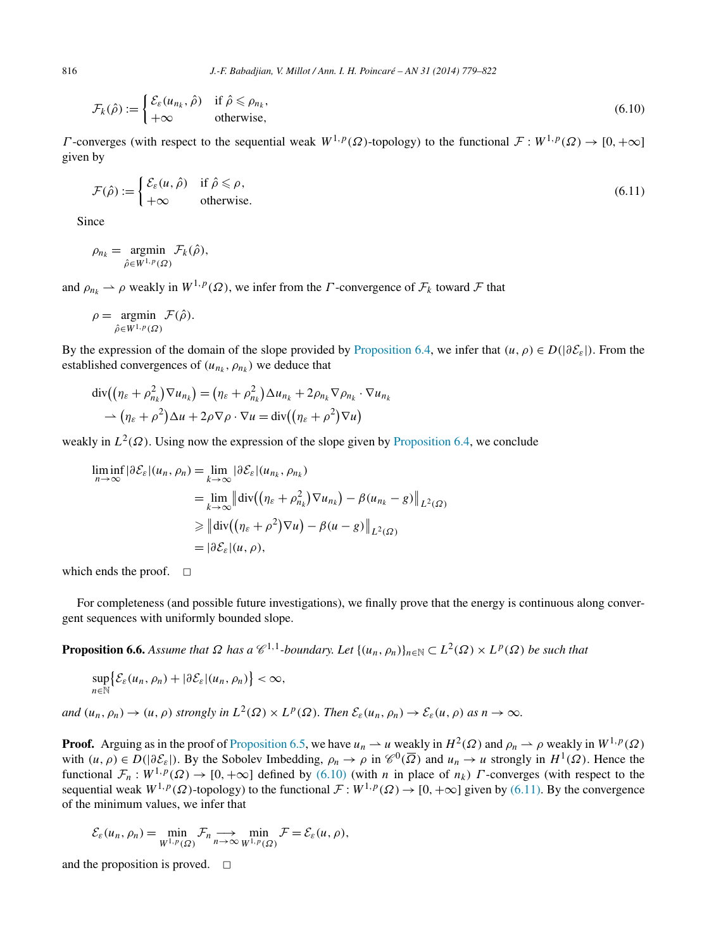$$
\mathcal{F}_k(\hat{\rho}) := \begin{cases} \mathcal{E}_\varepsilon(u_{n_k}, \hat{\rho}) & \text{if } \hat{\rho} \le \rho_{n_k}, \\ +\infty & \text{otherwise,} \end{cases} \tag{6.10}
$$

*Γ* -converges (with respect to the sequential weak  $W^{1,p}(\Omega)$ -topology) to the functional  $\mathcal{F}: W^{1,p}(\Omega) \to [0,+\infty]$ given by

$$
\mathcal{F}(\hat{\rho}) := \begin{cases} \mathcal{E}_{\varepsilon}(u, \hat{\rho}) & \text{if } \hat{\rho} \leq \rho, \\ +\infty & \text{otherwise.} \end{cases}
$$
\n(6.11)

Since

$$
\rho_{n_k} = \operatorname*{argmin}_{\hat{\rho} \in W^{1,p}(\Omega)} \mathcal{F}_k(\hat{\rho}),
$$

and  $\rho_{n_k} \to \rho$  weakly in  $W^{1,p}(\Omega)$ , we infer from the *Γ*-convergence of  $\mathcal{F}_k$  toward  $\mathcal F$  that

$$
\rho = \underset{\hat{\rho} \in W^{1,p}(\Omega)}{\operatorname{argmin}} \mathcal{F}(\hat{\rho}).
$$

By the expression of the domain of the slope provided by [Proposition 6.4,](#page-34-0) we infer that  $(u, \rho) \in D(|\partial \mathcal{E}_\varepsilon|)$ . From the established convergences of  $(u_{n_k}, \rho_{n_k})$  we deduce that

$$
\operatorname{div}\left((\eta_{\varepsilon}+\rho_{n_k}^2)\nabla u_{n_k}\right)=(\eta_{\varepsilon}+\rho_{n_k}^2)\Delta u_{n_k}+2\rho_{n_k}\nabla\rho_{n_k}\cdot\nabla u_{n_k}\n\to(\eta_{\varepsilon}+\rho^2)\Delta u+2\rho\nabla\rho\cdot\nabla u=\operatorname{div}\left((\eta_{\varepsilon}+\rho^2)\nabla u\right)
$$

weakly in  $L^2(\Omega)$ . Using now the expression of the slope given by [Proposition 6.4,](#page-34-0) we conclude

$$
\liminf_{n \to \infty} |\partial \mathcal{E}_{\varepsilon}|(u_n, \rho_n) = \lim_{k \to \infty} |\partial \mathcal{E}_{\varepsilon}|(u_{n_k}, \rho_{n_k})
$$
  
\n
$$
= \lim_{k \to \infty} ||\operatorname{div}((\eta_{\varepsilon} + \rho_{n_k}^2) \nabla u_{n_k}) - \beta (u_{n_k} - g)||_{L^2(\Omega)}
$$
  
\n
$$
\geq ||\operatorname{div}((\eta_{\varepsilon} + \rho^2) \nabla u) - \beta (u - g)||_{L^2(\Omega)}
$$
  
\n
$$
= |\partial \mathcal{E}_{\varepsilon}|(u, \rho),
$$

which ends the proof.  $\Box$ 

For completeness (and possible future investigations), we finally prove that the energy is continuous along convergent sequences with uniformly bounded slope.

**Proposition 6.6.** Assume that  $\Omega$  has a  $\mathscr{C}^{1,1}$ -boundary. Let  $\{(u_n, \rho_n)\}_{n \in \mathbb{N}} \subset L^2(\Omega) \times L^p(\Omega)$  be such that

$$
\sup_{n\in\mathbb{N}}\big\{\mathcal{E}_{\varepsilon}(u_n,\rho_n)+|\partial\mathcal{E}_{\varepsilon}|(u_n,\rho_n)\big\}<\infty,
$$

*and*  $(u_n, \rho_n) \to (u, \rho)$  *strongly in*  $L^2(\Omega) \times L^p(\Omega)$ *. Then*  $\mathcal{E}_{\varepsilon}(u_n, \rho_n) \to \mathcal{E}_{\varepsilon}(u, \rho)$  *as*  $n \to \infty$ *.* 

**Proof.** Arguing as in the proof of [Proposition 6.5,](#page-36-0) we have  $u_n \rightharpoonup u$  weakly in  $H^2(\Omega)$  and  $\rho_n \rightharpoonup \rho$  weakly in  $W^{1,p}(\Omega)$ with  $(u, \rho) \in D(|\partial \mathcal{E}_{\varepsilon}|)$ . By the Sobolev Imbedding,  $\rho_n \to \rho$  in  $\mathcal{C}^0(\overline{\Omega})$  and  $u_n \to u$  strongly in  $H^1(\Omega)$ . Hence the functional  $\mathcal{F}_n : W^{1,p}(\Omega) \to [0, +\infty]$  defined by (6.10) (with *n* in place of  $n_k$ ) *Γ*-converges (with respect to the sequential weak  $W^{1,p}(\Omega)$ -topology) to the functional  $\mathcal{F}: W^{1,p}(\Omega) \to [0, +\infty]$  given by (6.11). By the convergence of the minimum values, we infer that

$$
\mathcal{E}_{\varepsilon}(u_n, \rho_n) = \min_{W^{1,p}(\Omega)} \mathcal{F}_n \longrightarrow \min_{n \to \infty} \min_{W^{1,p}(\Omega)} \mathcal{F} = \mathcal{E}_{\varepsilon}(u, \rho),
$$

and the proposition is proved.  $\Box$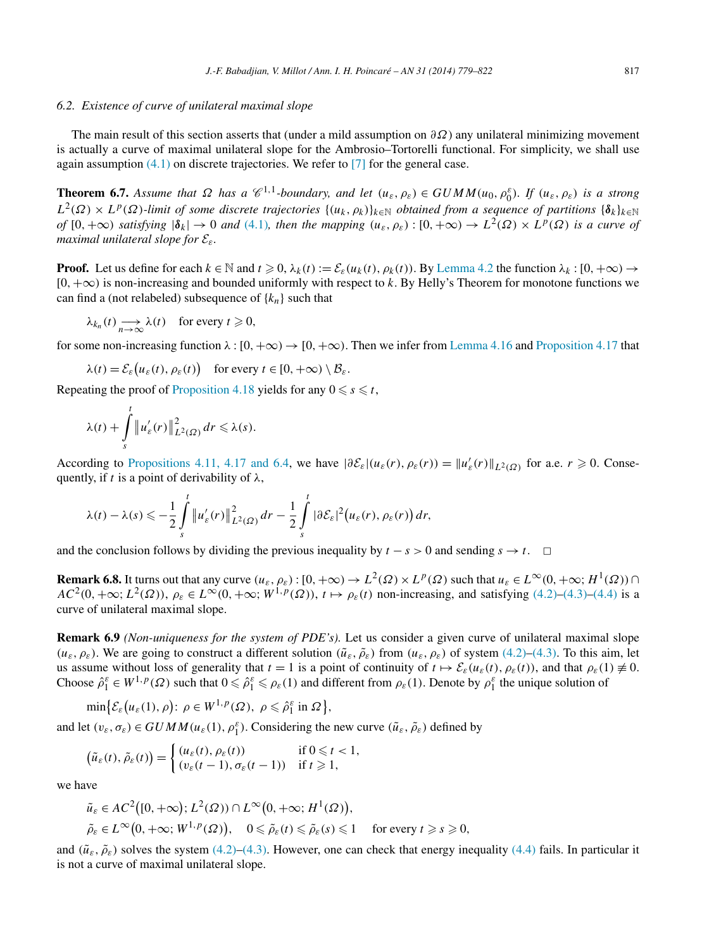#### <span id="page-38-0"></span>*6.2. Existence of curve of unilateral maximal slope*

The main result of this section asserts that (under a mild assumption on *∂Ω*) any unilateral minimizing movement is actually a curve of maximal unilateral slope for the Ambrosio–Tortorelli functional. For simplicity, we shall use again assumption  $(4.1)$  on discrete trajectories. We refer to  $[7]$  for the general case.

**Theorem 6.7.** Assume that  $\Omega$  has a  $\mathcal{C}^{1,1}$ -boundary, and let  $(u_{\varepsilon}, \rho_{\varepsilon}) \in GUMM(u_0, \rho_0^{\varepsilon})$ . If  $(u_{\varepsilon}, \rho_{\varepsilon})$  is a strong  $L^2(\Omega) \times L^p(\Omega)$ *-limit of some discrete trajectories*  $\{(u_k, \rho_k)\}_{k \in \mathbb{N}}$  *obtained from a sequence of partitions*  $\{\delta_k\}_{k \in \mathbb{N}}$ *of*  $[0, +\infty)$  *satisfying*  $|\delta_k| \to 0$  *and* [\(4.1\)](#page-9-0)*, then the mapping*  $(u_{\varepsilon}, \rho_{\varepsilon}) : [0, +\infty) \to L^2(\Omega) \times L^p(\Omega)$  *is a curve of maximal unilateral slope for* E*ε.*

**Proof.** Let us define for each  $k \in \mathbb{N}$  and  $t \ge 0$ ,  $\lambda_k(t) := \mathcal{E}_{\varepsilon}(u_k(t), \rho_k(t))$ . By [Lemma 4.2](#page-11-0) the function  $\lambda_k : [0, +\infty) \to$ [0*,*+∞*)* is non-increasing and bounded uniformly with respect to *k*. By Helly's Theorem for monotone functions we can find a (not relabeled) subsequence of  $\{k_n\}$  such that

$$
\lambda_{k_n}(t) \longrightarrow_{n \to \infty} \lambda(t) \quad \text{for every } t \geq 0,
$$

for some non-increasing function  $\lambda$  :  $[0, +\infty) \rightarrow [0, +\infty)$ . Then we infer from [Lemma 4.16](#page-19-0) and [Proposition 4.17](#page-20-0) that

$$
\lambda(t) = \mathcal{E}_{\varepsilon}\big(u_{\varepsilon}(t), \rho_{\varepsilon}(t)\big) \quad \text{for every } t \in [0, +\infty) \setminus \mathcal{B}_{\varepsilon}.
$$

Repeating the proof of [Proposition 4.18](#page-22-0) yields for any  $0 \le s \le t$ ,

$$
\lambda(t)+\int\limits_s^t\left\|u_{\varepsilon}'(r)\right\|_{L^2(\Omega)}^2dr\leqslant\lambda(s).
$$

According to [Propositions 4.11, 4.17 and 6.4,](#page-16-0) we have  $|\partial \mathcal{E}_{\varepsilon}|(u_{\varepsilon}(r), \rho_{\varepsilon}(r)) = ||u'_{\varepsilon}(r)||_{L^2(\Omega)}$  for a.e.  $r \ge 0$ . Consequently, if *t* is a point of derivability of  $\lambda$ ,

$$
\lambda(t) - \lambda(s) \leqslant -\frac{1}{2} \int\limits_s^t \|u_{\varepsilon}'(r)\|_{L^2(\Omega)}^2 \, dr - \frac{1}{2} \int\limits_s^t |\partial \mathcal{E}_{\varepsilon}|^2 \big(u_{\varepsilon}(r), \rho_{\varepsilon}(r)\big) \, dr,
$$

and the conclusion follows by dividing the previous inequality by  $t - s > 0$  and sending  $s \to t$ .  $\Box$ 

**Remark 6.8.** It turns out that any curve  $(u_{\varepsilon}, \rho_{\varepsilon}) : [0, +\infty) \to L^2(\Omega) \times L^p(\Omega)$  such that  $u_{\varepsilon} \in L^{\infty}(0, +\infty; H^1(\Omega)) \cap$  $AC^{2}(0, +\infty; L^{2}(\Omega))$ ,  $\rho_{\varepsilon} \in L^{\infty}(0, +\infty; W^{1, p}(\Omega))$ ,  $t \mapsto \rho_{\varepsilon}(t)$  non-increasing, and satisfying [\(4.2\)–\(4.3\)](#page-9-0)[–\(4.4\)](#page-10-0) is a curve of unilateral maximal slope.

**Remark 6.9** *(Non-uniqueness for the system of PDE's).* Let us consider a given curve of unilateral maximal slope  $(u_{\varepsilon}, \rho_{\varepsilon})$ . We are going to construct a different solution  $(\tilde{u}_{\varepsilon}, \tilde{\rho}_{\varepsilon})$  from  $(u_{\varepsilon}, \rho_{\varepsilon})$  of system [\(4.2\)–\(4.3\).](#page-9-0) To this aim, let us assume without loss of generality that  $t = 1$  is a point of continuity of  $t \mapsto \mathcal{E}_{\varepsilon}(u_{\varepsilon}(t), \rho_{\varepsilon}(t))$ , and that  $\rho_{\varepsilon}(1) \neq 0$ . Choose  $\hat{\rho}_1^{\varepsilon} \in W^{1,p}(\Omega)$  such that  $0 \leq \hat{\rho}_1^{\varepsilon} \leq \rho_{\varepsilon}(1)$  and different from  $\rho_{\varepsilon}(1)$ . Denote by  $\rho_1^{\varepsilon}$  the unique solution of

$$
\min \bigl\{ \mathcal{E}_{\varepsilon}\bigl(u_{\varepsilon}(1), \rho\bigr) : \ \rho \in W^{1,p}(\Omega), \ \rho \leqslant \hat{\rho}_1^{\varepsilon} \ \text{in} \ \Omega \bigr\},\
$$

and let  $(v_{\varepsilon}, \sigma_{\varepsilon}) \in GUMM(u_{\varepsilon}(1), \rho_1^{\varepsilon})$ . Considering the new curve  $(\tilde{u}_{\varepsilon}, \tilde{\rho}_{\varepsilon})$  defined by

$$
\left(\tilde{u}_{\varepsilon}(t),\tilde{\rho}_{\varepsilon}(t)\right) = \begin{cases} (u_{\varepsilon}(t),\rho_{\varepsilon}(t)) & \text{if } 0 \leq t < 1, \\ (v_{\varepsilon}(t-1),\sigma_{\varepsilon}(t-1)) & \text{if } t \geq 1, \end{cases}
$$

we have

$$
\tilde{u}_{\varepsilon} \in AC^2([0, +\infty); L^2(\Omega)) \cap L^{\infty}(0, +\infty; H^1(\Omega)),
$$
  
\n
$$
\tilde{\rho}_{\varepsilon} \in L^{\infty}(0, +\infty; W^{1, p}(\Omega)), \quad 0 \le \tilde{\rho}_{\varepsilon}(t) \le \tilde{\rho}_{\varepsilon}(s) \le 1 \quad \text{for every } t \ge s \ge 0,
$$

and  $(\tilde{u}_{\varepsilon}, \tilde{\rho}_{\varepsilon})$  solves the system [\(4.2\)–\(4.3\).](#page-9-0) However, one can check that energy inequality [\(4.4\)](#page-10-0) fails. In particular it is not a curve of maximal unilateral slope.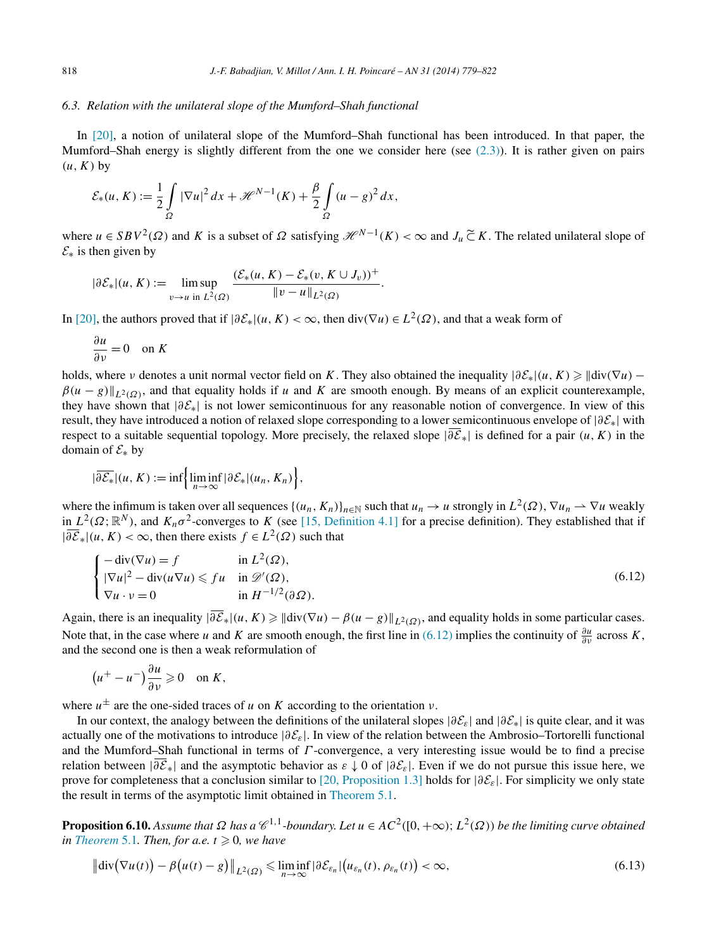#### <span id="page-39-0"></span>*6.3. Relation with the unilateral slope of the Mumford–Shah functional*

In [\[20\],](#page-43-0) a notion of unilateral slope of the Mumford–Shah functional has been introduced. In that paper, the Mumford–Shah energy is slightly different from the one we consider here (see  $(2.3)$ ). It is rather given on pairs  $(u, K)$  by

$$
\mathcal{E}_*(u, K) := \frac{1}{2} \int\limits_{\Omega} |\nabla u|^2 \, dx + \mathcal{H}^{N-1}(K) + \frac{\beta}{2} \int\limits_{\Omega} (u - g)^2 \, dx,
$$

where  $u \in SBV^2(\Omega)$  and *K* is a subset of  $\Omega$  satisfying  $\mathcal{H}^{N-1}(K) < \infty$  and  $J_u \subset \mathcal{K}$ . The related unilateral slope of  $\mathcal{E}_*$  is then given by

*.*

$$
|\partial \mathcal{E}_*|(u, K) := \limsup_{v \to u \text{ in } L^2(\Omega)} \frac{(\mathcal{E}_*(u, K) - \mathcal{E}_*(v, K \cup J_v))^+}{\|v - u\|_{L^2(\Omega)}}
$$

In [\[20\],](#page-43-0) the authors proved that if  $|\partial \mathcal{E}_*(u,K)| < \infty$ , then div $(\nabla u) \in L^2(\Omega)$ , and that a weak form of

$$
\frac{\partial u}{\partial v} = 0 \quad \text{on } K
$$

holds, where *ν* denotes a unit normal vector field on *K*. They also obtained the inequality  $|\partial \mathcal{E}_*|(u, K) \geq ||div(\nabla u) \beta(u-g)\|_{L^2(\Omega)}$ , and that equality holds if *u* and *K* are smooth enough. By means of an explicit counterexample, they have shown that |*∂*E∗| is not lower semicontinuous for any reasonable notion of convergence. In view of this result, they have introduced a notion of relaxed slope corresponding to a lower semicontinuous envelope of  $|\partial \mathcal{E}_*|$  with respect to a suitable sequential topology. More precisely, the relaxed slope  $|\partial \mathcal{E}_*|$  is defined for a pair  $(u, K)$  in the domain of  $\mathcal{E}_*$  by

$$
|\overline{\partial \mathcal{E}_*}|(u,K):=\inf\Big{\liminf_{n\to\infty}|\partial \mathcal{E}_*|(u_n,K_n)\Big},\,
$$

where the infimum is taken over all sequences  $\{(u_n, K_n)\}_{n\in\mathbb{N}}$  such that  $u_n \to u$  strongly in  $L^2(\Omega)$ ,  $\nabla u_n \to \nabla u$  weakly in  $L^2(\Omega;\mathbb{R}^N)$ , and  $K_n\sigma^2$ -converges to *K* (see [\[15, Definition 4.1\]](#page-43-0) for a precise definition). They established that if  $|\overline{\partial \mathcal{E}}_∗|(u,K) < \infty$ , then there exists  $f \in L^2(\Omega)$  such that

$$
\begin{cases}\n-\text{div}(\nabla u) = f & \text{in } L^2(\Omega), \\
|\nabla u|^2 - \text{div}(u\nabla u) \leq f u & \text{in } \mathcal{D}'(\Omega), \\
\nabla u \cdot v = 0 & \text{in } H^{-1/2}(\partial \Omega).\n\end{cases}
$$
\n(6.12)

Again, there is an inequality  $|\partial \overline{\mathcal{E}}_*|(u,K) \geq ||div(\nabla u) - \beta(u - g)||_{L^2(\Omega)}$ , and equality holds in some particular cases. Note that, in the case where *u* and *K* are smooth enough, the first line in (6.12) implies the continuity of  $\frac{\partial u}{\partial v}$  across *K*, and the second one is then a weak reformulation of

$$
(u^+ - u^-)\frac{\partial u}{\partial v} \geqslant 0 \quad \text{on } K,
$$

where  $u^{\pm}$  are the one-sided traces of *u* on *K* according to the orientation *ν*.

In our context, the analogy between the definitions of the unilateral slopes |*∂*E*ε*| and |*∂*E∗| is quite clear, and it was actually one of the motivations to introduce |*∂*E*ε*|. In view of the relation between the Ambrosio–Tortorelli functional and the Mumford–Shah functional in terms of *Γ* -convergence, a very interesting issue would be to find a precise relation between  $|\partial \mathcal{E}_*|$  and the asymptotic behavior as  $\varepsilon \downarrow 0$  of  $|\partial \mathcal{E}_\varepsilon|$ . Even if we do not pursue this issue here, we prove for completeness that a conclusion similar to [\[20, Proposition 1.3\]](#page-43-0) holds for |*∂*E*ε*|. For simplicity we only state the result in terms of the asymptotic limit obtained in [Theorem 5.1.](#page-23-0)

**Proposition 6.10.** Assume that  $\Omega$  has a  $\mathcal{C}^{1,1}$ -boundary. Let  $u \in AC^2([0,+\infty); L^2(\Omega))$  be the limiting curve obtained *in [Theorem](#page-23-0)* 5.1*. Then, for a.e.*  $t \ge 0$ *, we have* 

$$
\left\| \operatorname{div} \left( \nabla u(t) \right) - \beta \left( u(t) - g \right) \right\|_{L^2(\Omega)} \leq \liminf_{n \to \infty} \left| \partial \mathcal{E}_{\varepsilon_n} \right| \left( u_{\varepsilon_n}(t), \, \rho_{\varepsilon_n}(t) \right) < \infty,\tag{6.13}
$$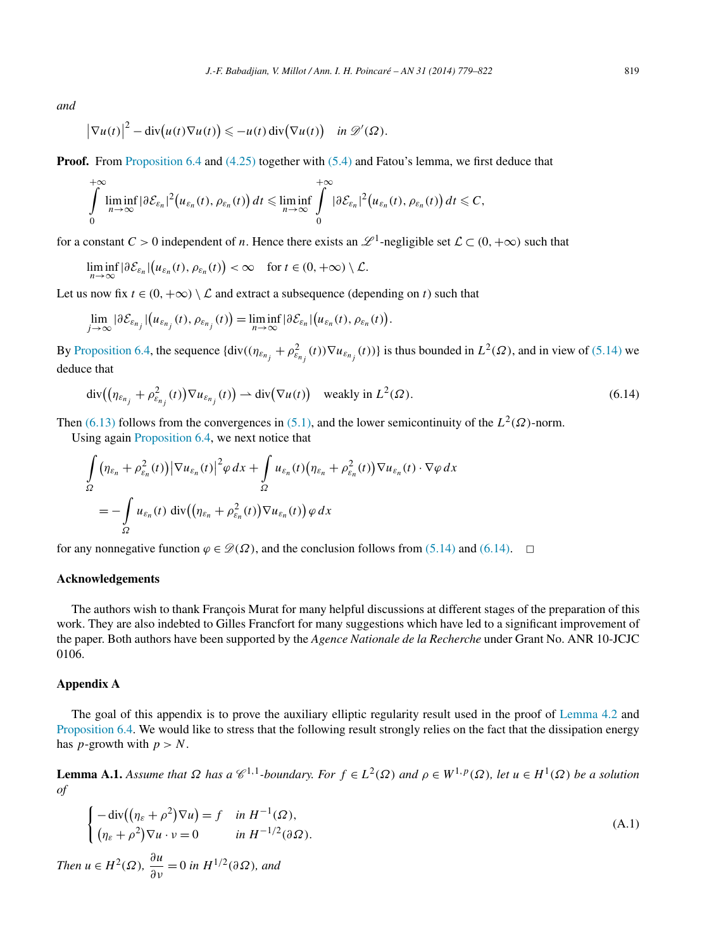<span id="page-40-0"></span>*and*

$$
\left|\nabla u(t)\right|^2 - \mathrm{div}\big(u(t)\nabla u(t)\big) \leqslant -u(t)\,\mathrm{div}\big(\nabla u(t)\big) \quad \text{in } \mathscr{D}'(\Omega).
$$

**Proof.** From [Proposition 6.4](#page-34-0) and [\(4.25\)](#page-16-0) together with [\(5.4\)](#page-24-0) and Fatou's lemma, we first deduce that

$$
\int_{0}^{+\infty} \liminf_{n\to\infty} |\partial \mathcal{E}_{\varepsilon_n}|^2 (u_{\varepsilon_n}(t), \rho_{\varepsilon_n}(t)) dt \leqslant \liminf_{n\to\infty} \int_{0}^{+\infty} |\partial \mathcal{E}_{\varepsilon_n}|^2 (u_{\varepsilon_n}(t), \rho_{\varepsilon_n}(t)) dt \leqslant C,
$$

for a constant *C* > 0 independent of *n*. Hence there exists an  $\mathcal{L}^1$ -negligible set  $\mathcal{L} \subset (0, +\infty)$  such that

$$
\liminf_{n\to\infty} |\partial \mathcal{E}_{\varepsilon_n}| \big( u_{\varepsilon_n}(t), \rho_{\varepsilon_n}(t) \big) < \infty \quad \text{for } t \in (0, +\infty) \setminus \mathcal{L}.
$$

Let us now fix  $t \in (0, +\infty) \setminus \mathcal{L}$  and extract a subsequence (depending on *t*) such that

$$
\lim_{j\to\infty}|\partial \mathcal{E}_{\varepsilon_{n_j}}| \big(u_{\varepsilon_{n_j}}(t), \rho_{\varepsilon_{n_j}}(t)\big) = \liminf_{n\to\infty}|\partial \mathcal{E}_{\varepsilon_n}| \big(u_{\varepsilon_n}(t), \rho_{\varepsilon_n}(t)\big).
$$

By [Proposition 6.4,](#page-34-0) the sequence  $\{\text{div}((\eta_{\varepsilon_{n_j}} + \rho_{\varepsilon_{n_j}}^2(t))\nabla u_{\varepsilon_{n_j}}(t))\}$  is thus bounded in  $L^2(\Omega)$ , and in view of [\(5.14\)](#page-27-0) we deduce that

$$
\operatorname{div}\left((\eta_{\varepsilon_{n_j}} + \rho_{\varepsilon_{n_j}}^2(t))\nabla u_{\varepsilon_{n_j}}(t)\right) \rightharpoonup \operatorname{div}\left(\nabla u(t)\right) \quad \text{weakly in } L^2(\Omega). \tag{6.14}
$$

Then [\(6.13\)](#page-39-0) follows from the convergences in [\(5.1\),](#page-23-0) and the lower semicontinuity of the  $L^2(\Omega)$ -norm.

Using again [Proposition](#page-34-0) 6.4, we next notice that

$$
\int_{\Omega} (\eta_{\varepsilon_n} + \rho_{\varepsilon_n}^2(t)) |\nabla u_{\varepsilon_n}(t)|^2 \varphi \, dx + \int_{\Omega} u_{\varepsilon_n}(t) (\eta_{\varepsilon_n} + \rho_{\varepsilon_n}^2(t)) \nabla u_{\varepsilon_n}(t) \cdot \nabla \varphi \, dx
$$
\n
$$
= - \int_{\Omega} u_{\varepsilon_n}(t) \operatorname{div} \left( (\eta_{\varepsilon_n} + \rho_{\varepsilon_n}^2(t)) \nabla u_{\varepsilon_n}(t) \right) \varphi \, dx
$$

for any nonnegative function  $\varphi \in \mathcal{D}(\Omega)$ , and the conclusion follows from [\(5.14\)](#page-27-0) and (6.14).  $\Box$ 

#### **Acknowledgements**

The authors wish to thank François Murat for many helpful discussions at different stages of the preparation of this work. They are also indebted to Gilles Francfort for many suggestions which have led to a significant improvement of the paper. Both authors have been supported by the *Agence Nationale de la Recherche* under Grant No. ANR 10-JCJC 0106.

#### **Appendix A**

The goal of this appendix is to prove the auxiliary elliptic regularity result used in the proof of [Lemma](#page-11-0) 4.2 and [Proposition 6.4.](#page-34-0) We would like to stress that the following result strongly relies on the fact that the dissipation energy has *p*-growth with  $p > N$ .

**Lemma A.1.** Assume that  $\Omega$  has a  $\mathcal{C}^{1,1}$ -boundary. For  $f \in L^2(\Omega)$  and  $\rho \in W^{1,p}(\Omega)$ , let  $u \in H^1(\Omega)$  be a solution *of*

$$
\begin{cases}\n-\operatorname{div}\left((\eta_{\varepsilon} + \rho^2)\nabla u\right) = f & \text{in } H^{-1}(\Omega), \\
(\eta_{\varepsilon} + \rho^2)\nabla u \cdot v = 0 & \text{in } H^{-1/2}(\partial\Omega).\n\end{cases}
$$
\n(A.1)  
\nThen  $u \in H^2(\Omega)$ ,  $\frac{\partial u}{\partial v} = 0$  in  $H^{1/2}(\partial\Omega)$ , and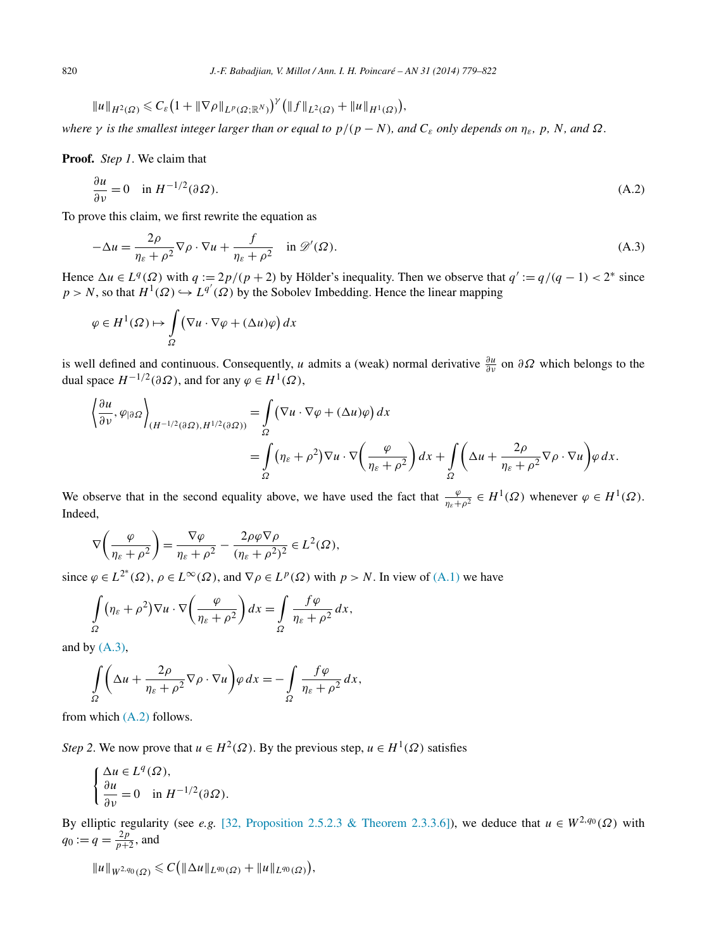<span id="page-41-0"></span>
$$
||u||_{H^2(\Omega)} \leq C_{\varepsilon} (1+||\nabla \rho||_{L^p(\Omega;\mathbb{R}^N)})^{\gamma} (||f||_{L^2(\Omega)}+||u||_{H^1(\Omega)}),
$$

*where*  $\gamma$  *is the smallest integer larger than or equal to*  $p/(p-N)$ *, and*  $C_{\epsilon}$  *<i>only depends on*  $\eta_{\epsilon}$ *, p, N, and*  $\Omega$ *.* 

**Proof.** *Step 1*. We claim that

$$
\frac{\partial u}{\partial \nu} = 0 \quad \text{in } H^{-1/2}(\partial \Omega). \tag{A.2}
$$

To prove this claim, we first rewrite the equation as

$$
-\Delta u = \frac{2\rho}{\eta_{\varepsilon} + \rho^2} \nabla \rho \cdot \nabla u + \frac{f}{\eta_{\varepsilon} + \rho^2} \quad \text{in } \mathscr{D}'(\Omega). \tag{A.3}
$$

Hence  $\Delta u \in L^q(\Omega)$  with  $q := 2p/(p+2)$  by Hölder's inequality. Then we observe that  $q' := q/(q-1) < 2^*$  since  $p > N$ , so that  $H^1(\Omega) \hookrightarrow L^{q'}(\Omega)$  by the Sobolev Imbedding. Hence the linear mapping

$$
\varphi \in H^1(\Omega) \mapsto \int_{\Omega} \left( \nabla u \cdot \nabla \varphi + (\Delta u) \varphi \right) dx
$$

is well defined and continuous. Consequently, *u* admits a (weak) normal derivative  $\frac{\partial u}{\partial v}$  on  $\partial \Omega$  which belongs to the dual space  $H^{-1/2}(\partial \Omega)$ , and for any  $\varphi \in H^1(\Omega)$ ,

$$
\left\langle \frac{\partial u}{\partial \nu}, \varphi_{|\partial \Omega} \right\rangle_{(H^{-1/2}(\partial \Omega), H^{1/2}(\partial \Omega))} = \int_{\Omega} (\nabla u \cdot \nabla \varphi + (\Delta u) \varphi) dx
$$
  
= 
$$
\int_{\Omega} (\eta_{\varepsilon} + \rho^2) \nabla u \cdot \nabla \left( \frac{\varphi}{\eta_{\varepsilon} + \rho^2} \right) dx + \int_{\Omega} \left( \Delta u + \frac{2\rho}{\eta_{\varepsilon} + \rho^2} \nabla \rho \cdot \nabla u \right) \varphi dx.
$$

We observe that in the second equality above, we have used the fact that  $\frac{\varphi}{\eta_{\varepsilon}+\rho^2} \in H^1(\Omega)$  whenever  $\varphi \in H^1(\Omega)$ . Indeed,

$$
\nabla \left(\frac{\varphi}{\eta_{\varepsilon} + \rho^2}\right) = \frac{\nabla \varphi}{\eta_{\varepsilon} + \rho^2} - \frac{2\rho \varphi \nabla \rho}{(\eta_{\varepsilon} + \rho^2)^2} \in L^2(\Omega),
$$

since  $\varphi \in L^{2^*}(\Omega)$ ,  $\rho \in L^{\infty}(\Omega)$ , and  $\nabla \rho \in L^p(\Omega)$  with  $p > N$ . In view of [\(A.1\)](#page-40-0) we have

$$
\int_{\Omega} \left( \eta_{\varepsilon} + \rho^2 \right) \nabla u \cdot \nabla \left( \frac{\varphi}{\eta_{\varepsilon} + \rho^2} \right) dx = \int_{\Omega} \frac{f \varphi}{\eta_{\varepsilon} + \rho^2} dx,
$$

and by  $(A.3)$ ,

$$
\int_{\Omega} \left( \Delta u + \frac{2\rho}{\eta_{\varepsilon} + \rho^2} \nabla \rho \cdot \nabla u \right) \varphi \, dx = -\int_{\Omega} \frac{f \varphi}{\eta_{\varepsilon} + \rho^2} \, dx,
$$

from which (A.2) follows.

*Step 2*. We now prove that  $u \in H^2(\Omega)$ . By the previous step,  $u \in H^1(\Omega)$  satisfies

$$
\begin{cases} \Delta u \in L^q(\Omega), \\ \frac{\partial u}{\partial \nu} = 0 \quad \text{in } H^{-1/2}(\partial \Omega). \end{cases}
$$

By elliptic regularity (see *e.g.* [\[32, Proposition 2.5.2.3 & Theorem 2.3.3.6\]\)](#page-43-0), we deduce that  $u \in W^{2,q_0}(\Omega)$  with  $q_0 := q = \frac{2p}{p+2}$ , and

$$
||u||_{W^{2,q_0}(\Omega)} \leqslant C\big( ||\Delta u||_{L^{q_0}(\Omega)} + ||u||_{L^{q_0}(\Omega)}\big),
$$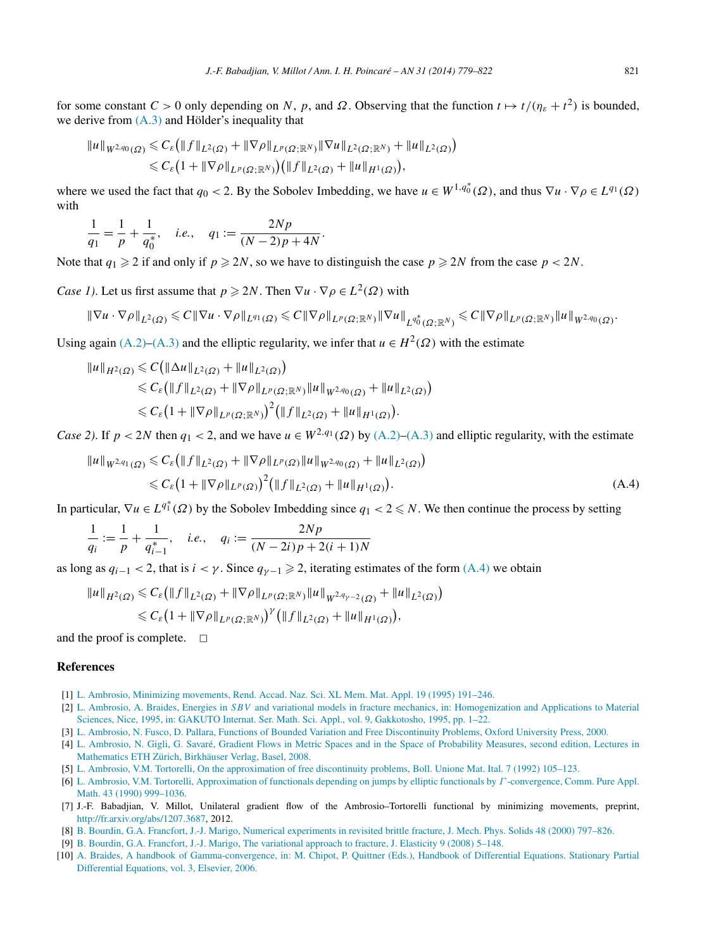<span id="page-42-0"></span>for some constant  $C > 0$  only depending on *N*, *p*, and  $\Omega$ . Observing that the function  $t \mapsto t/(\eta_{\varepsilon} + t^2)$  is bounded, we derive from [\(A.3\)](#page-41-0) and Hölder's inequality that

$$
||u||_{W^{2,q_0}(\Omega)} \leq C_{\varepsilon} (||f||_{L^2(\Omega)} + ||\nabla \rho||_{L^p(\Omega; \mathbb{R}^N)} ||\nabla u||_{L^2(\Omega; \mathbb{R}^N)} + ||u||_{L^2(\Omega)} )
$$
  

$$
\leq C_{\varepsilon} (1 + ||\nabla \rho||_{L^p(\Omega; \mathbb{R}^N)}) (||f||_{L^2(\Omega)} + ||u||_{H^1(\Omega)}),
$$

where we used the fact that  $q_0 < 2$ . By the Sobolev Imbedding, we have  $u \in W^{1,q_0^*}(\Omega)$ , and thus  $\nabla u \cdot \nabla \rho \in L^{q_1}(\Omega)$ with

$$
\frac{1}{q_1} = \frac{1}{p} + \frac{1}{q_0^*}, \quad i.e., \quad q_1 := \frac{2Np}{(N-2)p + 4N}.
$$

Note that  $q_1 \geq 2$  if and only if  $p \geq 2N$ , so we have to distinguish the case  $p \geq 2N$  from the case  $p < 2N$ .

*Case 1)*. Let us first assume that  $p \ge 2N$ . Then  $\nabla u \cdot \nabla \rho \in L^2(\Omega)$  with

$$
\|\nabla u\cdot\nabla\rho\|_{L^2(\Omega)}\leqslant C\|\nabla u\cdot\nabla\rho\|_{L^{q_1}(\Omega)}\leqslant C\|\nabla\rho\|_{L^p(\Omega;{\mathbb R}^N)}\|\nabla u\|_{L^{q_0^*}(\Omega;{\mathbb R}^N)}\leqslant C\|\nabla\rho\|_{L^p(\Omega;{\mathbb R}^N)}\|u\|_{W^{2,q_0}(\Omega)}.
$$

Using again [\(A.2\)–\(A.3\)](#page-41-0) and the elliptic regularity, we infer that  $u \in H^2(\Omega)$  with the estimate

$$
\|u\|_{H^2(\Omega)} \leq C \big( \|\Delta u\|_{L^2(\Omega)} + \|u\|_{L^2(\Omega)} \big) \n\leq C_{\varepsilon} \big( \|f\|_{L^2(\Omega)} + \|\nabla \rho\|_{L^p(\Omega; \mathbb{R}^N)} \|u\|_{W^{2,q_0}(\Omega)} + \|u\|_{L^2(\Omega)} \big) \n\leq C_{\varepsilon} \big( 1 + \|\nabla \rho\|_{L^p(\Omega; \mathbb{R}^N)} \big)^2 \big( \|f\|_{L^2(\Omega)} + \|u\|_{H^1(\Omega)} \big).
$$

*Case 2).* If  $p < 2N$  then  $q_1 < 2$ , and we have  $u \in W^{2,q_1}(\Omega)$  by  $(A,2)$ – $(A,3)$  and elliptic regularity, with the estimate

$$
||u||_{W^{2,q_1}(\Omega)} \leq C_{\varepsilon} (||f||_{L^2(\Omega)} + ||\nabla \rho||_{L^p(\Omega)} ||u||_{W^{2,q_0}(\Omega)} + ||u||_{L^2(\Omega)})
$$
  
 
$$
\leq C_{\varepsilon} (1 + ||\nabla \rho||_{L^p(\Omega)})^2 (||f||_{L^2(\Omega)} + ||u||_{H^1(\Omega)}).
$$
 (A.4)

In particular,  $\nabla u \in L^{q_1^*}(\Omega)$  by the Sobolev Imbedding since  $q_1 < 2 \leq N$ . We then continue the process by setting

$$
\frac{1}{q_i} := \frac{1}{p} + \frac{1}{q_{i-1}^*}, \quad i.e., \quad q_i := \frac{2Np}{(N-2i)p + 2(i+1)N}
$$

as long as  $q_{i-1}$  < 2, that is  $i \lt \gamma$ . Since  $q_{\gamma-1} \geq 2$ , iterating estimates of the form (A.4) we obtain

$$
\|u\|_{H^2(\Omega)} \leq C_{\varepsilon} \big( \|f\|_{L^2(\Omega)} + \|\nabla \rho\|_{L^p(\Omega; \mathbb{R}^N)} \|u\|_{W^{2,q_{\gamma-2}}(\Omega)} + \|u\|_{L^2(\Omega)} \big)
$$
  

$$
\leq C_{\varepsilon} \big(1 + \|\nabla \rho\|_{L^p(\Omega; \mathbb{R}^N)}\big)^{\gamma} \big( \|f\|_{L^2(\Omega)} + \|u\|_{H^1(\Omega)} \big),
$$

and the proof is complete.  $\Box$ 

## **References**

- [1] [L. Ambrosio, Minimizing movements, Rend. Accad. Naz. Sci. XL Mem. Mat. Appl. 19 \(1995\) 191–246.](http://refhub.elsevier.com/S0294-1449(13)00088-7/bib41s1)
- [2] L. Ambrosio, A. Braides, Energies in *SBV* [and variational models in fracture mechanics, in: Homogenization and Applications to Material](http://refhub.elsevier.com/S0294-1449(13)00088-7/bib4142s1) [Sciences, Nice, 1995, in: GAKUTO Internat. Ser. Math. Sci. Appl., vol. 9, Gakkotosho, 1995, pp. 1–22.](http://refhub.elsevier.com/S0294-1449(13)00088-7/bib4142s1)
- [3] L. [Ambrosio, N. Fusco, D. Pallara, Functions of Bounded Variation and Free Discontinuity Problems, Oxford University Press, 2000.](http://refhub.elsevier.com/S0294-1449(13)00088-7/bib414650s1)
- [4] L. [Ambrosio, N. Gigli, G. Savaré, Gradient Flows in Metric Spaces and in the Space of Probability Measures, second edition, Lectures in](http://refhub.elsevier.com/S0294-1449(13)00088-7/bib414753s1) [Mathematics ETH Zürich, Birkhäuser Verlag, Basel, 2008.](http://refhub.elsevier.com/S0294-1449(13)00088-7/bib414753s1)
- [5] L. [Ambrosio, V.M. Tortorelli, On the approximation of free discontinuity problems, Boll. Unione Mat. Ital. 7 \(1992\) 105–123.](http://refhub.elsevier.com/S0294-1449(13)00088-7/bib4154s1)
- [6] L. [Ambrosio, V.M. Tortorelli, Approximation of functionals depending on jumps by elliptic functionals by](http://refhub.elsevier.com/S0294-1449(13)00088-7/bib415432s1) *Γ* -convergence, Comm. Pure Appl. [Math. 43 \(1990\) 999–1036.](http://refhub.elsevier.com/S0294-1449(13)00088-7/bib415432s1)
- [7] J.-F. Babadjian, V. Millot, Unilateral gradient flow of the Ambrosio–Tortorelli functional by minimizing movements, preprint, [http://fr.arxiv.org/abs/1207.3687,](http://fr.arxiv.org/abs/1207.3687) 2012.
- [8] B. [Bourdin, G.A. Francfort, J.-J. Marigo, Numerical experiments in revisited brittle fracture, J. Mech. Phys. Solids 48 \(2000\) 797–826.](http://refhub.elsevier.com/S0294-1449(13)00088-7/bib42464D31s1)
- [9] B. [Bourdin, G.A. Francfort, J.-J. Marigo, The variational approach to fracture, J. Elasticity 9 \(2008\) 5–148.](http://refhub.elsevier.com/S0294-1449(13)00088-7/bib42464Ds1)
- [10] A. [Braides, A handbook of Gamma-convergence, in: M. Chipot, P. Quittner \(Eds.\), Handbook of Differential Equations. Stationary Partial](http://refhub.elsevier.com/S0294-1449(13)00088-7/bib42s1) [Differential Equations, vol. 3, Elsevier, 2006.](http://refhub.elsevier.com/S0294-1449(13)00088-7/bib42s1)